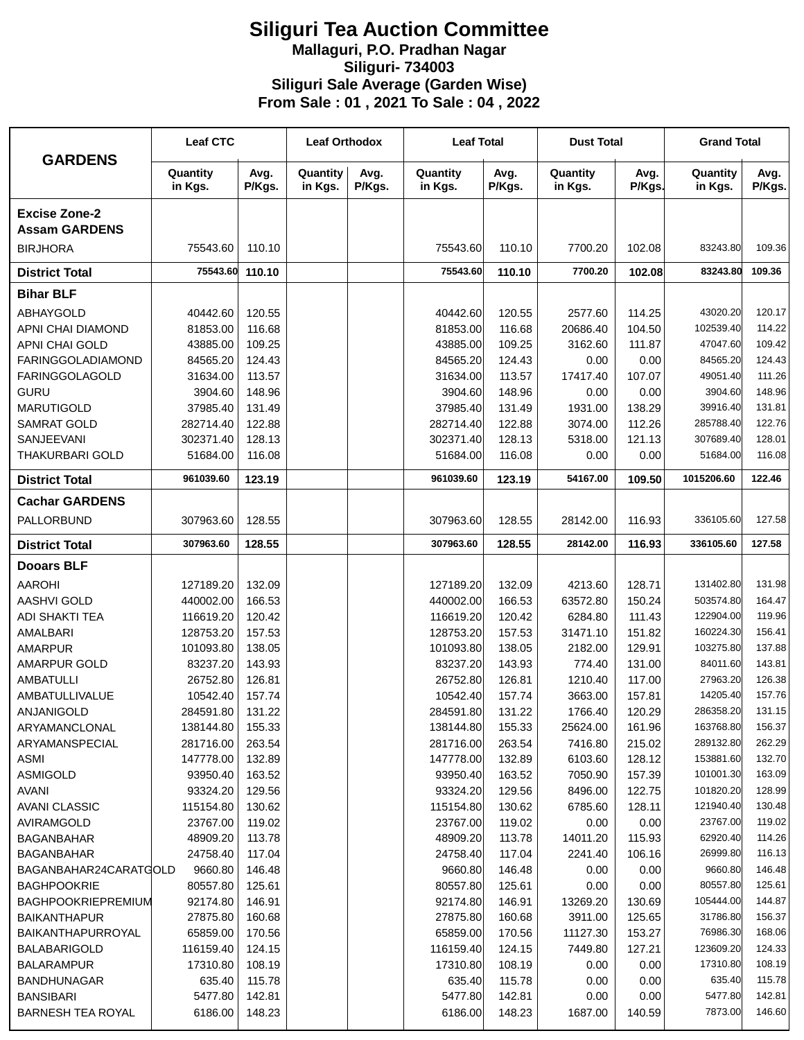## **Siliguri Tea Auction Committee Mallaguri, P.O. Pradhan Nagar Siliguri- 734003 Siliguri Sale Average (Garden Wise) From Sale : 01 , 2021 To Sale : 04 , 2022**

| <b>GARDENS</b>                               | <b>Leaf CTC</b>     |                | <b>Leaf Orthodox</b> |                | <b>Leaf Total</b>   |                | <b>Dust Total</b>   |                | <b>Grand Total</b>  |                |
|----------------------------------------------|---------------------|----------------|----------------------|----------------|---------------------|----------------|---------------------|----------------|---------------------|----------------|
|                                              | Quantity<br>in Kgs. | Avg.<br>P/Kgs. | Quantity<br>in Kgs.  | Avg.<br>P/Kgs. | Quantity<br>in Kgs. | Avg.<br>P/Kgs. | Quantity<br>in Kgs. | Avg.<br>P/Kgs. | Quantity<br>in Kgs. | Avg.<br>P/Kgs. |
| <b>Excise Zone-2</b><br><b>Assam GARDENS</b> |                     |                |                      |                |                     |                |                     |                |                     |                |
| <b>BIRJHORA</b>                              | 75543.60            | 110.10         |                      |                | 75543.60            | 110.10         | 7700.20             | 102.08         | 83243.80            | 109.36         |
| <b>District Total</b>                        | 75543.60            | 110.10         |                      |                | 75543.60            | 110.10         | 7700.20             | 102.08         | 83243.80            | 109.36         |
| <b>Bihar BLF</b>                             |                     |                |                      |                |                     |                |                     |                |                     |                |
| ABHAYGOLD                                    | 40442.60            | 120.55         |                      |                | 40442.60            | 120.55         | 2577.60             | 114.25         | 43020.20            | 120.17         |
| APNI CHAI DIAMOND                            | 81853.00            | 116.68         |                      |                | 81853.00            | 116.68         | 20686.40            | 104.50         | 102539.40           | 114.22         |
| APNI CHAI GOLD                               | 43885.00            | 109.25         |                      |                | 43885.00            | 109.25         | 3162.60             | 111.87         | 47047.60            | 109.42         |
| <b>FARINGGOLADIAMOND</b>                     | 84565.20            | 124.43         |                      |                | 84565.20            | 124.43         | 0.00                | 0.00           | 84565.20            | 124.43         |
| <b>FARINGGOLAGOLD</b>                        | 31634.00            | 113.57         |                      |                | 31634.00            | 113.57         | 17417.40            | 107.07         | 49051.40            | 111.26         |
| <b>GURU</b>                                  | 3904.60             | 148.96         |                      |                | 3904.60             | 148.96         | 0.00                | 0.00           | 3904.60             | 148.96         |
| <b>MARUTIGOLD</b>                            | 37985.40            | 131.49         |                      |                | 37985.40            | 131.49         | 1931.00             | 138.29         | 39916.40            | 131.81         |
| <b>SAMRAT GOLD</b>                           | 282714.40           | 122.88         |                      |                | 282714.40           | 122.88         | 3074.00             | 112.26         | 285788.40           | 122.76         |
| SANJEEVANI                                   | 302371.40           | 128.13         |                      |                | 302371.40           | 128.13         | 5318.00             | 121.13         | 307689.40           | 128.01         |
| <b>THAKURBARI GOLD</b>                       | 51684.00            | 116.08         |                      |                | 51684.00            | 116.08         | 0.00                | 0.00           | 51684.00            | 116.08         |
| <b>District Total</b>                        | 961039.60           | 123.19         |                      |                | 961039.60           | 123.19         | 54167.00            | 109.50         | 1015206.60          | 122.46         |
| <b>Cachar GARDENS</b>                        |                     |                |                      |                |                     |                |                     |                |                     |                |
| PALLORBUND                                   | 307963.60           | 128.55         |                      |                | 307963.60           | 128.55         | 28142.00            | 116.93         | 336105.60           | 127.58         |
| <b>District Total</b>                        | 307963.60           | 128.55         |                      |                | 307963.60           | 128.55         | 28142.00            | 116.93         | 336105.60           | 127.58         |
| <b>Dooars BLF</b>                            |                     |                |                      |                |                     |                |                     |                |                     |                |
| <b>AAROHI</b>                                | 127189.20           | 132.09         |                      |                | 127189.20           | 132.09         | 4213.60             | 128.71         | 131402.80           | 131.98         |
| AASHVI GOLD                                  | 440002.00           | 166.53         |                      |                | 440002.00           | 166.53         | 63572.80            | 150.24         | 503574.80           | 164.47         |
| <b>ADI SHAKTI TEA</b>                        | 116619.20           | 120.42         |                      |                | 116619.20           | 120.42         | 6284.80             | 111.43         | 122904.00           | 119.96         |
| AMALBARI                                     | 128753.20           | 157.53         |                      |                | 128753.20           | 157.53         | 31471.10            | 151.82         | 160224.30           | 156.41         |
| <b>AMARPUR</b>                               | 101093.80           | 138.05         |                      |                | 101093.80           | 138.05         | 2182.00             | 129.91         | 103275.80           | 137.88         |
| AMARPUR GOLD                                 | 83237.20            | 143.93         |                      |                | 83237.20            | 143.93         | 774.40              | 131.00         | 84011.60            | 143.81         |
| <b>AMBATULLI</b>                             | 26752.80            | 126.81         |                      |                | 26752.80            | 126.81         | 1210.40             | 117.00         | 27963.20            | 126.38         |
| <b>AMBATULLIVALUE</b>                        | 10542.40            | 157.74         |                      |                | 10542.40            | 157.74         | 3663.00             | 157.81         | 14205.40            | 157.76         |
| ANJANIGOLD                                   | 284591.80           | 131.22         |                      |                | 284591.80           | 131.22         | 1766.40             | 120.29         | 286358.20           | 131.15         |
| ARYAMANCLONAL                                | 138144.80           | 155.33         |                      |                | 138144.80           | 155.33         | 25624.00            | 161.96         | 163768.80           | 156.37         |
| ARYAMANSPECIAL                               | 281716.00           | 263.54         |                      |                | 281716.00           | 263.54         | 7416.80             | 215.02         | 289132.80           | 262.29         |
| ASMI                                         | 147778.00           | 132.89         |                      |                | 147778.00           | 132.89         | 6103.60             | 128.12         | 153881.60           | 132.70         |
| <b>ASMIGOLD</b>                              | 93950.40            | 163.52         |                      |                | 93950.40            | 163.52         | 7050.90             | 157.39         | 101001.30           | 163.09         |
| <b>AVANI</b>                                 | 93324.20            | 129.56         |                      |                | 93324.20            | 129.56         | 8496.00             | 122.75         | 101820.20           | 128.99         |
| <b>AVANI CLASSIC</b>                         | 115154.80           | 130.62         |                      |                | 115154.80           | 130.62         | 6785.60             | 128.11         | 121940.40           | 130.48         |
| AVIRAMGOLD                                   | 23767.00            | 119.02         |                      |                | 23767.00            | 119.02         | 0.00                | 0.00           | 23767.00            | 119.02         |
| <b>BAGANBAHAR</b>                            | 48909.20            | 113.78         |                      |                | 48909.20            | 113.78         | 14011.20            | 115.93         | 62920.40            | 114.26         |
| <b>BAGANBAHAR</b>                            | 24758.40            | 117.04         |                      |                | 24758.40            | 117.04         | 2241.40             | 106.16         | 26999.80            | 116.13         |
| BAGANBAHAR24CARATGOLD                        | 9660.80             | 146.48         |                      |                | 9660.80             | 146.48         | 0.00                | 0.00           | 9660.80             | 146.48         |
| <b>BAGHPOOKRIE</b>                           | 80557.80            | 125.61         |                      |                | 80557.80            | 125.61         | 0.00                | 0.00           | 80557.80            | 125.61         |
| BAGHPOOKRIEPREMIUM                           | 92174.80            | 146.91         |                      |                | 92174.80            | 146.91         | 13269.20            | 130.69         | 105444.00           | 144.87         |
| <b>BAIKANTHAPUR</b>                          | 27875.80            | 160.68         |                      |                | 27875.80            | 160.68         | 3911.00             | 125.65         | 31786.80            | 156.37         |
| BAIKANTHAPURROYAL                            | 65859.00            | 170.56         |                      |                | 65859.00            | 170.56         | 11127.30            | 153.27         | 76986.30            | 168.06         |
| <b>BALABARIGOLD</b>                          | 116159.40           | 124.15         |                      |                | 116159.40           | 124.15         | 7449.80             | 127.21         | 123609.20           | 124.33         |
| <b>BALARAMPUR</b>                            | 17310.80            | 108.19         |                      |                | 17310.80            | 108.19         | 0.00                | 0.00           | 17310.80            | 108.19         |
| <b>BANDHUNAGAR</b>                           | 635.40              | 115.78         |                      |                | 635.40              | 115.78         | 0.00                | 0.00           | 635.40              | 115.78         |
| <b>BANSIBARI</b>                             | 5477.80             | 142.81         |                      |                | 5477.80             | 142.81         | 0.00                | 0.00           | 5477.80             | 142.81         |
| <b>BARNESH TEA ROYAL</b>                     | 6186.00             | 148.23         |                      |                | 6186.00             | 148.23         | 1687.00             | 140.59         | 7873.00             | 146.60         |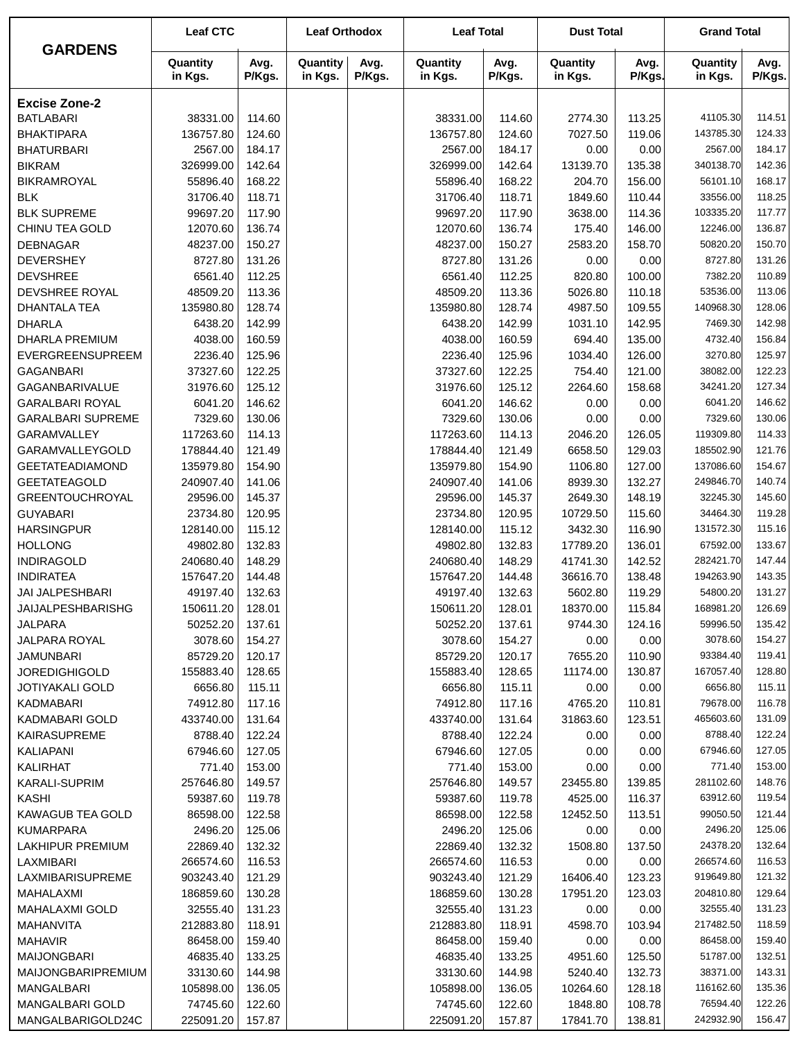|                                               | <b>Leaf CTC</b>       |                  | <b>Leaf Orthodox</b> |                | <b>Leaf Total</b>      |                  | <b>Dust Total</b>   |                  | <b>Grand Total</b>     |                  |
|-----------------------------------------------|-----------------------|------------------|----------------------|----------------|------------------------|------------------|---------------------|------------------|------------------------|------------------|
| <b>GARDENS</b>                                | Quantity<br>in Kgs.   | Avg.<br>P/Kgs.   | Quantity<br>in Kgs.  | Avg.<br>P/Kgs. | Quantity<br>in Kgs.    | Avg.<br>P/Kgs.   | Quantity<br>in Kgs. | Avg.<br>P/Kgs.   | Quantity<br>in Kgs.    | Avg.<br>P/Kgs.   |
| <b>Excise Zone-2</b>                          |                       |                  |                      |                |                        |                  |                     |                  |                        |                  |
| <b>BATLABARI</b>                              | 38331.00              | 114.60           |                      |                | 38331.00               | 114.60           | 2774.30             | 113.25           | 41105.30               | 114.51           |
| <b>BHAKTIPARA</b>                             | 136757.80             | 124.60           |                      |                | 136757.80              | 124.60           | 7027.50             | 119.06           | 143785.30              | 124.33           |
| <b>BHATURBARI</b>                             | 2567.00               | 184.17           |                      |                | 2567.00                | 184.17           | 0.00                | 0.00             | 2567.00                | 184.17           |
| <b>BIKRAM</b>                                 | 326999.00             | 142.64           |                      |                | 326999.00              | 142.64           | 13139.70            | 135.38           | 340138.70              | 142.36           |
| <b>BIKRAMROYAL</b>                            | 55896.40              | 168.22           |                      |                | 55896.40               | 168.22           | 204.70              | 156.00           | 56101.10               | 168.17           |
| <b>BLK</b>                                    | 31706.40              | 118.71           |                      |                | 31706.40               | 118.71           | 1849.60             | 110.44           | 33556.00               | 118.25           |
| <b>BLK SUPREME</b>                            | 99697.20              | 117.90           |                      |                | 99697.20               | 117.90           | 3638.00             | 114.36           | 103335.20              | 117.77           |
| CHINU TEA GOLD                                | 12070.60              | 136.74           |                      |                | 12070.60               | 136.74           | 175.40              | 146.00           | 12246.00               | 136.87           |
| <b>DEBNAGAR</b>                               | 48237.00              | 150.27           |                      |                | 48237.00               | 150.27           | 2583.20             | 158.70           | 50820.20               | 150.70           |
| <b>DEVERSHEY</b>                              | 8727.80               | 131.26           |                      |                | 8727.80                | 131.26           | 0.00                | 0.00             | 8727.80                | 131.26           |
| <b>DEVSHREE</b>                               | 6561.40               | 112.25           |                      |                | 6561.40                | 112.25           | 820.80              | 100.00           | 7382.20                | 110.89           |
| DEVSHREE ROYAL                                | 48509.20              | 113.36           |                      |                | 48509.20               | 113.36           | 5026.80             | 110.18           | 53536.00               | 113.06           |
| <b>DHANTALA TEA</b>                           | 135980.80             | 128.74           |                      |                | 135980.80              | 128.74           | 4987.50             | 109.55           | 140968.30              | 128.06           |
| <b>DHARLA</b>                                 | 6438.20               | 142.99           |                      |                | 6438.20                | 142.99           | 1031.10             | 142.95           | 7469.30                | 142.98           |
| <b>DHARLA PREMIUM</b>                         | 4038.00               | 160.59           |                      |                | 4038.00                | 160.59           | 694.40              | 135.00           | 4732.40                | 156.84           |
| EVERGREENSUPREEM                              | 2236.40               | 125.96           |                      |                | 2236.40                | 125.96           | 1034.40             | 126.00           | 3270.80                | 125.97           |
| <b>GAGANBARI</b>                              | 37327.60              | 122.25           |                      |                | 37327.60               | 122.25           | 754.40              | 121.00           | 38082.00               | 122.23           |
| GAGANBARIVALUE                                | 31976.60              | 125.12           |                      |                | 31976.60               | 125.12           | 2264.60             | 158.68           | 34241.20               | 127.34           |
| <b>GARALBARI ROYAL</b>                        | 6041.20               | 146.62           |                      |                | 6041.20                | 146.62           | 0.00                | 0.00             | 6041.20                | 146.62           |
| <b>GARALBARI SUPREME</b>                      | 7329.60               | 130.06           |                      |                | 7329.60                | 130.06           | 0.00                | 0.00             | 7329.60                | 130.06           |
| GARAMVALLEY                                   | 117263.60             | 114.13           |                      |                | 117263.60              | 114.13           | 2046.20             | 126.05           | 119309.80              | 114.33           |
| GARAMVALLEYGOLD                               | 178844.40             | 121.49           |                      |                | 178844.40              | 121.49           | 6658.50             | 129.03           | 185502.90              | 121.76           |
| <b>GEETATEADIAMOND</b>                        | 135979.80             | 154.90           |                      |                | 135979.80<br>240907.40 | 154.90           | 1106.80             | 127.00           | 137086.60<br>249846.70 | 154.67<br>140.74 |
| <b>GEETATEAGOLD</b><br><b>GREENTOUCHROYAL</b> | 240907.40<br>29596.00 | 141.06<br>145.37 |                      |                | 29596.00               | 141.06<br>145.37 | 8939.30<br>2649.30  | 132.27<br>148.19 | 32245.30               | 145.60           |
| <b>GUYABARI</b>                               | 23734.80              | 120.95           |                      |                | 23734.80               | 120.95           | 10729.50            | 115.60           | 34464.30               | 119.28           |
| <b>HARSINGPUR</b>                             | 128140.00             | 115.12           |                      |                | 128140.00              | 115.12           | 3432.30             | 116.90           | 131572.30              | 115.16           |
| <b>HOLLONG</b>                                | 49802.80              | 132.83           |                      |                | 49802.80               | 132.83           | 17789.20            | 136.01           | 67592.00               | 133.67           |
| <b>INDIRAGOLD</b>                             | 240680.40             | 148.29           |                      |                | 240680.40              | 148.29           | 41741.30            | 142.52           | 282421.70              | 147.44           |
| <b>INDIRATEA</b>                              | 157647.20             | 144.48           |                      |                | 157647.20              | 144.48           | 36616.70            | 138.48           | 194263.90              | 143.35           |
| <b>JAI JALPESHBARI</b>                        | 49197.40              | 132.63           |                      |                | 49197.40               | 132.63           | 5602.80             | 119.29           | 54800.20               | 131.27           |
| <b>JAIJALPESHBARISHG</b>                      | 150611.20             | 128.01           |                      |                | 150611.20              | 128.01           | 18370.00            | 115.84           | 168981.20              | 126.69           |
| <b>JALPARA</b>                                | 50252.20              | 137.61           |                      |                | 50252.20               | 137.61           | 9744.30             | 124.16           | 59996.50               | 135.42           |
| JALPARA ROYAL                                 | 3078.60               | 154.27           |                      |                | 3078.60                | 154.27           | 0.00                | 0.00             | 3078.60                | 154.27           |
| <b>JAMUNBARI</b>                              | 85729.20              | 120.17           |                      |                | 85729.20               | 120.17           | 7655.20             | 110.90           | 93384.40               | 119.41           |
| <b>JOREDIGHIGOLD</b>                          | 155883.40             | 128.65           |                      |                | 155883.40              | 128.65           | 11174.00            | 130.87           | 167057.40              | 128.80           |
| <b>JOTIYAKALI GOLD</b>                        | 6656.80               | 115.11           |                      |                | 6656.80                | 115.11           | 0.00                | 0.00             | 6656.80                | 115.11           |
| <b>KADMABARI</b>                              | 74912.80              | 117.16           |                      |                | 74912.80               | 117.16           | 4765.20             | 110.81           | 79678.00               | 116.78           |
| KADMABARI GOLD                                | 433740.00             | 131.64           |                      |                | 433740.00              | 131.64           | 31863.60            | 123.51           | 465603.60              | 131.09           |
| <b>KAIRASUPREME</b>                           | 8788.40               | 122.24           |                      |                | 8788.40                | 122.24           | 0.00                | 0.00             | 8788.40                | 122.24           |
| KALIAPANI                                     | 67946.60              | 127.05           |                      |                | 67946.60               | 127.05           | 0.00                | 0.00             | 67946.60               | 127.05           |
| KALIRHAT                                      | 771.40                | 153.00           |                      |                | 771.40                 | 153.00           | 0.00                | 0.00             | 771.40                 | 153.00           |
| KARALI-SUPRIM                                 | 257646.80             | 149.57           |                      |                | 257646.80              | 149.57           | 23455.80            | 139.85           | 281102.60              | 148.76           |
| <b>KASHI</b>                                  | 59387.60              | 119.78           |                      |                | 59387.60               | 119.78           | 4525.00             | 116.37           | 63912.60               | 119.54           |
| <b>KAWAGUB TEA GOLD</b>                       | 86598.00              | 122.58           |                      |                | 86598.00               | 122.58           | 12452.50            | 113.51           | 99050.50               | 121.44           |
| <b>KUMARPARA</b>                              | 2496.20               | 125.06           |                      |                | 2496.20                | 125.06           | 0.00                | 0.00             | 2496.20                | 125.06           |
| <b>LAKHIPUR PREMIUM</b>                       | 22869.40              | 132.32           |                      |                | 22869.40               | 132.32           | 1508.80             | 137.50           | 24378.20               | 132.64           |
| LAXMIBARI                                     | 266574.60             | 116.53           |                      |                | 266574.60              | 116.53           | 0.00                | 0.00             | 266574.60              | 116.53           |
| LAXMIBARISUPREME                              | 903243.40             | 121.29           |                      |                | 903243.40              | 121.29           | 16406.40            | 123.23           | 919649.80              | 121.32           |
| MAHALAXMI                                     | 186859.60             | 130.28           |                      |                | 186859.60              | 130.28           | 17951.20            | 123.03           | 204810.80              | 129.64           |
| <b>MAHALAXMI GOLD</b>                         | 32555.40              | 131.23           |                      |                | 32555.40               | 131.23           | 0.00                | 0.00             | 32555.40               | 131.23           |
| MAHANVITA                                     | 212883.80             | 118.91           |                      |                | 212883.80              | 118.91           | 4598.70             | 103.94           | 217482.50              | 118.59           |
| <b>MAHAVIR</b>                                | 86458.00              | 159.40           |                      |                | 86458.00               | 159.40           | 0.00                | 0.00             | 86458.00               | 159.40           |
| <b>MAIJONGBARI</b>                            | 46835.40              | 133.25           |                      |                | 46835.40               | 133.25           | 4951.60             | 125.50           | 51787.00               | 132.51           |
| MAIJONGBARIPREMIUM                            | 33130.60              | 144.98           |                      |                | 33130.60               | 144.98           | 5240.40             | 132.73           | 38371.00<br>116162.60  | 143.31<br>135.36 |
| MANGALBARI                                    | 105898.00             | 136.05           |                      |                | 105898.00              | 136.05           | 10264.60            | 128.18           | 76594.40               | 122.26           |
| MANGALBARI GOLD<br>MANGALBARIGOLD24C          | 74745.60<br>225091.20 | 122.60<br>157.87 |                      |                | 74745.60<br>225091.20  | 122.60<br>157.87 | 1848.80<br>17841.70 | 108.78<br>138.81 | 242932.90              | 156.47           |
|                                               |                       |                  |                      |                |                        |                  |                     |                  |                        |                  |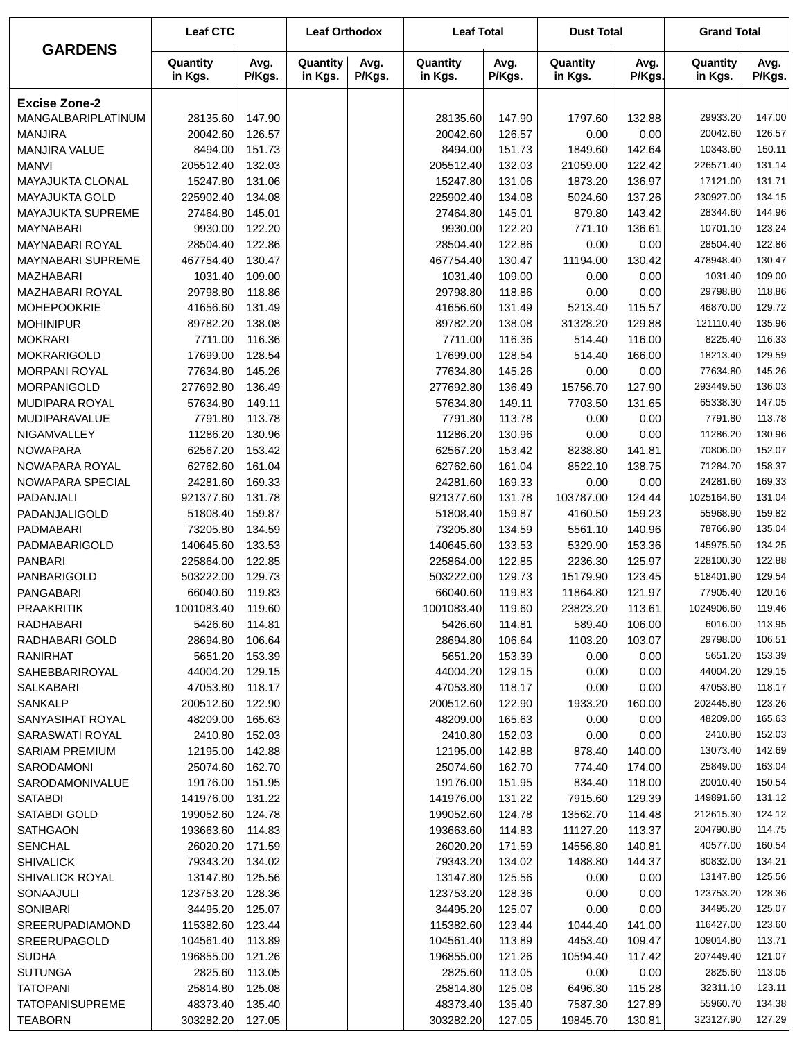| <b>GARDENS</b>                       | <b>Leaf CTC</b>       |                  | <b>Leaf Orthodox</b> |                | <b>Leaf Total</b>     |                  | <b>Dust Total</b>   |                  | <b>Grand Total</b>    |                  |
|--------------------------------------|-----------------------|------------------|----------------------|----------------|-----------------------|------------------|---------------------|------------------|-----------------------|------------------|
|                                      | Quantity<br>in Kgs.   | Avg.<br>P/Kgs.   | Quantity<br>in Kgs.  | Avg.<br>P/Kgs. | Quantity<br>in Kgs.   | Avg.<br>P/Kgs.   | Quantity<br>in Kgs. | Avg.<br>P/Kgs.   | Quantity<br>in Kgs.   | Avg.<br>P/Kgs.   |
| <b>Excise Zone-2</b>                 |                       |                  |                      |                |                       |                  |                     |                  |                       |                  |
| MANGALBARIPLATINUM                   | 28135.60              | 147.90           |                      |                | 28135.60              | 147.90           | 1797.60             | 132.88           | 29933.20              | 147.00           |
| <b>MANJIRA</b>                       | 20042.60              | 126.57           |                      |                | 20042.60              | 126.57           | 0.00                | 0.00             | 20042.60              | 126.57           |
| MANJIRA VALUE                        | 8494.00               | 151.73           |                      |                | 8494.00               | 151.73           | 1849.60             | 142.64           | 10343.60              | 150.11           |
| <b>MANVI</b>                         | 205512.40             | 132.03           |                      |                | 205512.40             | 132.03           | 21059.00            | 122.42           | 226571.40             | 131.14           |
| MAYAJUKTA CLONAL                     | 15247.80              | 131.06           |                      |                | 15247.80              | 131.06           | 1873.20             | 136.97           | 17121.00              | 131.71           |
| <b>MAYAJUKTA GOLD</b>                | 225902.40             | 134.08           |                      |                | 225902.40             | 134.08           | 5024.60             | 137.26           | 230927.00             | 134.15           |
| MAYAJUKTA SUPREME                    | 27464.80              | 145.01           |                      |                | 27464.80              | 145.01           | 879.80              | 143.42           | 28344.60              | 144.96           |
| <b>MAYNABARI</b>                     | 9930.00               | 122.20           |                      |                | 9930.00               | 122.20           | 771.10              | 136.61           | 10701.10              | 123.24           |
| <b>MAYNABARI ROYAL</b>               | 28504.40              | 122.86           |                      |                | 28504.40              | 122.86           | 0.00                | 0.00             | 28504.40              | 122.86           |
| <b>MAYNABARI SUPREME</b>             | 467754.40             | 130.47           |                      |                | 467754.40             | 130.47           | 11194.00            | 130.42           | 478948.40             | 130.47           |
| <b>MAZHABARI</b>                     | 1031.40               | 109.00           |                      |                | 1031.40               | 109.00           | 0.00                | 0.00             | 1031.40               | 109.00           |
| MAZHABARI ROYAL                      | 29798.80              | 118.86           |                      |                | 29798.80              | 118.86           | 0.00                | 0.00             | 29798.80              | 118.86           |
| <b>MOHEPOOKRIE</b>                   | 41656.60              | 131.49<br>138.08 |                      |                | 41656.60              | 131.49           | 5213.40             | 115.57           | 46870.00              | 129.72           |
| <b>MOHINIPUR</b>                     | 89782.20              |                  |                      |                | 89782.20              | 138.08           | 31328.20            | 129.88           | 121110.40<br>8225.40  | 135.96<br>116.33 |
| <b>MOKRARI</b><br><b>MOKRARIGOLD</b> | 7711.00<br>17699.00   | 116.36<br>128.54 |                      |                | 7711.00<br>17699.00   | 116.36<br>128.54 | 514.40<br>514.40    | 116.00<br>166.00 | 18213.40              | 129.59           |
| <b>MORPANI ROYAL</b>                 | 77634.80              | 145.26           |                      |                | 77634.80              | 145.26           | 0.00                | 0.00             | 77634.80              | 145.26           |
| <b>MORPANIGOLD</b>                   | 277692.80             | 136.49           |                      |                | 277692.80             | 136.49           | 15756.70            | 127.90           | 293449.50             | 136.03           |
| MUDIPARA ROYAL                       | 57634.80              | 149.11           |                      |                | 57634.80              | 149.11           | 7703.50             | 131.65           | 65338.30              | 147.05           |
| <b>MUDIPARAVALUE</b>                 | 7791.80               | 113.78           |                      |                | 7791.80               | 113.78           | 0.00                | 0.00             | 7791.80               | 113.78           |
| NIGAMVALLEY                          | 11286.20              | 130.96           |                      |                | 11286.20              | 130.96           | 0.00                | 0.00             | 11286.20              | 130.96           |
| <b>NOWAPARA</b>                      | 62567.20              | 153.42           |                      |                | 62567.20              | 153.42           | 8238.80             | 141.81           | 70806.00              | 152.07           |
| NOWAPARA ROYAL                       | 62762.60              | 161.04           |                      |                | 62762.60              | 161.04           | 8522.10             | 138.75           | 71284.70              | 158.37           |
| NOWAPARA SPECIAL                     | 24281.60              | 169.33           |                      |                | 24281.60              | 169.33           | 0.00                | 0.00             | 24281.60              | 169.33           |
| PADANJALI                            | 921377.60             | 131.78           |                      |                | 921377.60             | 131.78           | 103787.00           | 124.44           | 1025164.60            | 131.04           |
| PADANJALIGOLD                        | 51808.40              | 159.87           |                      |                | 51808.40              | 159.87           | 4160.50             | 159.23           | 55968.90              | 159.82           |
| PADMABARI                            | 73205.80              | 134.59           |                      |                | 73205.80              | 134.59           | 5561.10             | 140.96           | 78766.90              | 135.04           |
| PADMABARIGOLD                        | 140645.60             | 133.53           |                      |                | 140645.60             | 133.53           | 5329.90             | 153.36           | 145975.50             | 134.25           |
| <b>PANBARI</b>                       | 225864.00             | 122.85           |                      |                | 225864.00             | 122.85           | 2236.30             | 125.97           | 228100.30             | 122.88           |
| PANBARIGOLD                          | 503222.00             | 129.73           |                      |                | 503222.00             | 129.73           | 15179.90            | 123.45           | 518401.90             | 129.54           |
| <b>PANGABARI</b>                     | 66040.60              | 119.83           |                      |                | 66040.60              | 119.83           | 11864.80            | 121.97           | 77905.40              | 120.16           |
| <b>PRAAKRITIK</b>                    | 1001083.40            | 119.60           |                      |                | 1001083.40            | 119.60           | 23823.20            | 113.61           | 1024906.60            | 119.46           |
| RADHABARI                            | 5426.60               | 114.81           |                      |                | 5426.60               | 114.81           | 589.40              | 106.00           | 6016.00               | 113.95           |
| RADHABARI GOLD                       | 28694.80              | 106.64           |                      |                | 28694.80              | 106.64           | 1103.20             | 103.07           | 29798.00              | 106.51           |
| RANIRHAT                             | 5651.20               | 153.39           |                      |                | 5651.20               | 153.39           | 0.00                | 0.00             | 5651.20               | 153.39           |
| SAHEBBARIROYAL                       | 44004.20              | 129.15           |                      |                | 44004.20              | 129.15           | 0.00                | 0.00             | 44004.20<br>47053.80  | 129.15<br>118.17 |
| SALKABARI<br>SANKALP                 | 47053.80<br>200512.60 | 118.17<br>122.90 |                      |                | 47053.80<br>200512.60 | 118.17<br>122.90 | 0.00<br>1933.20     | 0.00<br>160.00   | 202445.80             | 123.26           |
| SANYASIHAT ROYAL                     | 48209.00              | 165.63           |                      |                | 48209.00              | 165.63           | 0.00                | 0.00             | 48209.00              | 165.63           |
| <b>SARASWATI ROYAL</b>               | 2410.80               | 152.03           |                      |                | 2410.80               | 152.03           | 0.00                | 0.00             | 2410.80               | 152.03           |
| <b>SARIAM PREMIUM</b>                | 12195.00              | 142.88           |                      |                | 12195.00              | 142.88           | 878.40              | 140.00           | 13073.40              | 142.69           |
| SARODAMONI                           | 25074.60              | 162.70           |                      |                | 25074.60              | 162.70           | 774.40              | 174.00           | 25849.00              | 163.04           |
| SARODAMONIVALUE                      | 19176.00              | 151.95           |                      |                | 19176.00              | 151.95           | 834.40              | 118.00           | 20010.40              | 150.54           |
| <b>SATABDI</b>                       | 141976.00             | 131.22           |                      |                | 141976.00             | 131.22           | 7915.60             | 129.39           | 149891.60             | 131.12           |
| SATABDI GOLD                         | 199052.60             | 124.78           |                      |                | 199052.60             | 124.78           | 13562.70            | 114.48           | 212615.30             | 124.12           |
| <b>SATHGAON</b>                      | 193663.60             | 114.83           |                      |                | 193663.60             | 114.83           | 11127.20            | 113.37           | 204790.80             | 114.75           |
| <b>SENCHAL</b>                       | 26020.20              | 171.59           |                      |                | 26020.20              | 171.59           | 14556.80            | 140.81           | 40577.00              | 160.54           |
| <b>SHIVALICK</b>                     | 79343.20              | 134.02           |                      |                | 79343.20              | 134.02           | 1488.80             | 144.37           | 80832.00              | 134.21           |
| SHIVALICK ROYAL                      | 13147.80              | 125.56           |                      |                | 13147.80              | 125.56           | 0.00                | 0.00             | 13147.80              | 125.56           |
| SONAAJULI                            | 123753.20             | 128.36           |                      |                | 123753.20             | 128.36           | 0.00                | 0.00             | 123753.20             | 128.36           |
| SONIBARI                             | 34495.20              | 125.07           |                      |                | 34495.20              | 125.07           | 0.00                | 0.00             | 34495.20              | 125.07           |
| SREERUPADIAMOND                      | 115382.60             | 123.44           |                      |                | 115382.60             | 123.44           | 1044.40             | 141.00           | 116427.00             | 123.60           |
| SREERUPAGOLD                         | 104561.40             | 113.89           |                      |                | 104561.40             | 113.89           | 4453.40             | 109.47           | 109014.80             | 113.71           |
| <b>SUDHA</b>                         | 196855.00             | 121.26           |                      |                | 196855.00             | 121.26           | 10594.40            | 117.42           | 207449.40             | 121.07           |
| <b>SUTUNGA</b>                       | 2825.60               | 113.05           |                      |                | 2825.60               | 113.05           | 0.00                | 0.00             | 2825.60               | 113.05           |
| <b>TATOPANI</b>                      | 25814.80              | 125.08           |                      |                | 25814.80              | 125.08           | 6496.30             | 115.28           | 32311.10              | 123.11           |
| <b>TATOPANISUPREME</b>               | 48373.40              | 135.40           |                      |                | 48373.40              | 135.40           | 7587.30             | 127.89           | 55960.70<br>323127.90 | 134.38<br>127.29 |
| <b>TEABORN</b>                       | 303282.20             | 127.05           |                      |                | 303282.20             | 127.05           | 19845.70            | 130.81           |                       |                  |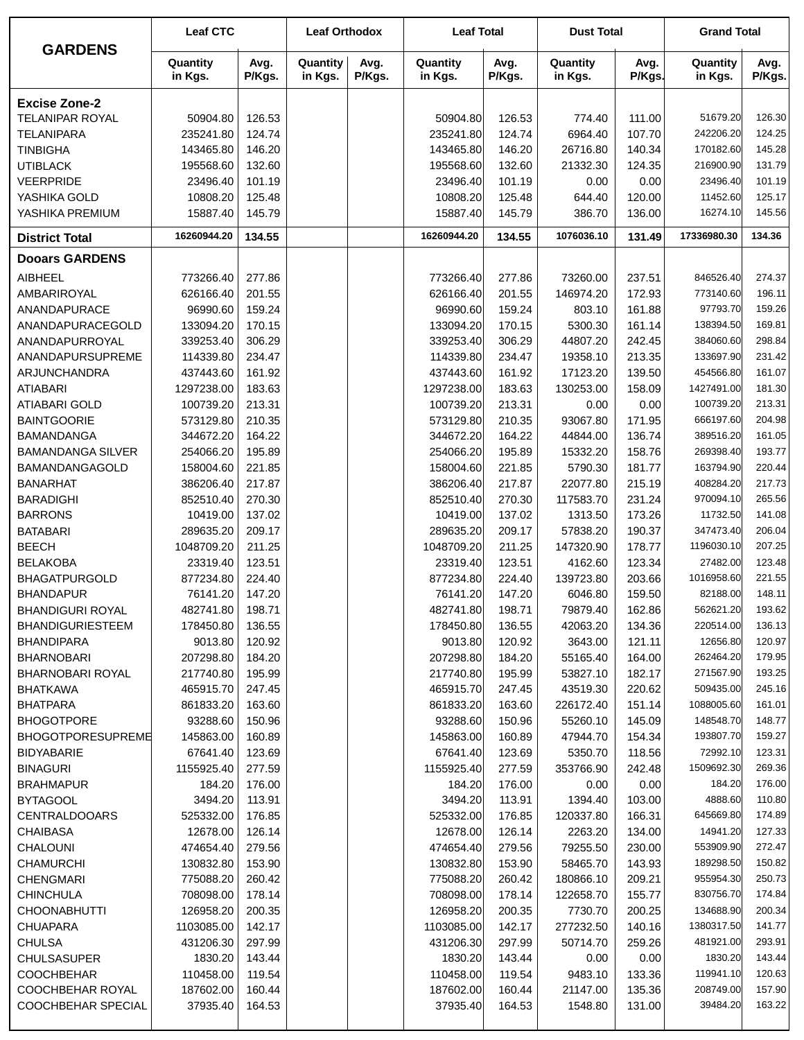| <b>GARDENS</b>           | <b>Leaf CTC</b>     |                | <b>Leaf Orthodox</b> |                | <b>Leaf Total</b>   |                | <b>Dust Total</b>   |                | <b>Grand Total</b>  |                |
|--------------------------|---------------------|----------------|----------------------|----------------|---------------------|----------------|---------------------|----------------|---------------------|----------------|
|                          | Quantity<br>in Kgs. | Avg.<br>P/Kgs. | Quantity<br>in Kgs.  | Avg.<br>P/Kgs. | Quantity<br>in Kgs. | Avg.<br>P/Kgs. | Quantity<br>in Kgs. | Avg.<br>P/Kgs. | Quantity<br>in Kgs. | Avg.<br>P/Kgs. |
| <b>Excise Zone-2</b>     |                     |                |                      |                |                     |                |                     |                |                     |                |
| TELANIPAR ROYAL          | 50904.80            | 126.53         |                      |                | 50904.80            | 126.53         | 774.40              | 111.00         | 51679.20            | 126.30         |
| <b>TELANIPARA</b>        | 235241.80           | 124.74         |                      |                | 235241.80           | 124.74         | 6964.40             | 107.70         | 242206.20           | 124.25         |
| <b>TINBIGHA</b>          | 143465.80           | 146.20         |                      |                | 143465.80           | 146.20         | 26716.80            | 140.34         | 170182.60           | 145.28         |
| <b>UTIBLACK</b>          | 195568.60           | 132.60         |                      |                | 195568.60           | 132.60         | 21332.30            | 124.35         | 216900.90           | 131.79         |
| VEERPRIDE                | 23496.40            | 101.19         |                      |                | 23496.40            | 101.19         | 0.00                | 0.00           | 23496.40            | 101.19         |
| YASHIKA GOLD             | 10808.20            | 125.48         |                      |                | 10808.20            | 125.48         | 644.40              | 120.00         | 11452.60            | 125.17         |
| YASHIKA PREMIUM          | 15887.40            | 145.79         |                      |                | 15887.40            | 145.79         | 386.70              | 136.00         | 16274.10            | 145.56         |
| <b>District Total</b>    | 16260944.20         | 134.55         |                      |                | 16260944.20         | 134.55         | 1076036.10          | 131.49         | 17336980.30         | 134.36         |
| <b>Dooars GARDENS</b>    |                     |                |                      |                |                     |                |                     |                |                     |                |
| <b>AIBHEEL</b>           | 773266.40           | 277.86         |                      |                | 773266.40           | 277.86         | 73260.00            | 237.51         | 846526.40           | 274.37         |
| AMBARIROYAL              | 626166.40           | 201.55         |                      |                | 626166.40           | 201.55         | 146974.20           | 172.93         | 773140.60           | 196.11         |
| ANANDAPURACE             | 96990.60            | 159.24         |                      |                | 96990.60            | 159.24         | 803.10              | 161.88         | 97793.70            | 159.26         |
| ANANDAPURACEGOLD         | 133094.20           | 170.15         |                      |                | 133094.20           | 170.15         | 5300.30             | 161.14         | 138394.50           | 169.81         |
| ANANDAPURROYAL           | 339253.40           | 306.29         |                      |                | 339253.40           | 306.29         | 44807.20            | 242.45         | 384060.60           | 298.84         |
| ANANDAPURSUPREME         | 114339.80           | 234.47         |                      |                | 114339.80           | 234.47         | 19358.10            | 213.35         | 133697.90           | 231.42         |
| ARJUNCHANDRA             | 437443.60           | 161.92         |                      |                | 437443.60           | 161.92         | 17123.20            | 139.50         | 454566.80           | 161.07         |
| <b>ATIABARI</b>          | 1297238.00          | 183.63         |                      |                | 1297238.00          | 183.63         | 130253.00           | 158.09         | 1427491.00          | 181.30         |
| ATIABARI GOLD            | 100739.20           | 213.31         |                      |                | 100739.20           | 213.31         | 0.00                | 0.00           | 100739.20           | 213.31         |
| <b>BAINTGOORIE</b>       | 573129.80           | 210.35         |                      |                | 573129.80           | 210.35         | 93067.80            | 171.95         | 666197.60           | 204.98         |
| <b>BAMANDANGA</b>        | 344672.20           | 164.22         |                      |                | 344672.20           | 164.22         | 44844.00            | 136.74         | 389516.20           | 161.05         |
| <b>BAMANDANGA SILVER</b> | 254066.20           | 195.89         |                      |                | 254066.20           | 195.89         | 15332.20            | 158.76         | 269398.40           | 193.77         |
| BAMANDANGAGOLD           | 158004.60           | 221.85         |                      |                | 158004.60           | 221.85         | 5790.30             | 181.77         | 163794.90           | 220.44         |
| <b>BANARHAT</b>          | 386206.40           | 217.87         |                      |                | 386206.40           | 217.87         | 22077.80            | 215.19         | 408284.20           | 217.73         |
| <b>BARADIGHI</b>         | 852510.40           | 270.30         |                      |                | 852510.40           | 270.30         | 117583.70           | 231.24         | 970094.10           | 265.56         |
| <b>BARRONS</b>           | 10419.00            | 137.02         |                      |                | 10419.00            | 137.02         | 1313.50             | 173.26         | 11732.50            | 141.08         |
| <b>BATABARI</b>          | 289635.20           | 209.17         |                      |                | 289635.20           | 209.17         | 57838.20            | 190.37         | 347473.40           | 206.04         |
| <b>BEECH</b>             | 1048709.20          | 211.25         |                      |                | 1048709.20          | 211.25         | 147320.90           | 178.77         | 1196030.10          | 207.25         |
| <b>BELAKOBA</b>          | 23319.40            | 123.51         |                      |                | 23319.40            | 123.51         | 4162.60             | 123.34         | 27482.00            | 123.48         |
| <b>BHAGATPURGOLD</b>     | 877234.80           | 224.40         |                      |                | 877234.80           | 224.40         | 139723.80           | 203.66         | 1016958.60          | 221.55         |
| <b>BHANDAPUR</b>         | 76141.20            | 147.20         |                      |                | 76141.20            | 147.20         | 6046.80             | 159.50         | 82188.00            | 148.11         |
| <b>BHANDIGURI ROYAL</b>  | 482741.80           | 198.71         |                      |                | 482741.80           | 198.71         | 79879.40            | 162.86         | 562621.20           | 193.62         |
| <b>BHANDIGURIESTEEM</b>  | 178450.80           | 136.55         |                      |                | 178450.80           | 136.55         | 42063.20            | 134.36         | 220514.00           | 136.13         |
| <b>BHANDIPARA</b>        | 9013.80             | 120.92         |                      |                | 9013.80             | 120.92         | 3643.00             | 121.11         | 12656.80            | 120.97         |
| <b>BHARNOBARI</b>        | 207298.80           | 184.20         |                      |                | 207298.80           | 184.20         | 55165.40            | 164.00         | 262464.20           | 179.95         |
| <b>BHARNOBARI ROYAL</b>  | 217740.80           | 195.99         |                      |                | 217740.80           | 195.99         | 53827.10            | 182.17         | 271567.90           | 193.25         |
| <b>BHATKAWA</b>          | 465915.70           | 247.45         |                      |                | 465915.70           | 247.45         | 43519.30            | 220.62         | 509435.00           | 245.16         |
| <b>BHATPARA</b>          | 861833.20           | 163.60         |                      |                | 861833.20           | 163.60         | 226172.40           | 151.14         | 1088005.60          | 161.01         |
| <b>BHOGOTPORE</b>        | 93288.60            | 150.96         |                      |                | 93288.60            | 150.96         | 55260.10            | 145.09         | 148548.70           | 148.77         |
| <b>BHOGOTPORESUPREME</b> | 145863.00           | 160.89         |                      |                | 145863.00           | 160.89         | 47944.70            | 154.34         | 193807.70           | 159.27         |
| <b>BIDYABARIE</b>        | 67641.40            | 123.69         |                      |                | 67641.40            | 123.69         | 5350.70             | 118.56         | 72992.10            | 123.31         |
| <b>BINAGURI</b>          | 1155925.40          | 277.59         |                      |                | 1155925.40          | 277.59         | 353766.90           | 242.48         | 1509692.30          | 269.36         |
| <b>BRAHMAPUR</b>         | 184.20              | 176.00         |                      |                | 184.20              | 176.00         | 0.00                | 0.00           | 184.20              | 176.00         |
| <b>BYTAGOOL</b>          | 3494.20             | 113.91         |                      |                | 3494.20             | 113.91         | 1394.40             | 103.00         | 4888.60             | 110.80         |
| <b>CENTRALDOOARS</b>     | 525332.00           | 176.85         |                      |                | 525332.00           | 176.85         | 120337.80           | 166.31         | 645669.80           | 174.89         |
| <b>CHAIBASA</b>          | 12678.00            | 126.14         |                      |                | 12678.00            | 126.14         | 2263.20             | 134.00         | 14941.20            | 127.33         |
| <b>CHALOUNI</b>          | 474654.40           | 279.56         |                      |                | 474654.40           | 279.56         | 79255.50            | 230.00         | 553909.90           | 272.47         |
| <b>CHAMURCHI</b>         | 130832.80           | 153.90         |                      |                | 130832.80           | 153.90         | 58465.70            | 143.93         | 189298.50           | 150.82         |
| <b>CHENGMARI</b>         | 775088.20           | 260.42         |                      |                | 775088.20           | 260.42         | 180866.10           | 209.21         | 955954.30           | 250.73         |
| <b>CHINCHULA</b>         | 708098.00           | 178.14         |                      |                | 708098.00           | 178.14         | 122658.70           | 155.77         | 830756.70           | 174.84         |
| <b>CHOONABHUTTI</b>      | 126958.20           | 200.35         |                      |                | 126958.20           | 200.35         | 7730.70             | 200.25         | 134688.90           | 200.34         |
| <b>CHUAPARA</b>          | 1103085.00          | 142.17         |                      |                | 1103085.00          | 142.17         | 277232.50           | 140.16         | 1380317.50          | 141.77         |
| <b>CHULSA</b>            | 431206.30           | 297.99         |                      |                | 431206.30           | 297.99         | 50714.70            | 259.26         | 481921.00           | 293.91         |
| <b>CHULSASUPER</b>       | 1830.20             | 143.44         |                      |                | 1830.20             | 143.44         | 0.00                | 0.00           | 1830.20             | 143.44         |
| <b>COOCHBEHAR</b>        | 110458.00           | 119.54         |                      |                | 110458.00           | 119.54         | 9483.10             | 133.36         | 119941.10           | 120.63         |
| COOCHBEHAR ROYAL         | 187602.00           | 160.44         |                      |                | 187602.00           | 160.44         | 21147.00            | 135.36         | 208749.00           | 157.90         |
| COOCHBEHAR SPECIAL       | 37935.40            | 164.53         |                      |                | 37935.40            | 164.53         | 1548.80             | 131.00         | 39484.20            | 163.22         |
|                          |                     |                |                      |                |                     |                |                     |                |                     |                |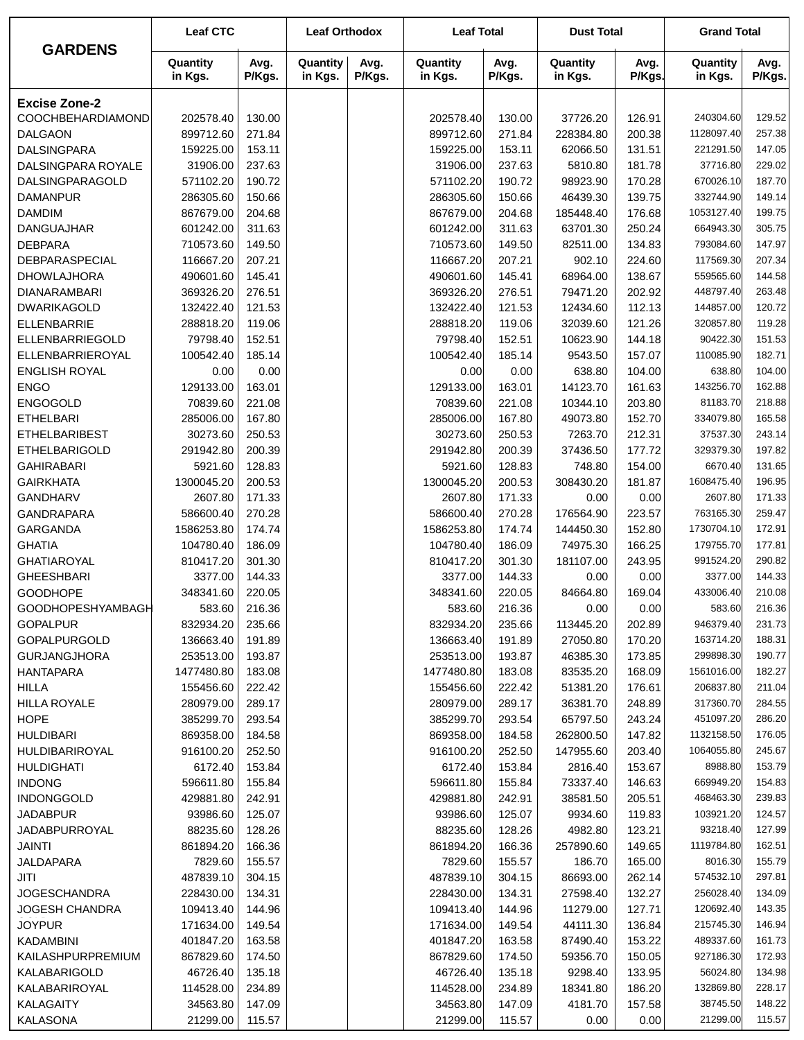|                        | <b>Leaf CTC</b>     |                | <b>Leaf Orthodox</b> |                | <b>Leaf Total</b>   |                | <b>Dust Total</b>   |                | <b>Grand Total</b>  |                |
|------------------------|---------------------|----------------|----------------------|----------------|---------------------|----------------|---------------------|----------------|---------------------|----------------|
| <b>GARDENS</b>         | Quantity<br>in Kgs. | Avg.<br>P/Kgs. | Quantity<br>in Kgs.  | Avg.<br>P/Kgs. | Quantity<br>in Kgs. | Avg.<br>P/Kgs. | Quantity<br>in Kgs. | Avg.<br>P/Kgs. | Quantity<br>in Kgs. | Avg.<br>P/Kgs. |
| <b>Excise Zone-2</b>   |                     |                |                      |                |                     |                |                     |                |                     |                |
| COOCHBEHARDIAMOND      | 202578.40           | 130.00         |                      |                | 202578.40           | 130.00         | 37726.20            | 126.91         | 240304.60           | 129.52         |
| <b>DALGAON</b>         | 899712.60           | 271.84         |                      |                | 899712.60           | 271.84         | 228384.80           | 200.38         | 1128097.40          | 257.38         |
| <b>DALSINGPARA</b>     | 159225.00           | 153.11         |                      |                | 159225.00           | 153.11         | 62066.50            | 131.51         | 221291.50           | 147.05         |
| DALSINGPARA ROYALE     | 31906.00            | 237.63         |                      |                | 31906.00            | 237.63         | 5810.80             | 181.78         | 37716.80            | 229.02         |
| <b>DALSINGPARAGOLD</b> | 571102.20           | 190.72         |                      |                | 571102.20           | 190.72         | 98923.90            | 170.28         | 670026.10           | 187.70         |
| <b>DAMANPUR</b>        | 286305.60           | 150.66         |                      |                | 286305.60           | 150.66         | 46439.30            | 139.75         | 332744.90           | 149.14         |
| <b>DAMDIM</b>          | 867679.00           | 204.68         |                      |                | 867679.00           | 204.68         | 185448.40           | 176.68         | 1053127.40          | 199.75         |
| <b>DANGUAJHAR</b>      | 601242.00           | 311.63         |                      |                | 601242.00           | 311.63         | 63701.30            | 250.24         | 664943.30           | 305.75         |
| <b>DEBPARA</b>         | 710573.60           | 149.50         |                      |                | 710573.60           | 149.50         | 82511.00            | 134.83         | 793084.60           | 147.97         |
| DEBPARASPECIAL         | 116667.20           | 207.21         |                      |                | 116667.20           | 207.21         | 902.10              | 224.60         | 117569.30           | 207.34         |
| <b>DHOWLAJHORA</b>     | 490601.60           | 145.41         |                      |                | 490601.60           | 145.41         | 68964.00            | 138.67         | 559565.60           | 144.58         |
| <b>DIANARAMBARI</b>    | 369326.20           | 276.51         |                      |                | 369326.20           | 276.51         | 79471.20            | 202.92         | 448797.40           | 263.48         |
| <b>DWARIKAGOLD</b>     | 132422.40           | 121.53         |                      |                | 132422.40           | 121.53         | 12434.60            | 112.13         | 144857.00           | 120.72         |
| <b>ELLENBARRIE</b>     | 288818.20           | 119.06         |                      |                | 288818.20           | 119.06         | 32039.60            | 121.26         | 320857.80           | 119.28         |
| ELLENBARRIEGOLD        | 79798.40            | 152.51         |                      |                | 79798.40            | 152.51         | 10623.90            | 144.18         | 90422.30            | 151.53         |
| ELLENBARRIEROYAL       | 100542.40           | 185.14         |                      |                | 100542.40           | 185.14         | 9543.50             | 157.07         | 110085.90           | 182.71         |
| <b>ENGLISH ROYAL</b>   | 0.00                | 0.00           |                      |                | 0.00                | 0.00           | 638.80              | 104.00         | 638.80              | 104.00         |
| <b>ENGO</b>            | 129133.00           | 163.01         |                      |                | 129133.00           | 163.01         | 14123.70            | 161.63         | 143256.70           | 162.88         |
| <b>ENGOGOLD</b>        | 70839.60            | 221.08         |                      |                | 70839.60            | 221.08         | 10344.10            | 203.80         | 81183.70            | 218.88         |
| <b>ETHELBARI</b>       | 285006.00           | 167.80         |                      |                | 285006.00           | 167.80         | 49073.80            | 152.70         | 334079.80           | 165.58         |
| <b>ETHELBARIBEST</b>   | 30273.60            | 250.53         |                      |                | 30273.60            | 250.53         | 7263.70             | 212.31         | 37537.30            | 243.14         |
| <b>ETHELBARIGOLD</b>   | 291942.80           | 200.39         |                      |                | 291942.80           | 200.39         | 37436.50            | 177.72         | 329379.30           | 197.82         |
| <b>GAHIRABARI</b>      | 5921.60             | 128.83         |                      |                | 5921.60             | 128.83         | 748.80              | 154.00         | 6670.40             | 131.65         |
| <b>GAIRKHATA</b>       | 1300045.20          | 200.53         |                      |                | 1300045.20          | 200.53         | 308430.20           | 181.87         | 1608475.40          | 196.95         |
| <b>GANDHARV</b>        | 2607.80             | 171.33         |                      |                | 2607.80             | 171.33         | 0.00                | 0.00           | 2607.80             | 171.33         |
| <b>GANDRAPARA</b>      | 586600.40           | 270.28         |                      |                | 586600.40           | 270.28         | 176564.90           | 223.57         | 763165.30           | 259.47         |
| GARGANDA               | 1586253.80          | 174.74         |                      |                | 1586253.80          | 174.74         | 144450.30           | 152.80         | 1730704.10          | 172.91         |
| <b>GHATIA</b>          | 104780.40           | 186.09         |                      |                | 104780.40           | 186.09         | 74975.30            | 166.25         | 179755.70           | 177.81         |
| <b>GHATIAROYAL</b>     | 810417.20           | 301.30         |                      |                | 810417.20           | 301.30         | 181107.00           | 243.95         | 991524.20           | 290.82         |
| <b>GHEESHBARI</b>      | 3377.00             | 144.33         |                      |                | 3377.00             | 144.33         | 0.00                | 0.00           | 3377.00             | 144.33         |
| <b>GOODHOPE</b>        | 348341.60           | 220.05         |                      |                | 348341.60           | 220.05         | 84664.80            | 169.04         | 433006.40           | 210.08         |
| GOODHOPESHYAMBAGH      | 583.60              | 216.36         |                      |                | 583.60              | 216.36         | 0.00                | 0.00           | 583.60              | 216.36         |
| <b>GOPALPUR</b>        | 832934.20           | 235.66         |                      |                | 832934.20           | 235.66         | 113445.20           | 202.89         | 946379.40           | 231.73         |
| <b>GOPALPURGOLD</b>    | 136663.40           | 191.89         |                      |                | 136663.40           | 191.89         | 27050.80            | 170.20         | 163714.20           | 188.31         |
| <b>GURJANGJHORA</b>    | 253513.00           | 193.87         |                      |                | 253513.00           | 193.87         | 46385.30            | 173.85         | 299898.30           | 190.77         |
| <b>HANTAPARA</b>       | 1477480.80          | 183.08         |                      |                | 1477480.80          | 183.08         | 83535.20            | 168.09         | 1561016.00          | 182.27         |
| <b>HILLA</b>           | 155456.60           | 222.42         |                      |                | 155456.60           | 222.42         | 51381.20            | 176.61         | 206837.80           | 211.04         |
| <b>HILLA ROYALE</b>    | 280979.00           | 289.17         |                      |                | 280979.00           | 289.17         | 36381.70            | 248.89         | 317360.70           | 284.55         |
| <b>HOPE</b>            | 385299.70           | 293.54         |                      |                | 385299.70           | 293.54         | 65797.50            | 243.24         | 451097.20           | 286.20         |
| <b>HULDIBARI</b>       | 869358.00           | 184.58         |                      |                | 869358.00           | 184.58         | 262800.50           | 147.82         | 1132158.50          | 176.05         |
| HULDIBARIROYAL         | 916100.20           | 252.50         |                      |                | 916100.20           | 252.50         | 147955.60           | 203.40         | 1064055.80          | 245.67         |
| <b>HULDIGHATI</b>      | 6172.40             | 153.84         |                      |                | 6172.40             | 153.84         | 2816.40             | 153.67         | 8988.80             | 153.79         |
| <b>INDONG</b>          | 596611.80           | 155.84         |                      |                | 596611.80           | 155.84         | 73337.40            | 146.63         | 669949.20           | 154.83         |
| <b>INDONGGOLD</b>      | 429881.80           | 242.91         |                      |                | 429881.80           | 242.91         | 38581.50            | 205.51         | 468463.30           | 239.83         |
| <b>JADABPUR</b>        | 93986.60            | 125.07         |                      |                | 93986.60            | 125.07         | 9934.60             | 119.83         | 103921.20           | 124.57         |
| <b>JADABPURROYAL</b>   | 88235.60            | 128.26         |                      |                | 88235.60            | 128.26         | 4982.80             | 123.21         | 93218.40            | 127.99         |
| JAINTI                 | 861894.20           | 166.36         |                      |                | 861894.20           | 166.36         | 257890.60           | 149.65         | 1119784.80          | 162.51         |
| JALDAPARA              | 7829.60             | 155.57         |                      |                | 7829.60             | 155.57         | 186.70              | 165.00         | 8016.30             | 155.79         |
| JITI                   | 487839.10           | 304.15         |                      |                | 487839.10           | 304.15         | 86693.00            | 262.14         | 574532.10           | 297.81         |
| <b>JOGESCHANDRA</b>    | 228430.00           | 134.31         |                      |                | 228430.00           | 134.31         | 27598.40            | 132.27         | 256028.40           | 134.09         |
| <b>JOGESH CHANDRA</b>  | 109413.40           | 144.96         |                      |                | 109413.40           | 144.96         | 11279.00            | 127.71         | 120692.40           | 143.35         |
| <b>JOYPUR</b>          | 171634.00           | 149.54         |                      |                | 171634.00           | 149.54         | 44111.30            | 136.84         | 215745.30           | 146.94         |
| <b>KADAMBINI</b>       | 401847.20           | 163.58         |                      |                | 401847.20           | 163.58         | 87490.40            | 153.22         | 489337.60           | 161.73         |
| KAILASHPURPREMIUM      | 867829.60           | 174.50         |                      |                | 867829.60           | 174.50         | 59356.70            | 150.05         | 927186.30           | 172.93         |
| KALABARIGOLD           | 46726.40            | 135.18         |                      |                | 46726.40            | 135.18         | 9298.40             | 133.95         | 56024.80            | 134.98         |
| KALABARIROYAL          | 114528.00           | 234.89         |                      |                | 114528.00           | 234.89         | 18341.80            | 186.20         | 132869.80           | 228.17         |
| <b>KALAGAITY</b>       | 34563.80            | 147.09         |                      |                | 34563.80            | 147.09         | 4181.70             | 157.58         | 38745.50            | 148.22         |
| <b>KALASONA</b>        | 21299.00            | 115.57         |                      |                | 21299.00            | 115.57         | 0.00                | 0.00           | 21299.00            | 115.57         |
|                        |                     |                |                      |                |                     |                |                     |                |                     |                |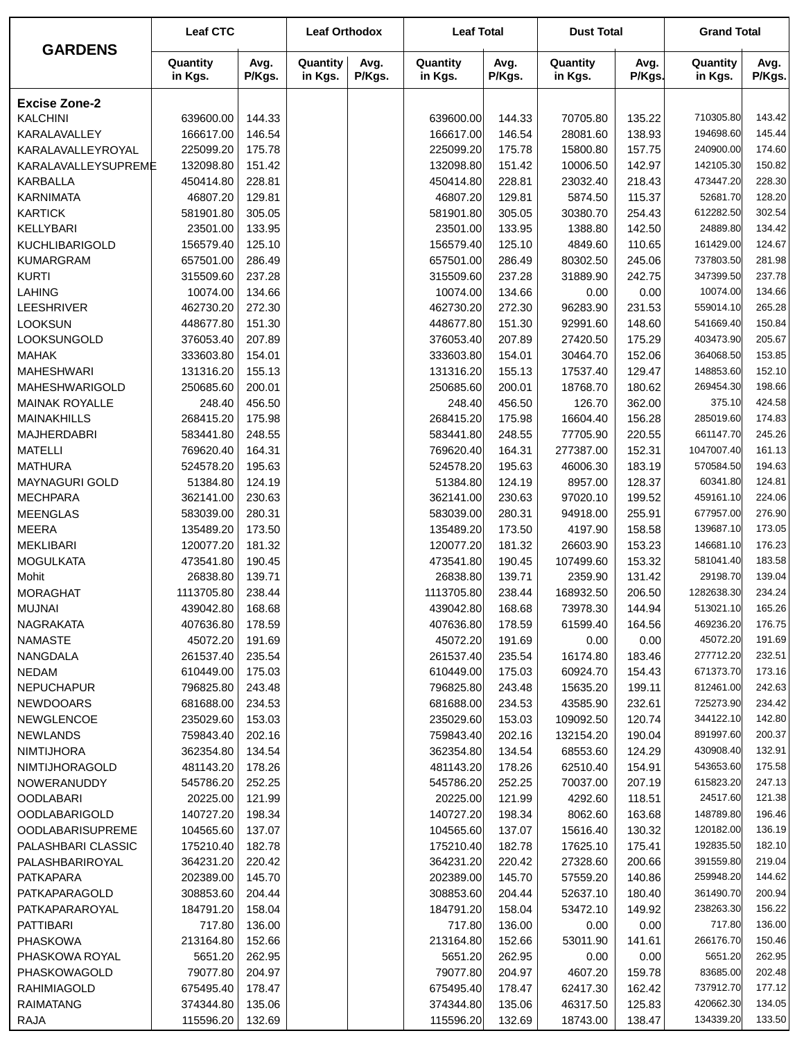|                         | <b>Leaf CTC</b>     |                | <b>Leaf Orthodox</b> |                | <b>Leaf Total</b>   |                | <b>Dust Total</b>   |                | <b>Grand Total</b>  |                |
|-------------------------|---------------------|----------------|----------------------|----------------|---------------------|----------------|---------------------|----------------|---------------------|----------------|
| <b>GARDENS</b>          | Quantity<br>in Kgs. | Avg.<br>P/Kgs. | Quantity<br>in Kgs.  | Avg.<br>P/Kgs. | Quantity<br>in Kgs. | Avg.<br>P/Kgs. | Quantity<br>in Kgs. | Avg.<br>P/Kgs. | Quantity<br>in Kgs. | Avg.<br>P/Kgs. |
| <b>Excise Zone-2</b>    |                     |                |                      |                |                     |                |                     |                |                     |                |
| <b>KALCHINI</b>         | 639600.00           | 144.33         |                      |                | 639600.00           | 144.33         | 70705.80            | 135.22         | 710305.80           | 143.42         |
| KARALAVALLEY            | 166617.00           | 146.54         |                      |                | 166617.00           | 146.54         | 28081.60            | 138.93         | 194698.60           | 145.44         |
| KARALAVALLEYROYAL       | 225099.20           | 175.78         |                      |                | 225099.20           | 175.78         | 15800.80            | 157.75         | 240900.00           | 174.60         |
| KARALAVALLEYSUPREME     | 132098.80           | 151.42         |                      |                | 132098.80           | 151.42         | 10006.50            | 142.97         | 142105.30           | 150.82         |
| <b>KARBALLA</b>         | 450414.80           | 228.81         |                      |                | 450414.80           | 228.81         | 23032.40            | 218.43         | 473447.20           | 228.30         |
| <b>KARNIMATA</b>        | 46807.20            | 129.81         |                      |                | 46807.20            | 129.81         | 5874.50             | 115.37         | 52681.70            | 128.20         |
| <b>KARTICK</b>          | 581901.80           | 305.05         |                      |                | 581901.80           | 305.05         | 30380.70            | 254.43         | 612282.50           | 302.54         |
| KELLYBARI               | 23501.00            | 133.95         |                      |                | 23501.00            | 133.95         | 1388.80             | 142.50         | 24889.80            | 134.42         |
| <b>KUCHLIBARIGOLD</b>   | 156579.40           | 125.10         |                      |                | 156579.40           | 125.10         | 4849.60             | 110.65         | 161429.00           | 124.67         |
| <b>KUMARGRAM</b>        | 657501.00           | 286.49         |                      |                | 657501.00           | 286.49         | 80302.50            | 245.06         | 737803.50           | 281.98         |
| <b>KURTI</b>            | 315509.60           | 237.28         |                      |                | 315509.60           | 237.28         | 31889.90            | 242.75         | 347399.50           | 237.78         |
| LAHING                  | 10074.00            | 134.66         |                      |                | 10074.00            | 134.66         | 0.00                | 0.00           | 10074.00            | 134.66         |
| LEESHRIVER              | 462730.20           | 272.30         |                      |                | 462730.20           | 272.30         | 96283.90            | 231.53         | 559014.10           | 265.28         |
| <b>LOOKSUN</b>          | 448677.80           | 151.30         |                      |                | 448677.80           | 151.30         | 92991.60            | 148.60         | 541669.40           | 150.84         |
| LOOKSUNGOLD             | 376053.40           | 207.89         |                      |                | 376053.40           | 207.89         | 27420.50            | 175.29         | 403473.90           | 205.67         |
| <b>MAHAK</b>            | 333603.80           | 154.01         |                      |                | 333603.80           | 154.01         | 30464.70            | 152.06         | 364068.50           | 153.85         |
| <b>MAHESHWARI</b>       | 131316.20           | 155.13         |                      |                | 131316.20           | 155.13         | 17537.40            | 129.47         | 148853.60           | 152.10         |
| MAHESHWARIGOLD          | 250685.60           | 200.01         |                      |                | 250685.60           | 200.01         | 18768.70            | 180.62         | 269454.30           | 198.66         |
| <b>MAINAK ROYALLE</b>   | 248.40              | 456.50         |                      |                | 248.40              | 456.50         | 126.70              | 362.00         | 375.10              | 424.58         |
| <b>MAINAKHILLS</b>      | 268415.20           | 175.98         |                      |                | 268415.20           | 175.98         | 16604.40            | 156.28         | 285019.60           | 174.83         |
| <b>MAJHERDABRI</b>      | 583441.80           | 248.55         |                      |                | 583441.80           | 248.55         | 77705.90            | 220.55         | 661147.70           | 245.26         |
| <b>MATELLI</b>          | 769620.40           | 164.31         |                      |                | 769620.40           | 164.31         | 277387.00           | 152.31         | 1047007.40          | 161.13         |
| <b>MATHURA</b>          | 524578.20           | 195.63         |                      |                | 524578.20           | 195.63         | 46006.30            | 183.19         | 570584.50           | 194.63         |
| <b>MAYNAGURI GOLD</b>   | 51384.80            | 124.19         |                      |                | 51384.80            | 124.19         | 8957.00             | 128.37         | 60341.80            | 124.81         |
| <b>MECHPARA</b>         | 362141.00           | 230.63         |                      |                | 362141.00           | 230.63         | 97020.10            | 199.52         | 459161.10           | 224.06         |
| <b>MEENGLAS</b>         | 583039.00           | 280.31         |                      |                | 583039.00           | 280.31         | 94918.00            | 255.91         | 677957.00           | 276.90         |
| <b>MEERA</b>            | 135489.20           | 173.50         |                      |                | 135489.20           | 173.50         | 4197.90             | 158.58         | 139687.10           | 173.05         |
| <b>MEKLIBARI</b>        | 120077.20           | 181.32         |                      |                | 120077.20           | 181.32         | 26603.90            | 153.23         | 146681.10           | 176.23         |
| <b>MOGULKATA</b>        | 473541.80           | 190.45         |                      |                | 473541.80           | 190.45         | 107499.60           | 153.32         | 581041.40           | 183.58         |
| Mohit                   | 26838.80            | 139.71         |                      |                | 26838.80            | 139.71         | 2359.90             | 131.42         | 29198.70            | 139.04         |
| <b>MORAGHAT</b>         | 1113705.80          | 238.44         |                      |                | 1113705.80          | 238.44         | 168932.50           | 206.50         | 1282638.30          | 234.24         |
| MUJNAI                  | 439042.80           | 168.68         |                      |                | 439042.80           | 168.68         | 73978.30            | 144.94         | 513021.10           | 165.26         |
| NAGRAKATA               | 407636.80           | 178.59         |                      |                | 407636.80           | 178.59         | 61599.40            | 164.56         | 469236.20           | 176.75         |
| <b>NAMASTE</b>          | 45072.20            | 191.69         |                      |                | 45072.20            | 191.69         | 0.00                | 0.00           | 45072.20            | 191.69         |
| NANGDALA                | 261537.40           | 235.54         |                      |                | 261537.40           | 235.54         | 16174.80            | 183.46         | 277712.20           | 232.51         |
| <b>NEDAM</b>            | 610449.00           | 175.03         |                      |                | 610449.00           | 175.03         | 60924.70            | 154.43         | 671373.70           | 173.16         |
| <b>NEPUCHAPUR</b>       | 796825.80           | 243.48         |                      |                | 796825.80           | 243.48         | 15635.20            | 199.11         | 812461.00           | 242.63         |
| <b>NEWDOOARS</b>        | 681688.00           | 234.53         |                      |                | 681688.00           | 234.53         | 43585.90            | 232.61         | 725273.90           | 234.42         |
| <b>NEWGLENCOE</b>       | 235029.60           | 153.03         |                      |                | 235029.60           | 153.03         | 109092.50           | 120.74         | 344122.10           | 142.80         |
| <b>NEWLANDS</b>         | 759843.40           | 202.16         |                      |                | 759843.40           | 202.16         | 132154.20           | 190.04         | 891997.60           | 200.37         |
| <b>NIMTIJHORA</b>       | 362354.80           | 134.54         |                      |                | 362354.80           | 134.54         | 68553.60            | 124.29         | 430908.40           | 132.91         |
| NIMTIJHORAGOLD          | 481143.20           | 178.26         |                      |                | 481143.20           | 178.26         | 62510.40            | 154.91         | 543653.60           | 175.58         |
| NOWERANUDDY             | 545786.20           | 252.25         |                      |                | 545786.20           | 252.25         | 70037.00            | 207.19         | 615823.20           | 247.13         |
| <b>OODLABARI</b>        | 20225.00            | 121.99         |                      |                | 20225.00            | 121.99         | 4292.60             | 118.51         | 24517.60            | 121.38         |
| <b>OODLABARIGOLD</b>    | 140727.20           | 198.34         |                      |                | 140727.20           | 198.34         | 8062.60             | 163.68         | 148789.80           | 196.46         |
| <b>OODLABARISUPREME</b> | 104565.60           | 137.07         |                      |                | 104565.60           | 137.07         | 15616.40            | 130.32         | 120182.00           | 136.19         |
| PALASHBARI CLASSIC      | 175210.40           | 182.78         |                      |                | 175210.40           | 182.78         | 17625.10            | 175.41         | 192835.50           | 182.10         |
| PALASHBARIROYAL         | 364231.20           | 220.42         |                      |                | 364231.20           | 220.42         | 27328.60            | 200.66         | 391559.80           | 219.04         |
| PATKAPARA               | 202389.00           | 145.70         |                      |                | 202389.00           | 145.70         | 57559.20            | 140.86         | 259948.20           | 144.62         |
| PATKAPARAGOLD           | 308853.60           | 204.44         |                      |                | 308853.60           | 204.44         | 52637.10            | 180.40         | 361490.70           | 200.94         |
| PATKAPARAROYAL          | 184791.20           | 158.04         |                      |                | 184791.20           | 158.04         | 53472.10            | 149.92         | 238263.30           | 156.22         |
| <b>PATTIBARI</b>        | 717.80              | 136.00         |                      |                | 717.80              | 136.00         | 0.00                | 0.00           | 717.80              | 136.00         |
| <b>PHASKOWA</b>         | 213164.80           | 152.66         |                      |                | 213164.80           | 152.66         | 53011.90            | 141.61         | 266176.70           | 150.46         |
| PHASKOWA ROYAL          | 5651.20             | 262.95         |                      |                | 5651.20             | 262.95         | 0.00                | 0.00           | 5651.20             | 262.95         |
| PHASKOWAGOLD            | 79077.80            | 204.97         |                      |                | 79077.80            | 204.97         | 4607.20             | 159.78         | 83685.00            | 202.48         |
| <b>RAHIMIAGOLD</b>      | 675495.40           | 178.47         |                      |                | 675495.40           | 178.47         | 62417.30            | 162.42         | 737912.70           | 177.12         |
| <b>RAIMATANG</b>        | 374344.80           | 135.06         |                      |                | 374344.80           | 135.06         | 46317.50            | 125.83         | 420662.30           | 134.05         |
| <b>RAJA</b>             | 115596.20           | 132.69         |                      |                | 115596.20           | 132.69         | 18743.00            | 138.47         | 134339.20           | 133.50         |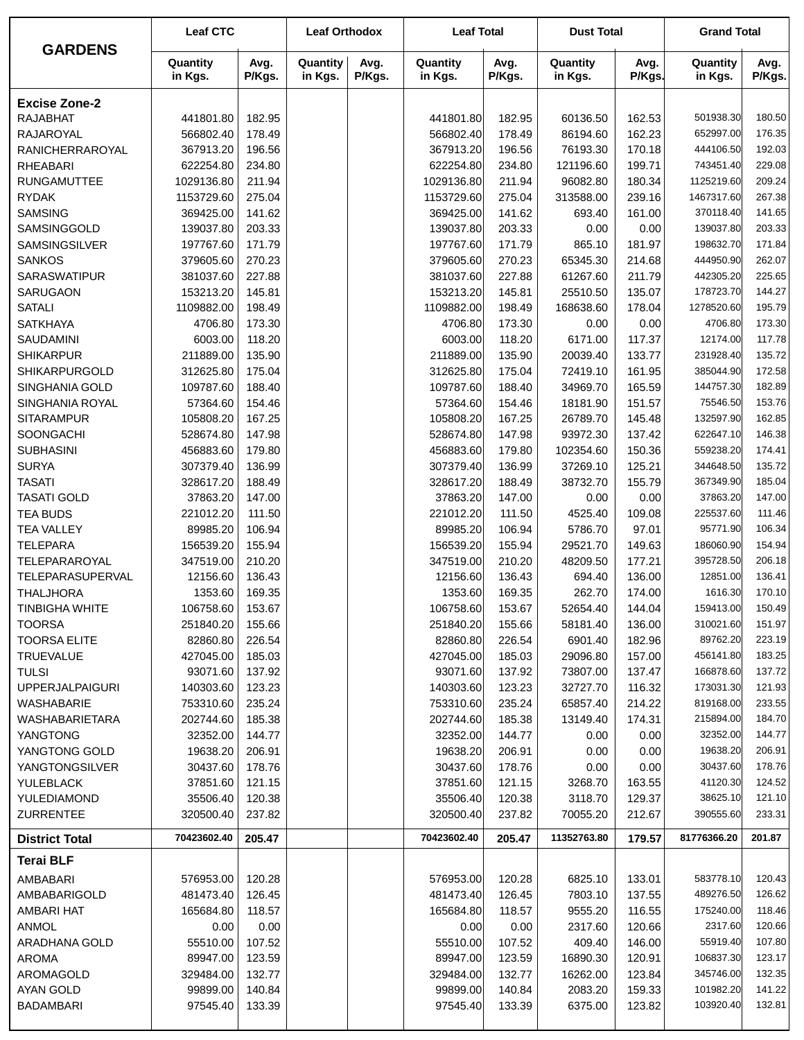| <b>GARDENS</b>                            | <b>Leaf CTC</b>       |                  | <b>Leaf Orthodox</b> |                | <b>Leaf Total</b>     |                  | <b>Dust Total</b>   |                  | <b>Grand Total</b>     |                  |
|-------------------------------------------|-----------------------|------------------|----------------------|----------------|-----------------------|------------------|---------------------|------------------|------------------------|------------------|
|                                           | Quantity<br>in Kgs.   | Avg.<br>P/Kgs.   | Quantity<br>in Kgs.  | Avg.<br>P/Kgs. | Quantity<br>in Kgs.   | Avg.<br>P/Kgs.   | Quantity<br>in Kgs. | Avg.<br>P/Kgs.   | Quantity<br>in Kgs.    | Avg.<br>P/Kgs.   |
| <b>Excise Zone-2</b>                      |                       |                  |                      |                |                       |                  |                     |                  |                        |                  |
| <b>RAJABHAT</b>                           | 441801.80             | 182.95           |                      |                | 441801.80             | 182.95           | 60136.50            | 162.53           | 501938.30              | 180.50           |
| RAJAROYAL                                 | 566802.40             | 178.49           |                      |                | 566802.40             | 178.49           | 86194.60            | 162.23           | 652997.00              | 176.35           |
| RANICHERRAROYAL                           | 367913.20             | 196.56           |                      |                | 367913.20             | 196.56           | 76193.30            | 170.18           | 444106.50              | 192.03           |
| <b>RHEABARI</b>                           | 622254.80             | 234.80           |                      |                | 622254.80             | 234.80           | 121196.60           | 199.71           | 743451.40              | 229.08           |
| <b>RUNGAMUTTEE</b>                        | 1029136.80            | 211.94           |                      |                | 1029136.80            | 211.94           | 96082.80            | 180.34           | 1125219.60             | 209.24           |
| <b>RYDAK</b>                              | 1153729.60            | 275.04           |                      |                | 1153729.60            | 275.04           | 313588.00           | 239.16           | 1467317.60             | 267.38           |
| <b>SAMSING</b>                            | 369425.00             | 141.62           |                      |                | 369425.00             | 141.62           | 693.40              | 161.00           | 370118.40              | 141.65           |
| SAMSINGGOLD                               | 139037.80             | 203.33           |                      |                | 139037.80             | 203.33           | 0.00                | 0.00             | 139037.80              | 203.33           |
| SAMSINGSILVER                             | 197767.60             | 171.79           |                      |                | 197767.60             | 171.79           | 865.10              | 181.97           | 198632.70              | 171.84           |
| <b>SANKOS</b>                             | 379605.60             | 270.23           |                      |                | 379605.60             | 270.23           | 65345.30            | 214.68           | 444950.90              | 262.07           |
| <b>SARASWATIPUR</b>                       | 381037.60             | 227.88           |                      |                | 381037.60             | 227.88           | 61267.60            | 211.79           | 442305.20              | 225.65           |
| SARUGAON                                  | 153213.20             | 145.81           |                      |                | 153213.20             | 145.81           | 25510.50            | 135.07           | 178723.70              | 144.27           |
| <b>SATALI</b>                             | 1109882.00            | 198.49           |                      |                | 1109882.00            | 198.49           | 168638.60           | 178.04           | 1278520.60             | 195.79           |
| <b>SATKHAYA</b>                           | 4706.80               | 173.30           |                      |                | 4706.80               | 173.30           | 0.00                | 0.00             | 4706.80                | 173.30           |
| <b>SAUDAMINI</b>                          | 6003.00               | 118.20           |                      |                | 6003.00               | 118.20           | 6171.00             | 117.37           | 12174.00               | 117.78           |
| <b>SHIKARPUR</b>                          | 211889.00             | 135.90           |                      |                | 211889.00             | 135.90           | 20039.40            | 133.77           | 231928.40              | 135.72           |
| SHIKARPURGOLD                             | 312625.80             | 175.04           |                      |                | 312625.80             | 175.04           | 72419.10            | 161.95           | 385044.90              | 172.58           |
| SINGHANIA GOLD                            | 109787.60             | 188.40           |                      |                | 109787.60             | 188.40           | 34969.70            | 165.59           | 144757.30              | 182.89           |
| SINGHANIA ROYAL                           | 57364.60              | 154.46           |                      |                | 57364.60              | 154.46           | 18181.90            | 151.57           | 75546.50               | 153.76           |
| <b>SITARAMPUR</b>                         | 105808.20             | 167.25           |                      |                | 105808.20             | 167.25           | 26789.70            | 145.48           | 132597.90              | 162.85           |
| SOONGACHI                                 | 528674.80             | 147.98           |                      |                | 528674.80             | 147.98           | 93972.30            | 137.42           | 622647.10              | 146.38           |
| <b>SUBHASINI</b>                          | 456883.60             | 179.80           |                      |                | 456883.60             | 179.80           | 102354.60           | 150.36           | 559238.20              | 174.41           |
| <b>SURYA</b>                              | 307379.40             | 136.99           |                      |                | 307379.40             | 136.99           | 37269.10            | 125.21           | 344648.50              | 135.72           |
| <b>TASATI</b>                             | 328617.20             | 188.49           |                      |                | 328617.20             | 188.49           | 38732.70            | 155.79           | 367349.90              | 185.04           |
| <b>TASATI GOLD</b>                        | 37863.20              | 147.00           |                      |                | 37863.20              | 147.00           | 0.00                | 0.00             | 37863.20               | 147.00           |
| <b>TEA BUDS</b>                           | 221012.20             | 111.50           |                      |                | 221012.20             | 111.50           | 4525.40             | 109.08           | 225537.60              | 111.46           |
| <b>TEA VALLEY</b>                         | 89985.20              | 106.94           |                      |                | 89985.20              | 106.94           | 5786.70             | 97.01            | 95771.90               | 106.34           |
| <b>TELEPARA</b>                           | 156539.20             | 155.94           |                      |                | 156539.20             | 155.94           | 29521.70            | 149.63           | 186060.90              | 154.94           |
| TELEPARAROYAL                             | 347519.00             | 210.20           |                      |                | 347519.00             | 210.20           | 48209.50            | 177.21           | 395728.50              | 206.18           |
| TELEPARASUPERVAL                          | 12156.60              | 136.43           |                      |                | 12156.60              | 136.43           | 694.40              | 136.00           | 12851.00               | 136.41           |
| <b>THALJHORA</b>                          | 1353.60               | 169.35           |                      |                | 1353.60               | 169.35           | 262.70              | 174.00           | 1616.30                | 170.10           |
| <b>TINBIGHA WHITE</b>                     | 106758.60             | 153.67           |                      |                | 106758.60             | 153.67           | 52654.40            | 144.04           | 159413.00              | 150.49           |
| TOORSA                                    | 251840.20             | 155.66           |                      |                | 251840.20             | 155.66           | 58181.40            | 136.00           | 310021.60              | 151.97           |
| <b>TOORSA ELITE</b>                       | 82860.80              | 226.54           |                      |                | 82860.80              | 226.54           | 6901.40             | 182.96           | 89762.20               | 223.19           |
| <b>TRUEVALUE</b>                          | 427045.00             | 185.03           |                      |                | 427045.00             | 185.03           | 29096.80            | 157.00           | 456141.80              | 183.25           |
| <b>TULSI</b>                              | 93071.60              | 137.92           |                      |                | 93071.60              | 137.92           | 73807.00            | 137.47           | 166878.60              | 137.72           |
| <b>UPPERJALPAIGURI</b>                    | 140303.60             | 123.23           |                      |                | 140303.60             | 123.23           | 32727.70            | 116.32           | 173031.30              | 121.93           |
| WASHABARIE                                | 753310.60             | 235.24           |                      |                | 753310.60             | 235.24           | 65857.40            | 214.22           | 819168.00              | 233.55           |
| WASHABARIETARA                            | 202744.60             | 185.38           |                      |                | 202744.60             | 185.38           | 13149.40            | 174.31           | 215894.00              | 184.70           |
| YANGTONG                                  | 32352.00              | 144.77           |                      |                | 32352.00              | 144.77           | 0.00                | 0.00             | 32352.00               | 144.77           |
| YANGTONG GOLD                             | 19638.20              | 206.91           |                      |                | 19638.20              | 206.91           | 0.00                | 0.00             | 19638.20               | 206.91           |
| <b>YANGTONGSILVER</b>                     | 30437.60              | 178.76           |                      |                | 30437.60              | 178.76           | 0.00                | 0.00             | 30437.60               | 178.76           |
| YULEBLACK                                 | 37851.60              | 121.15           |                      |                | 37851.60              | 121.15           | 3268.70             | 163.55           | 41120.30               | 124.52           |
| YULEDIAMOND<br><b>ZURRENTEE</b>           | 35506.40<br>320500.40 | 120.38<br>237.82 |                      |                | 35506.40<br>320500.40 | 120.38<br>237.82 | 3118.70<br>70055.20 | 129.37<br>212.67 | 38625.10<br>390555.60  | 121.10<br>233.31 |
|                                           | 70423602.40           | 205.47           |                      |                | 70423602.40           | 205.47           | 11352763.80         | 179.57           | 81776366.20            | 201.87           |
| <b>District Total</b><br><b>Terai BLF</b> |                       |                  |                      |                |                       |                  |                     |                  |                        |                  |
|                                           |                       |                  |                      |                |                       |                  |                     |                  |                        |                  |
| AMBABARI                                  | 576953.00             | 120.28           |                      |                | 576953.00             | 120.28           | 6825.10             | 133.01           | 583778.10<br>489276.50 | 120.43<br>126.62 |
| AMBABARIGOLD                              | 481473.40             | 126.45           |                      |                | 481473.40             | 126.45           | 7803.10             | 137.55           |                        |                  |
| AMBARI HAT                                | 165684.80             | 118.57           |                      |                | 165684.80             | 118.57           | 9555.20             | 116.55           | 175240.00              | 118.46           |
| <b>ANMOL</b>                              | 0.00                  | 0.00             |                      |                | 0.00<br>55510.00      | 0.00             | 2317.60             | 120.66           | 2317.60<br>55919.40    | 120.66<br>107.80 |
| ARADHANA GOLD<br><b>AROMA</b>             | 55510.00<br>89947.00  | 107.52<br>123.59 |                      |                | 89947.00              | 107.52<br>123.59 | 409.40<br>16890.30  | 146.00<br>120.91 | 106837.30              | 123.17           |
| AROMAGOLD                                 | 329484.00             |                  |                      |                | 329484.00             |                  |                     |                  | 345746.00              | 132.35           |
| AYAN GOLD                                 | 99899.00              | 132.77<br>140.84 |                      |                | 99899.00              | 132.77<br>140.84 | 16262.00<br>2083.20 | 123.84<br>159.33 | 101982.20              | 141.22           |
| <b>BADAMBARI</b>                          | 97545.40              | 133.39           |                      |                | 97545.40              | 133.39           | 6375.00             | 123.82           | 103920.40              | 132.81           |
|                                           |                       |                  |                      |                |                       |                  |                     |                  |                        |                  |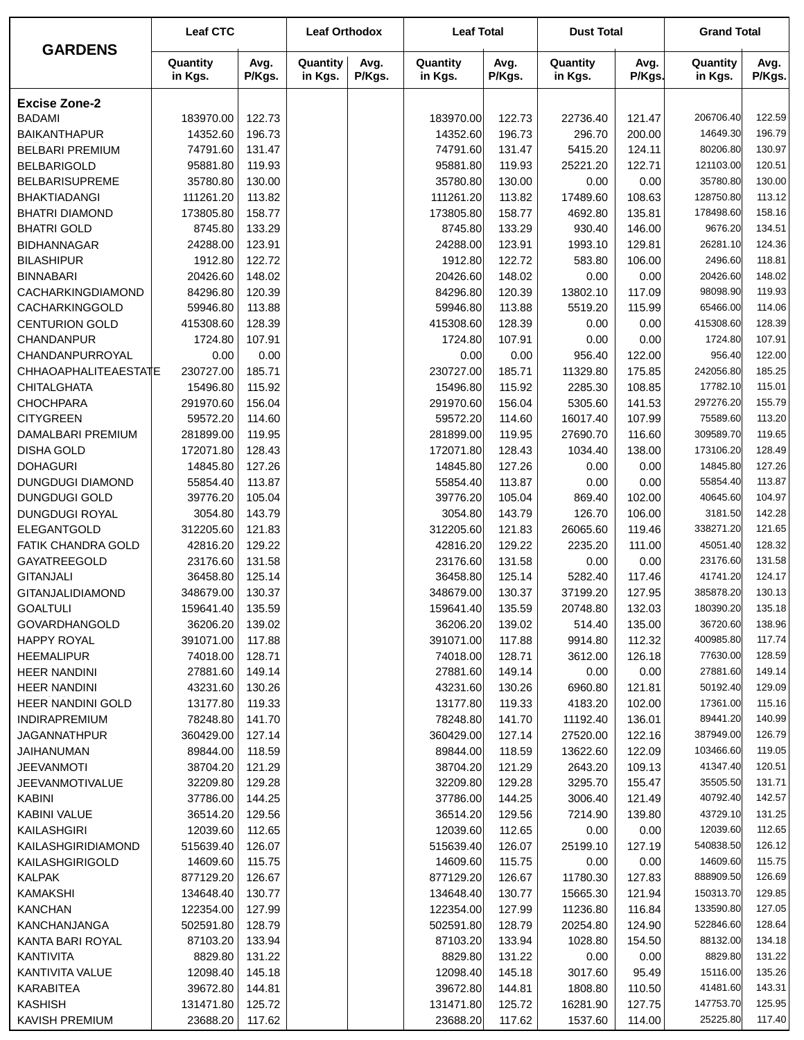|                                                | <b>Leaf CTC</b>       |                  | <b>Leaf Orthodox</b> |                | <b>Leaf Total</b>     |                  | <b>Dust Total</b>   |                  | <b>Grand Total</b>    |                  |
|------------------------------------------------|-----------------------|------------------|----------------------|----------------|-----------------------|------------------|---------------------|------------------|-----------------------|------------------|
| <b>GARDENS</b>                                 | Quantity<br>in Kgs.   | Avg.<br>P/Kgs.   | Quantity<br>in Kgs.  | Avg.<br>P/Kgs. | Quantity<br>in Kgs.   | Avg.<br>P/Kgs.   | Quantity<br>in Kgs. | Avg.<br>P/Kgs.   | Quantity<br>in Kgs.   | Avg.<br>P/Kgs.   |
| <b>Excise Zone-2</b>                           |                       |                  |                      |                |                       |                  |                     |                  |                       |                  |
| <b>BADAMI</b>                                  | 183970.00             | 122.73           |                      |                | 183970.00             | 122.73           | 22736.40            | 121.47           | 206706.40             | 122.59           |
| <b>BAIKANTHAPUR</b>                            | 14352.60              | 196.73           |                      |                | 14352.60              | 196.73           | 296.70              | 200.00           | 14649.30              | 196.79           |
| <b>BELBARI PREMIUM</b>                         | 74791.60              | 131.47           |                      |                | 74791.60              | 131.47           | 5415.20             | 124.11           | 80206.80              | 130.97           |
| <b>BELBARIGOLD</b>                             | 95881.80              | 119.93           |                      |                | 95881.80              | 119.93           | 25221.20            | 122.71           | 121103.00             | 120.51           |
| <b>BELBARISUPREME</b>                          | 35780.80              | 130.00           |                      |                | 35780.80              | 130.00           | 0.00                | 0.00             | 35780.80              | 130.00           |
| <b>BHAKTIADANGI</b>                            | 111261.20             | 113.82           |                      |                | 111261.20             | 113.82           | 17489.60            | 108.63           | 128750.80             | 113.12           |
| <b>BHATRI DIAMOND</b>                          | 173805.80             | 158.77           |                      |                | 173805.80             | 158.77           | 4692.80             | 135.81           | 178498.60             | 158.16           |
| <b>BHATRI GOLD</b>                             | 8745.80               | 133.29           |                      |                | 8745.80               | 133.29           | 930.40              | 146.00           | 9676.20               | 134.51           |
| <b>BIDHANNAGAR</b>                             | 24288.00              | 123.91           |                      |                | 24288.00              | 123.91           | 1993.10             | 129.81           | 26281.10              | 124.36           |
| <b>BILASHIPUR</b>                              | 1912.80               | 122.72           |                      |                | 1912.80               | 122.72           | 583.80              | 106.00           | 2496.60               | 118.81           |
| <b>BINNABARI</b>                               | 20426.60              | 148.02           |                      |                | 20426.60              | 148.02           | 0.00                | 0.00             | 20426.60              | 148.02           |
| CACHARKINGDIAMOND                              | 84296.80              | 120.39           |                      |                | 84296.80              | 120.39           | 13802.10            | 117.09           | 98098.90              | 119.93           |
| CACHARKINGGOLD                                 | 59946.80              | 113.88           |                      |                | 59946.80              | 113.88           | 5519.20             | 115.99           | 65466.00              | 114.06           |
| <b>CENTURION GOLD</b>                          | 415308.60             | 128.39           |                      |                | 415308.60             | 128.39           | 0.00                | 0.00             | 415308.60             | 128.39           |
| CHANDANPUR                                     | 1724.80               | 107.91           |                      |                | 1724.80               | 107.91           | 0.00                | 0.00             | 1724.80               | 107.91           |
| CHANDANPURROYAL<br><b>CHHAOAPHALITEAESTATE</b> | 0.00                  | 0.00<br>185.71   |                      |                | 0.00                  | 0.00<br>185.71   | 956.40              | 122.00           | 956.40<br>242056.80   | 122.00<br>185.25 |
| <b>CHITALGHATA</b>                             | 230727.00<br>15496.80 | 115.92           |                      |                | 230727.00<br>15496.80 | 115.92           | 11329.80<br>2285.30 | 175.85<br>108.85 | 17782.10              | 115.01           |
| <b>CHOCHPARA</b>                               | 291970.60             | 156.04           |                      |                | 291970.60             | 156.04           | 5305.60             | 141.53           | 297276.20             | 155.79           |
| <b>CITYGREEN</b>                               | 59572.20              | 114.60           |                      |                | 59572.20              | 114.60           | 16017.40            | 107.99           | 75589.60              | 113.20           |
| DAMALBARI PREMIUM                              | 281899.00             | 119.95           |                      |                | 281899.00             | 119.95           | 27690.70            | 116.60           | 309589.70             | 119.65           |
| <b>DISHA GOLD</b>                              | 172071.80             | 128.43           |                      |                | 172071.80             | 128.43           | 1034.40             | 138.00           | 173106.20             | 128.49           |
| <b>DOHAGURI</b>                                | 14845.80              | 127.26           |                      |                | 14845.80              | 127.26           | 0.00                | 0.00             | 14845.80              | 127.26           |
| <b>DUNGDUGI DIAMOND</b>                        | 55854.40              | 113.87           |                      |                | 55854.40              | 113.87           | 0.00                | 0.00             | 55854.40              | 113.87           |
| <b>DUNGDUGI GOLD</b>                           | 39776.20              | 105.04           |                      |                | 39776.20              | 105.04           | 869.40              | 102.00           | 40645.60              | 104.97           |
| DUNGDUGI ROYAL                                 | 3054.80               | 143.79           |                      |                | 3054.80               | 143.79           | 126.70              | 106.00           | 3181.50               | 142.28           |
| ELEGANTGOLD                                    | 312205.60             | 121.83           |                      |                | 312205.60             | 121.83           | 26065.60            | 119.46           | 338271.20             | 121.65           |
| FATIK CHANDRA GOLD                             | 42816.20              | 129.22           |                      |                | 42816.20              | 129.22           | 2235.20             | 111.00           | 45051.40              | 128.32           |
| GAYATREEGOLD                                   | 23176.60              | 131.58           |                      |                | 23176.60              | 131.58           | 0.00                | 0.00             | 23176.60              | 131.58           |
| <b>GITANJALI</b>                               | 36458.80              | 125.14           |                      |                | 36458.80              | 125.14           | 5282.40             | 117.46           | 41741.20              | 124.17           |
| <b>GITANJALIDIAMOND</b>                        | 348679.00             | 130.37           |                      |                | 348679.00             | 130.37           | 37199.20            | 127.95           | 385878.20             | 130.13           |
| <b>GOALTULI</b>                                | 159641.40             | 135.59           |                      |                | 159641.40             | 135.59           | 20748.80            | 132.03           | 180390.20             | 135.18           |
| <b>GOVARDHANGOLD</b>                           | 36206.20              | 139.02           |                      |                | 36206.20              | 139.02           | 514.40              | 135.00           | 36720.60              | 138.96           |
| <b>HAPPY ROYAL</b>                             | 391071.00             | 117.88           |                      |                | 391071.00             | 117.88           | 9914.80             | 112.32           | 400985.80             | 117.74           |
| <b>HEEMALIPUR</b>                              | 74018.00              | 128.71           |                      |                | 74018.00              | 128.71           | 3612.00             | 126.18           | 77630.00              | 128.59           |
| <b>HEER NANDINI</b>                            | 27881.60              | 149.14           |                      |                | 27881.60              | 149.14           | 0.00                | 0.00             | 27881.60              | 149.14           |
| <b>HEER NANDINI</b>                            | 43231.60              | 130.26           |                      |                | 43231.60              | 130.26           | 6960.80             | 121.81           | 50192.40              | 129.09           |
| HEER NANDINI GOLD                              | 13177.80              | 119.33           |                      |                | 13177.80              | 119.33           | 4183.20             | 102.00           | 17361.00              | 115.16           |
| <b>INDIRAPREMIUM</b>                           | 78248.80              | 141.70           |                      |                | 78248.80              | 141.70           | 11192.40            | 136.01           | 89441.20              | 140.99           |
| JAGANNATHPUR                                   | 360429.00             | 127.14           |                      |                | 360429.00             | 127.14           | 27520.00            | 122.16           | 387949.00             | 126.79           |
| JAIHANUMAN<br><b>JEEVANMOTI</b>                | 89844.00              | 118.59<br>121.29 |                      |                | 89844.00              | 118.59<br>121.29 | 13622.60            | 122.09           | 103466.60<br>41347.40 | 119.05<br>120.51 |
| JEEVANMOTIVALUE                                | 38704.20<br>32209.80  | 129.28           |                      |                | 38704.20<br>32209.80  | 129.28           | 2643.20<br>3295.70  | 109.13<br>155.47 | 35505.50              | 131.71           |
| <b>KABINI</b>                                  | 37786.00              | 144.25           |                      |                | 37786.00              | 144.25           | 3006.40             | 121.49           | 40792.40              | 142.57           |
| KABINI VALUE                                   | 36514.20              | 129.56           |                      |                | 36514.20              | 129.56           | 7214.90             | 139.80           | 43729.10              | 131.25           |
| KAILASHGIRI                                    | 12039.60              | 112.65           |                      |                | 12039.60              | 112.65           | 0.00                | 0.00             | 12039.60              | 112.65           |
| KAILASHGIRIDIAMOND                             | 515639.40             | 126.07           |                      |                | 515639.40             | 126.07           | 25199.10            | 127.19           | 540838.50             | 126.12           |
| KAILASHGIRIGOLD                                | 14609.60              | 115.75           |                      |                | 14609.60              | 115.75           | 0.00                | 0.00             | 14609.60              | 115.75           |
| <b>KALPAK</b>                                  | 877129.20             | 126.67           |                      |                | 877129.20             | 126.67           | 11780.30            | 127.83           | 888909.50             | 126.69           |
| <b>KAMAKSHI</b>                                | 134648.40             | 130.77           |                      |                | 134648.40             | 130.77           | 15665.30            | 121.94           | 150313.70             | 129.85           |
| <b>KANCHAN</b>                                 | 122354.00             | 127.99           |                      |                | 122354.00             | 127.99           | 11236.80            | 116.84           | 133590.80             | 127.05           |
| KANCHANJANGA                                   | 502591.80             | 128.79           |                      |                | 502591.80             | 128.79           | 20254.80            | 124.90           | 522846.60             | 128.64           |
| KANTA BARI ROYAL                               | 87103.20              | 133.94           |                      |                | 87103.20              | 133.94           | 1028.80             | 154.50           | 88132.00              | 134.18           |
| KANTIVITA                                      | 8829.80               | 131.22           |                      |                | 8829.80               | 131.22           | 0.00                | 0.00             | 8829.80               | 131.22           |
| KANTIVITA VALUE                                | 12098.40              | 145.18           |                      |                | 12098.40              | 145.18           | 3017.60             | 95.49            | 15116.00              | 135.26           |
| KARABITEA                                      | 39672.80              | 144.81           |                      |                | 39672.80              | 144.81           | 1808.80             | 110.50           | 41481.60              | 143.31           |
| <b>KASHISH</b>                                 | 131471.80             | 125.72           |                      |                | 131471.80             | 125.72           | 16281.90            | 127.75           | 147753.70             | 125.95           |
| <b>KAVISH PREMIUM</b>                          | 23688.20              | 117.62           |                      |                | 23688.20              | 117.62           | 1537.60             | 114.00           | 25225.80              | 117.40           |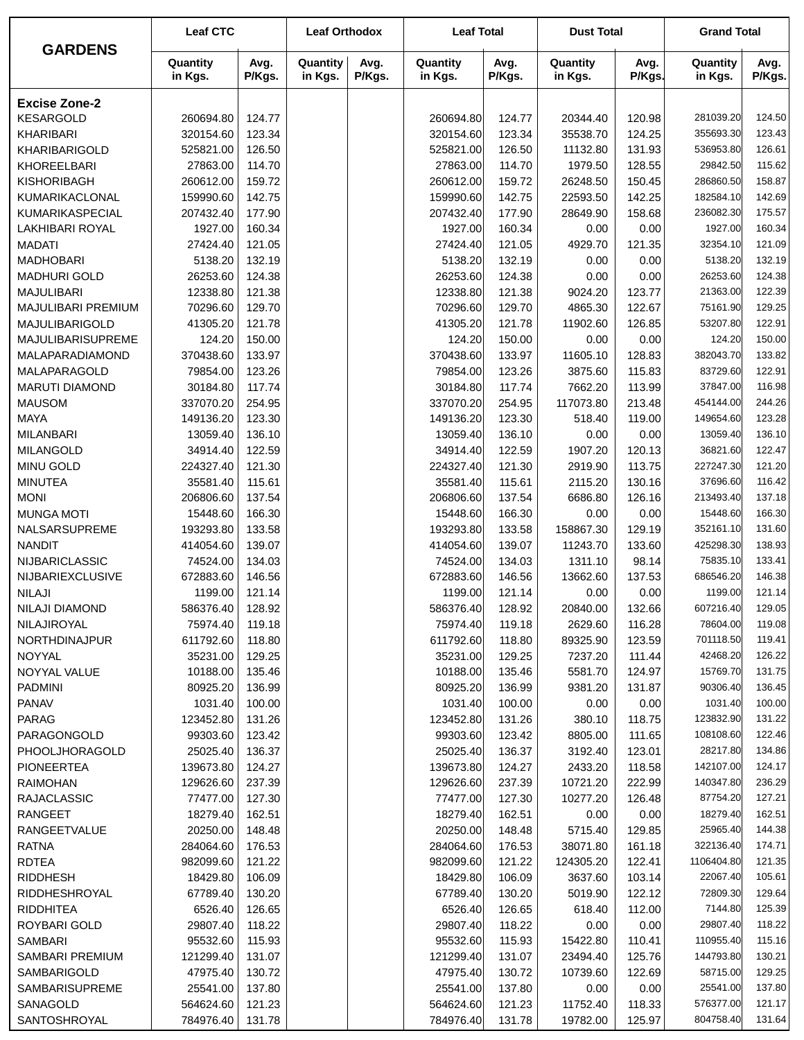| Avg.<br>Quantity<br>Avg.<br>Quantity<br>Avg.<br>Quantity<br>Quantity<br>Avg.<br>Quantity<br>Avg.<br>P/Kgs.<br>P/Kgs.<br>P/Kgs.<br>P/Kgs.<br>in Kgs.<br>in Kgs.<br>in Kgs.<br>P/Kgs.<br>in Kgs.<br>in Kgs.<br><b>Excise Zone-2</b><br><b>KESARGOLD</b><br>260694.80<br>124.77<br>260694.80<br>124.77<br>120.98<br>281039.20<br>124.50<br>20344.40<br>320154.60<br>123.34<br>35538.70<br>124.25<br>123.43<br>KHARIBARI<br>123.34<br>320154.60<br>355693.30<br>126.61<br>126.50<br>126.50<br>131.93<br>536953.80<br>KHARIBARIGOLD<br>525821.00<br>525821.00<br>11132.80<br>115.62<br>KHOREELBARI<br>27863.00<br>114.70<br>27863.00<br>114.70<br>1979.50<br>128.55<br>29842.50<br>158.87<br>KISHORIBAGH<br>260612.00<br>159.72<br>260612.00<br>159.72<br>26248.50<br>150.45<br>286860.50<br>142.69<br>KUMARIKACLONAL<br>159990.60<br>142.75<br>159990.60<br>142.75<br>22593.50<br>142.25<br>182584.10<br>175.57<br>KUMARIKASPECIAL<br>207432.40<br>177.90<br>177.90<br>158.68<br>236082.30<br>207432.40<br>28649.90<br>160.34<br>1927.00<br>160.34<br>1927.00<br>160.34<br>0.00<br>1927.00<br>LAKHIBARI ROYAL<br>0.00<br>27424.40<br>121.05<br>27424.40<br>121.05<br>4929.70<br>121.35<br>121.09<br><b>MADATI</b><br>32354.10<br>132.19<br><b>MADHOBARI</b><br>5138.20<br>132.19<br>5138.20<br>132.19<br>0.00<br>5138.20<br>0.00<br>124.38<br><b>MADHURI GOLD</b><br>26253.60<br>124.38<br>26253.60<br>124.38<br>0.00<br>26253.60<br>0.00<br>122.39<br><b>MAJULIBARI</b><br>12338.80<br>121.38<br>12338.80<br>121.38<br>9024.20<br>123.77<br>21363.00<br>129.25<br>MAJULIBARI PREMIUM<br>70296.60<br>129.70<br>70296.60<br>129.70<br>4865.30<br>122.67<br>75161.90<br>122.91<br>41305.20<br>121.78<br>121.78<br>126.85<br>53207.80<br>MAJULIBARIGOLD<br>41305.20<br>11902.60<br>150.00<br>124.20<br>150.00<br>150.00<br>124.20<br>MAJULIBARISUPREME<br>124.20<br>0.00<br>0.00<br>133.97<br>133.82<br>MALAPARADIAMOND<br>370438.60<br>133.97<br>370438.60<br>11605.10<br>128.83<br>382043.70<br>122.91<br>MALAPARAGOLD<br>79854.00<br>123.26<br>79854.00<br>123.26<br>115.83<br>83729.60<br>3875.60<br>116.98<br>30184.80<br>117.74<br>117.74<br>7662.20<br>37847.00<br><b>MARUTI DIAMOND</b><br>30184.80<br>113.99<br>244.26<br><b>MAUSOM</b><br>337070.20<br>254.95<br>337070.20<br>254.95<br>117073.80<br>213.48<br>454144.00<br>123.28<br><b>MAYA</b><br>123.30<br>123.30<br>149654.60<br>149136.20<br>149136.20<br>518.40<br>119.00<br>136.10<br>13059.40<br>136.10<br>136.10<br>13059.40<br><b>MILANBARI</b><br>13059.40<br>0.00<br>0.00<br>122.47<br>34914.40<br>122.59<br>34914.40<br>122.59<br>1907.20<br>120.13<br>36821.60<br><b>MILANGOLD</b><br>121.20<br>MINU GOLD<br>224327.40<br>121.30<br>224327.40<br>121.30<br>113.75<br>227247.30<br>2919.90<br>116.42<br><b>MINUTEA</b><br>35581.40<br>115.61<br>115.61<br>130.16<br>37696.60<br>35581.40<br>2115.20<br>137.18<br>213493.40<br><b>MONI</b><br>206806.60<br>137.54<br>137.54<br>126.16<br>206806.60<br>6686.80<br>166.30<br><b>MUNGA MOTI</b><br>166.30<br>166.30<br>15448.60<br>15448.60<br>15448.60<br>0.00<br>0.00<br>193293.80<br>133.58<br>133.58<br>158867.30<br>129.19<br>352161.10<br>131.60<br>NALSARSUPREME<br>193293.80<br>139.07<br>139.07<br>425298.30<br>138.93<br><b>NANDIT</b><br>414054.60<br>414054.60<br>11243.70<br>133.60<br>74524.00<br>134.03<br>74524.00<br>134.03<br>98.14<br>75835.10<br>133.41<br>NIJBARICLASSIC<br>1311.10<br>672883.60<br>146.56<br>146.56<br>137.53<br>686546.20<br>146.38<br>NIJBARIEXCLUSIVE<br>672883.60<br>13662.60<br><b>NILAJI</b><br>121.14<br>121.14<br>1199.00<br>121.14<br>1199.00<br>1199.00<br>0.00<br>0.00<br>586376.40<br>128.92<br>586376.40<br>20840.00<br>132.66<br>607216.40<br>129.05<br>NILAJI DIAMOND<br>128.92<br>NILAJIROYAL<br>75974.40<br>75974.40<br>119.18<br>2629.60<br>116.28<br>78604.00<br>119.08<br>119.18<br>NORTHDINAJPUR<br>611792.60<br>118.80<br>611792.60<br>118.80<br>89325.90<br>123.59<br>701118.50<br>119.41<br>129.25<br>35231.00<br>35231.00<br>129.25<br>7237.20<br>111.44<br>42468.20<br>126.22<br>NOYYAL<br>135.46<br>10188.00<br>135.46<br>10188.00<br>5581.70<br>124.97<br>NOYYAL VALUE<br>15769.70<br>131.75<br>90306.40<br><b>PADMINI</b><br>80925.20<br>136.99<br>80925.20<br>136.99<br>9381.20<br>131.87<br>136.45<br>1031.40<br><b>PANAV</b><br>1031.40<br>100.00<br>1031.40<br>100.00<br>0.00<br>100.00<br>0.00<br>131.26<br>131.26<br>123832.90<br>PARAG<br>123452.80<br>123452.80<br>380.10<br>118.75<br>131.22<br>123.42<br>122.46<br>99303.60<br>123.42<br>99303.60<br>111.65<br>108108.60<br>PARAGONGOLD<br>8805.00<br>28217.80<br>25025.40<br>136.37<br>25025.40<br>136.37<br>123.01<br>134.86<br>3192.40<br><b>PHOOLJHORAGOLD</b><br><b>PIONEERTEA</b><br>124.27<br>124.27<br>118.58<br>142107.00<br>124.17<br>139673.80<br>139673.80<br>2433.20<br><b>RAIMOHAN</b><br>237.39<br>237.39<br>10721.20<br>222.99<br>140347.80<br>236.29<br>129626.60<br>129626.60<br>127.21<br>87754.20<br><b>RAJACLASSIC</b><br>77477.00<br>127.30<br>77477.00<br>127.30<br>10277.20<br>126.48<br>18279.40<br>162.51<br>18279.40<br>162.51<br>18279.40<br>162.51<br><b>RANGEET</b><br>0.00<br>0.00<br>144.38<br>20250.00<br>148.48<br>20250.00<br>148.48<br>5715.40<br>129.85<br>25965.40<br><b>RANGEETVALUE</b><br>284064.60<br>176.53<br>284064.60<br>176.53<br>161.18<br>322136.40<br>174.71<br><b>RATNA</b><br>38071.80<br>982099.60<br>121.22<br>121.22<br>122.41<br>1106404.80<br>121.35<br><b>RDTEA</b><br>982099.60<br>124305.20<br><b>RIDDHESH</b><br>18429.80<br>106.09<br>18429.80<br>106.09<br>103.14<br>22067.40<br>105.61<br>3637.60<br>RIDDHESHROYAL<br>67789.40<br>130.20<br>67789.40<br>130.20<br>5019.90<br>122.12<br>72809.30<br>129.64<br>125.39<br>7144.80<br><b>RIDDHITEA</b><br>6526.40<br>126.65<br>6526.40<br>126.65<br>618.40<br>112.00<br>ROYBARI GOLD<br>29807.40<br>118.22<br>29807.40<br>118.22<br>0.00<br>0.00<br>29807.40<br>118.22<br>SAMBARI<br>95532.60<br>115.93<br>95532.60<br>115.93<br>15422.80<br>110.41<br>110955.40<br>115.16<br>SAMBARI PREMIUM<br>121299.40<br>131.07<br>121299.40<br>131.07<br>23494.40<br>125.76<br>144793.80<br>130.21<br>47975.40<br>130.72<br>47975.40<br>130.72<br>10739.60<br>122.69<br>58715.00<br>129.25<br>SAMBARIGOLD<br>SAMBARISUPREME<br>25541.00<br>25541.00<br>137.80<br>0.00<br>25541.00<br>137.80<br>137.80<br>0.00<br>SANAGOLD<br>564624.60<br>121.23<br>564624.60<br>121.23<br>118.33<br>576377.00<br>121.17<br>11752.40<br>SANTOSHROYAL<br>804758.40<br>131.64<br>784976.40<br>131.78<br>784976.40<br>131.78<br>19782.00<br>125.97 |                | <b>Leaf CTC</b> | <b>Leaf Orthodox</b> | <b>Leaf Total</b> | <b>Dust Total</b> | <b>Grand Total</b> |  |
|-----------------------------------------------------------------------------------------------------------------------------------------------------------------------------------------------------------------------------------------------------------------------------------------------------------------------------------------------------------------------------------------------------------------------------------------------------------------------------------------------------------------------------------------------------------------------------------------------------------------------------------------------------------------------------------------------------------------------------------------------------------------------------------------------------------------------------------------------------------------------------------------------------------------------------------------------------------------------------------------------------------------------------------------------------------------------------------------------------------------------------------------------------------------------------------------------------------------------------------------------------------------------------------------------------------------------------------------------------------------------------------------------------------------------------------------------------------------------------------------------------------------------------------------------------------------------------------------------------------------------------------------------------------------------------------------------------------------------------------------------------------------------------------------------------------------------------------------------------------------------------------------------------------------------------------------------------------------------------------------------------------------------------------------------------------------------------------------------------------------------------------------------------------------------------------------------------------------------------------------------------------------------------------------------------------------------------------------------------------------------------------------------------------------------------------------------------------------------------------------------------------------------------------------------------------------------------------------------------------------------------------------------------------------------------------------------------------------------------------------------------------------------------------------------------------------------------------------------------------------------------------------------------------------------------------------------------------------------------------------------------------------------------------------------------------------------------------------------------------------------------------------------------------------------------------------------------------------------------------------------------------------------------------------------------------------------------------------------------------------------------------------------------------------------------------------------------------------------------------------------------------------------------------------------------------------------------------------------------------------------------------------------------------------------------------------------------------------------------------------------------------------------------------------------------------------------------------------------------------------------------------------------------------------------------------------------------------------------------------------------------------------------------------------------------------------------------------------------------------------------------------------------------------------------------------------------------------------------------------------------------------------------------------------------------------------------------------------------------------------------------------------------------------------------------------------------------------------------------------------------------------------------------------------------------------------------------------------------------------------------------------------------------------------------------------------------------------------------------------------------------------------------------------------------------------------------------------------------------------------------------------------------------------------------------------------------------------------------------------------------------------------------------------------------------------------------------------------------------------------------------------------------------------------------------------------------------------------------------------------------------------------------------------------------------------------------------------------------------------------------------------------------------------------------------------------------------------------------------------------------------------------------------------------------------------------------------------------------------------------------------------------------------------------------------------------------------------------------------------------------------------------------------------------------------------------------------------------------------------------------------------------------------------------------------------------------------------------------------------------------------------------------------------------------------------------------------------------------------------------------------------------------------------------------------------------------------------------------------------------------------------------------------------------------------------------------------------------------------------------------------------------------------------------------------------------------------------------------------------------------------------------------------------------------------------------------------|----------------|-----------------|----------------------|-------------------|-------------------|--------------------|--|
|                                                                                                                                                                                                                                                                                                                                                                                                                                                                                                                                                                                                                                                                                                                                                                                                                                                                                                                                                                                                                                                                                                                                                                                                                                                                                                                                                                                                                                                                                                                                                                                                                                                                                                                                                                                                                                                                                                                                                                                                                                                                                                                                                                                                                                                                                                                                                                                                                                                                                                                                                                                                                                                                                                                                                                                                                                                                                                                                                                                                                                                                                                                                                                                                                                                                                                                                                                                                                                                                                                                                                                                                                                                                                                                                                                                                                                                                                                                                                                                                                                                                                                                                                                                                                                                                                                                                                                                                                                                                                                                                                                                                                                                                                                                                                                                                                                                                                                                                                                                                                                                                                                                                                                                                                                                                                                                                                                                                                                                                                                                                                                                                                                                                                                                                                                                                                                                                                                                                                                                                                                                                                                                                                                                                                                                                                                                                                                                                                                                                                                                                                                             | <b>GARDENS</b> |                 |                      |                   |                   |                    |  |
|                                                                                                                                                                                                                                                                                                                                                                                                                                                                                                                                                                                                                                                                                                                                                                                                                                                                                                                                                                                                                                                                                                                                                                                                                                                                                                                                                                                                                                                                                                                                                                                                                                                                                                                                                                                                                                                                                                                                                                                                                                                                                                                                                                                                                                                                                                                                                                                                                                                                                                                                                                                                                                                                                                                                                                                                                                                                                                                                                                                                                                                                                                                                                                                                                                                                                                                                                                                                                                                                                                                                                                                                                                                                                                                                                                                                                                                                                                                                                                                                                                                                                                                                                                                                                                                                                                                                                                                                                                                                                                                                                                                                                                                                                                                                                                                                                                                                                                                                                                                                                                                                                                                                                                                                                                                                                                                                                                                                                                                                                                                                                                                                                                                                                                                                                                                                                                                                                                                                                                                                                                                                                                                                                                                                                                                                                                                                                                                                                                                                                                                                                                             |                |                 |                      |                   |                   |                    |  |
|                                                                                                                                                                                                                                                                                                                                                                                                                                                                                                                                                                                                                                                                                                                                                                                                                                                                                                                                                                                                                                                                                                                                                                                                                                                                                                                                                                                                                                                                                                                                                                                                                                                                                                                                                                                                                                                                                                                                                                                                                                                                                                                                                                                                                                                                                                                                                                                                                                                                                                                                                                                                                                                                                                                                                                                                                                                                                                                                                                                                                                                                                                                                                                                                                                                                                                                                                                                                                                                                                                                                                                                                                                                                                                                                                                                                                                                                                                                                                                                                                                                                                                                                                                                                                                                                                                                                                                                                                                                                                                                                                                                                                                                                                                                                                                                                                                                                                                                                                                                                                                                                                                                                                                                                                                                                                                                                                                                                                                                                                                                                                                                                                                                                                                                                                                                                                                                                                                                                                                                                                                                                                                                                                                                                                                                                                                                                                                                                                                                                                                                                                                             |                |                 |                      |                   |                   |                    |  |
|                                                                                                                                                                                                                                                                                                                                                                                                                                                                                                                                                                                                                                                                                                                                                                                                                                                                                                                                                                                                                                                                                                                                                                                                                                                                                                                                                                                                                                                                                                                                                                                                                                                                                                                                                                                                                                                                                                                                                                                                                                                                                                                                                                                                                                                                                                                                                                                                                                                                                                                                                                                                                                                                                                                                                                                                                                                                                                                                                                                                                                                                                                                                                                                                                                                                                                                                                                                                                                                                                                                                                                                                                                                                                                                                                                                                                                                                                                                                                                                                                                                                                                                                                                                                                                                                                                                                                                                                                                                                                                                                                                                                                                                                                                                                                                                                                                                                                                                                                                                                                                                                                                                                                                                                                                                                                                                                                                                                                                                                                                                                                                                                                                                                                                                                                                                                                                                                                                                                                                                                                                                                                                                                                                                                                                                                                                                                                                                                                                                                                                                                                                             |                |                 |                      |                   |                   |                    |  |
|                                                                                                                                                                                                                                                                                                                                                                                                                                                                                                                                                                                                                                                                                                                                                                                                                                                                                                                                                                                                                                                                                                                                                                                                                                                                                                                                                                                                                                                                                                                                                                                                                                                                                                                                                                                                                                                                                                                                                                                                                                                                                                                                                                                                                                                                                                                                                                                                                                                                                                                                                                                                                                                                                                                                                                                                                                                                                                                                                                                                                                                                                                                                                                                                                                                                                                                                                                                                                                                                                                                                                                                                                                                                                                                                                                                                                                                                                                                                                                                                                                                                                                                                                                                                                                                                                                                                                                                                                                                                                                                                                                                                                                                                                                                                                                                                                                                                                                                                                                                                                                                                                                                                                                                                                                                                                                                                                                                                                                                                                                                                                                                                                                                                                                                                                                                                                                                                                                                                                                                                                                                                                                                                                                                                                                                                                                                                                                                                                                                                                                                                                                             |                |                 |                      |                   |                   |                    |  |
|                                                                                                                                                                                                                                                                                                                                                                                                                                                                                                                                                                                                                                                                                                                                                                                                                                                                                                                                                                                                                                                                                                                                                                                                                                                                                                                                                                                                                                                                                                                                                                                                                                                                                                                                                                                                                                                                                                                                                                                                                                                                                                                                                                                                                                                                                                                                                                                                                                                                                                                                                                                                                                                                                                                                                                                                                                                                                                                                                                                                                                                                                                                                                                                                                                                                                                                                                                                                                                                                                                                                                                                                                                                                                                                                                                                                                                                                                                                                                                                                                                                                                                                                                                                                                                                                                                                                                                                                                                                                                                                                                                                                                                                                                                                                                                                                                                                                                                                                                                                                                                                                                                                                                                                                                                                                                                                                                                                                                                                                                                                                                                                                                                                                                                                                                                                                                                                                                                                                                                                                                                                                                                                                                                                                                                                                                                                                                                                                                                                                                                                                                                             |                |                 |                      |                   |                   |                    |  |
|                                                                                                                                                                                                                                                                                                                                                                                                                                                                                                                                                                                                                                                                                                                                                                                                                                                                                                                                                                                                                                                                                                                                                                                                                                                                                                                                                                                                                                                                                                                                                                                                                                                                                                                                                                                                                                                                                                                                                                                                                                                                                                                                                                                                                                                                                                                                                                                                                                                                                                                                                                                                                                                                                                                                                                                                                                                                                                                                                                                                                                                                                                                                                                                                                                                                                                                                                                                                                                                                                                                                                                                                                                                                                                                                                                                                                                                                                                                                                                                                                                                                                                                                                                                                                                                                                                                                                                                                                                                                                                                                                                                                                                                                                                                                                                                                                                                                                                                                                                                                                                                                                                                                                                                                                                                                                                                                                                                                                                                                                                                                                                                                                                                                                                                                                                                                                                                                                                                                                                                                                                                                                                                                                                                                                                                                                                                                                                                                                                                                                                                                                                             |                |                 |                      |                   |                   |                    |  |
|                                                                                                                                                                                                                                                                                                                                                                                                                                                                                                                                                                                                                                                                                                                                                                                                                                                                                                                                                                                                                                                                                                                                                                                                                                                                                                                                                                                                                                                                                                                                                                                                                                                                                                                                                                                                                                                                                                                                                                                                                                                                                                                                                                                                                                                                                                                                                                                                                                                                                                                                                                                                                                                                                                                                                                                                                                                                                                                                                                                                                                                                                                                                                                                                                                                                                                                                                                                                                                                                                                                                                                                                                                                                                                                                                                                                                                                                                                                                                                                                                                                                                                                                                                                                                                                                                                                                                                                                                                                                                                                                                                                                                                                                                                                                                                                                                                                                                                                                                                                                                                                                                                                                                                                                                                                                                                                                                                                                                                                                                                                                                                                                                                                                                                                                                                                                                                                                                                                                                                                                                                                                                                                                                                                                                                                                                                                                                                                                                                                                                                                                                                             |                |                 |                      |                   |                   |                    |  |
|                                                                                                                                                                                                                                                                                                                                                                                                                                                                                                                                                                                                                                                                                                                                                                                                                                                                                                                                                                                                                                                                                                                                                                                                                                                                                                                                                                                                                                                                                                                                                                                                                                                                                                                                                                                                                                                                                                                                                                                                                                                                                                                                                                                                                                                                                                                                                                                                                                                                                                                                                                                                                                                                                                                                                                                                                                                                                                                                                                                                                                                                                                                                                                                                                                                                                                                                                                                                                                                                                                                                                                                                                                                                                                                                                                                                                                                                                                                                                                                                                                                                                                                                                                                                                                                                                                                                                                                                                                                                                                                                                                                                                                                                                                                                                                                                                                                                                                                                                                                                                                                                                                                                                                                                                                                                                                                                                                                                                                                                                                                                                                                                                                                                                                                                                                                                                                                                                                                                                                                                                                                                                                                                                                                                                                                                                                                                                                                                                                                                                                                                                                             |                |                 |                      |                   |                   |                    |  |
|                                                                                                                                                                                                                                                                                                                                                                                                                                                                                                                                                                                                                                                                                                                                                                                                                                                                                                                                                                                                                                                                                                                                                                                                                                                                                                                                                                                                                                                                                                                                                                                                                                                                                                                                                                                                                                                                                                                                                                                                                                                                                                                                                                                                                                                                                                                                                                                                                                                                                                                                                                                                                                                                                                                                                                                                                                                                                                                                                                                                                                                                                                                                                                                                                                                                                                                                                                                                                                                                                                                                                                                                                                                                                                                                                                                                                                                                                                                                                                                                                                                                                                                                                                                                                                                                                                                                                                                                                                                                                                                                                                                                                                                                                                                                                                                                                                                                                                                                                                                                                                                                                                                                                                                                                                                                                                                                                                                                                                                                                                                                                                                                                                                                                                                                                                                                                                                                                                                                                                                                                                                                                                                                                                                                                                                                                                                                                                                                                                                                                                                                                                             |                |                 |                      |                   |                   |                    |  |
|                                                                                                                                                                                                                                                                                                                                                                                                                                                                                                                                                                                                                                                                                                                                                                                                                                                                                                                                                                                                                                                                                                                                                                                                                                                                                                                                                                                                                                                                                                                                                                                                                                                                                                                                                                                                                                                                                                                                                                                                                                                                                                                                                                                                                                                                                                                                                                                                                                                                                                                                                                                                                                                                                                                                                                                                                                                                                                                                                                                                                                                                                                                                                                                                                                                                                                                                                                                                                                                                                                                                                                                                                                                                                                                                                                                                                                                                                                                                                                                                                                                                                                                                                                                                                                                                                                                                                                                                                                                                                                                                                                                                                                                                                                                                                                                                                                                                                                                                                                                                                                                                                                                                                                                                                                                                                                                                                                                                                                                                                                                                                                                                                                                                                                                                                                                                                                                                                                                                                                                                                                                                                                                                                                                                                                                                                                                                                                                                                                                                                                                                                                             |                |                 |                      |                   |                   |                    |  |
|                                                                                                                                                                                                                                                                                                                                                                                                                                                                                                                                                                                                                                                                                                                                                                                                                                                                                                                                                                                                                                                                                                                                                                                                                                                                                                                                                                                                                                                                                                                                                                                                                                                                                                                                                                                                                                                                                                                                                                                                                                                                                                                                                                                                                                                                                                                                                                                                                                                                                                                                                                                                                                                                                                                                                                                                                                                                                                                                                                                                                                                                                                                                                                                                                                                                                                                                                                                                                                                                                                                                                                                                                                                                                                                                                                                                                                                                                                                                                                                                                                                                                                                                                                                                                                                                                                                                                                                                                                                                                                                                                                                                                                                                                                                                                                                                                                                                                                                                                                                                                                                                                                                                                                                                                                                                                                                                                                                                                                                                                                                                                                                                                                                                                                                                                                                                                                                                                                                                                                                                                                                                                                                                                                                                                                                                                                                                                                                                                                                                                                                                                                             |                |                 |                      |                   |                   |                    |  |
|                                                                                                                                                                                                                                                                                                                                                                                                                                                                                                                                                                                                                                                                                                                                                                                                                                                                                                                                                                                                                                                                                                                                                                                                                                                                                                                                                                                                                                                                                                                                                                                                                                                                                                                                                                                                                                                                                                                                                                                                                                                                                                                                                                                                                                                                                                                                                                                                                                                                                                                                                                                                                                                                                                                                                                                                                                                                                                                                                                                                                                                                                                                                                                                                                                                                                                                                                                                                                                                                                                                                                                                                                                                                                                                                                                                                                                                                                                                                                                                                                                                                                                                                                                                                                                                                                                                                                                                                                                                                                                                                                                                                                                                                                                                                                                                                                                                                                                                                                                                                                                                                                                                                                                                                                                                                                                                                                                                                                                                                                                                                                                                                                                                                                                                                                                                                                                                                                                                                                                                                                                                                                                                                                                                                                                                                                                                                                                                                                                                                                                                                                                             |                |                 |                      |                   |                   |                    |  |
|                                                                                                                                                                                                                                                                                                                                                                                                                                                                                                                                                                                                                                                                                                                                                                                                                                                                                                                                                                                                                                                                                                                                                                                                                                                                                                                                                                                                                                                                                                                                                                                                                                                                                                                                                                                                                                                                                                                                                                                                                                                                                                                                                                                                                                                                                                                                                                                                                                                                                                                                                                                                                                                                                                                                                                                                                                                                                                                                                                                                                                                                                                                                                                                                                                                                                                                                                                                                                                                                                                                                                                                                                                                                                                                                                                                                                                                                                                                                                                                                                                                                                                                                                                                                                                                                                                                                                                                                                                                                                                                                                                                                                                                                                                                                                                                                                                                                                                                                                                                                                                                                                                                                                                                                                                                                                                                                                                                                                                                                                                                                                                                                                                                                                                                                                                                                                                                                                                                                                                                                                                                                                                                                                                                                                                                                                                                                                                                                                                                                                                                                                                             |                |                 |                      |                   |                   |                    |  |
|                                                                                                                                                                                                                                                                                                                                                                                                                                                                                                                                                                                                                                                                                                                                                                                                                                                                                                                                                                                                                                                                                                                                                                                                                                                                                                                                                                                                                                                                                                                                                                                                                                                                                                                                                                                                                                                                                                                                                                                                                                                                                                                                                                                                                                                                                                                                                                                                                                                                                                                                                                                                                                                                                                                                                                                                                                                                                                                                                                                                                                                                                                                                                                                                                                                                                                                                                                                                                                                                                                                                                                                                                                                                                                                                                                                                                                                                                                                                                                                                                                                                                                                                                                                                                                                                                                                                                                                                                                                                                                                                                                                                                                                                                                                                                                                                                                                                                                                                                                                                                                                                                                                                                                                                                                                                                                                                                                                                                                                                                                                                                                                                                                                                                                                                                                                                                                                                                                                                                                                                                                                                                                                                                                                                                                                                                                                                                                                                                                                                                                                                                                             |                |                 |                      |                   |                   |                    |  |
|                                                                                                                                                                                                                                                                                                                                                                                                                                                                                                                                                                                                                                                                                                                                                                                                                                                                                                                                                                                                                                                                                                                                                                                                                                                                                                                                                                                                                                                                                                                                                                                                                                                                                                                                                                                                                                                                                                                                                                                                                                                                                                                                                                                                                                                                                                                                                                                                                                                                                                                                                                                                                                                                                                                                                                                                                                                                                                                                                                                                                                                                                                                                                                                                                                                                                                                                                                                                                                                                                                                                                                                                                                                                                                                                                                                                                                                                                                                                                                                                                                                                                                                                                                                                                                                                                                                                                                                                                                                                                                                                                                                                                                                                                                                                                                                                                                                                                                                                                                                                                                                                                                                                                                                                                                                                                                                                                                                                                                                                                                                                                                                                                                                                                                                                                                                                                                                                                                                                                                                                                                                                                                                                                                                                                                                                                                                                                                                                                                                                                                                                                                             |                |                 |                      |                   |                   |                    |  |
|                                                                                                                                                                                                                                                                                                                                                                                                                                                                                                                                                                                                                                                                                                                                                                                                                                                                                                                                                                                                                                                                                                                                                                                                                                                                                                                                                                                                                                                                                                                                                                                                                                                                                                                                                                                                                                                                                                                                                                                                                                                                                                                                                                                                                                                                                                                                                                                                                                                                                                                                                                                                                                                                                                                                                                                                                                                                                                                                                                                                                                                                                                                                                                                                                                                                                                                                                                                                                                                                                                                                                                                                                                                                                                                                                                                                                                                                                                                                                                                                                                                                                                                                                                                                                                                                                                                                                                                                                                                                                                                                                                                                                                                                                                                                                                                                                                                                                                                                                                                                                                                                                                                                                                                                                                                                                                                                                                                                                                                                                                                                                                                                                                                                                                                                                                                                                                                                                                                                                                                                                                                                                                                                                                                                                                                                                                                                                                                                                                                                                                                                                                             |                |                 |                      |                   |                   |                    |  |
|                                                                                                                                                                                                                                                                                                                                                                                                                                                                                                                                                                                                                                                                                                                                                                                                                                                                                                                                                                                                                                                                                                                                                                                                                                                                                                                                                                                                                                                                                                                                                                                                                                                                                                                                                                                                                                                                                                                                                                                                                                                                                                                                                                                                                                                                                                                                                                                                                                                                                                                                                                                                                                                                                                                                                                                                                                                                                                                                                                                                                                                                                                                                                                                                                                                                                                                                                                                                                                                                                                                                                                                                                                                                                                                                                                                                                                                                                                                                                                                                                                                                                                                                                                                                                                                                                                                                                                                                                                                                                                                                                                                                                                                                                                                                                                                                                                                                                                                                                                                                                                                                                                                                                                                                                                                                                                                                                                                                                                                                                                                                                                                                                                                                                                                                                                                                                                                                                                                                                                                                                                                                                                                                                                                                                                                                                                                                                                                                                                                                                                                                                                             |                |                 |                      |                   |                   |                    |  |
|                                                                                                                                                                                                                                                                                                                                                                                                                                                                                                                                                                                                                                                                                                                                                                                                                                                                                                                                                                                                                                                                                                                                                                                                                                                                                                                                                                                                                                                                                                                                                                                                                                                                                                                                                                                                                                                                                                                                                                                                                                                                                                                                                                                                                                                                                                                                                                                                                                                                                                                                                                                                                                                                                                                                                                                                                                                                                                                                                                                                                                                                                                                                                                                                                                                                                                                                                                                                                                                                                                                                                                                                                                                                                                                                                                                                                                                                                                                                                                                                                                                                                                                                                                                                                                                                                                                                                                                                                                                                                                                                                                                                                                                                                                                                                                                                                                                                                                                                                                                                                                                                                                                                                                                                                                                                                                                                                                                                                                                                                                                                                                                                                                                                                                                                                                                                                                                                                                                                                                                                                                                                                                                                                                                                                                                                                                                                                                                                                                                                                                                                                                             |                |                 |                      |                   |                   |                    |  |
|                                                                                                                                                                                                                                                                                                                                                                                                                                                                                                                                                                                                                                                                                                                                                                                                                                                                                                                                                                                                                                                                                                                                                                                                                                                                                                                                                                                                                                                                                                                                                                                                                                                                                                                                                                                                                                                                                                                                                                                                                                                                                                                                                                                                                                                                                                                                                                                                                                                                                                                                                                                                                                                                                                                                                                                                                                                                                                                                                                                                                                                                                                                                                                                                                                                                                                                                                                                                                                                                                                                                                                                                                                                                                                                                                                                                                                                                                                                                                                                                                                                                                                                                                                                                                                                                                                                                                                                                                                                                                                                                                                                                                                                                                                                                                                                                                                                                                                                                                                                                                                                                                                                                                                                                                                                                                                                                                                                                                                                                                                                                                                                                                                                                                                                                                                                                                                                                                                                                                                                                                                                                                                                                                                                                                                                                                                                                                                                                                                                                                                                                                                             |                |                 |                      |                   |                   |                    |  |
|                                                                                                                                                                                                                                                                                                                                                                                                                                                                                                                                                                                                                                                                                                                                                                                                                                                                                                                                                                                                                                                                                                                                                                                                                                                                                                                                                                                                                                                                                                                                                                                                                                                                                                                                                                                                                                                                                                                                                                                                                                                                                                                                                                                                                                                                                                                                                                                                                                                                                                                                                                                                                                                                                                                                                                                                                                                                                                                                                                                                                                                                                                                                                                                                                                                                                                                                                                                                                                                                                                                                                                                                                                                                                                                                                                                                                                                                                                                                                                                                                                                                                                                                                                                                                                                                                                                                                                                                                                                                                                                                                                                                                                                                                                                                                                                                                                                                                                                                                                                                                                                                                                                                                                                                                                                                                                                                                                                                                                                                                                                                                                                                                                                                                                                                                                                                                                                                                                                                                                                                                                                                                                                                                                                                                                                                                                                                                                                                                                                                                                                                                                             |                |                 |                      |                   |                   |                    |  |
|                                                                                                                                                                                                                                                                                                                                                                                                                                                                                                                                                                                                                                                                                                                                                                                                                                                                                                                                                                                                                                                                                                                                                                                                                                                                                                                                                                                                                                                                                                                                                                                                                                                                                                                                                                                                                                                                                                                                                                                                                                                                                                                                                                                                                                                                                                                                                                                                                                                                                                                                                                                                                                                                                                                                                                                                                                                                                                                                                                                                                                                                                                                                                                                                                                                                                                                                                                                                                                                                                                                                                                                                                                                                                                                                                                                                                                                                                                                                                                                                                                                                                                                                                                                                                                                                                                                                                                                                                                                                                                                                                                                                                                                                                                                                                                                                                                                                                                                                                                                                                                                                                                                                                                                                                                                                                                                                                                                                                                                                                                                                                                                                                                                                                                                                                                                                                                                                                                                                                                                                                                                                                                                                                                                                                                                                                                                                                                                                                                                                                                                                                                             |                |                 |                      |                   |                   |                    |  |
|                                                                                                                                                                                                                                                                                                                                                                                                                                                                                                                                                                                                                                                                                                                                                                                                                                                                                                                                                                                                                                                                                                                                                                                                                                                                                                                                                                                                                                                                                                                                                                                                                                                                                                                                                                                                                                                                                                                                                                                                                                                                                                                                                                                                                                                                                                                                                                                                                                                                                                                                                                                                                                                                                                                                                                                                                                                                                                                                                                                                                                                                                                                                                                                                                                                                                                                                                                                                                                                                                                                                                                                                                                                                                                                                                                                                                                                                                                                                                                                                                                                                                                                                                                                                                                                                                                                                                                                                                                                                                                                                                                                                                                                                                                                                                                                                                                                                                                                                                                                                                                                                                                                                                                                                                                                                                                                                                                                                                                                                                                                                                                                                                                                                                                                                                                                                                                                                                                                                                                                                                                                                                                                                                                                                                                                                                                                                                                                                                                                                                                                                                                             |                |                 |                      |                   |                   |                    |  |
|                                                                                                                                                                                                                                                                                                                                                                                                                                                                                                                                                                                                                                                                                                                                                                                                                                                                                                                                                                                                                                                                                                                                                                                                                                                                                                                                                                                                                                                                                                                                                                                                                                                                                                                                                                                                                                                                                                                                                                                                                                                                                                                                                                                                                                                                                                                                                                                                                                                                                                                                                                                                                                                                                                                                                                                                                                                                                                                                                                                                                                                                                                                                                                                                                                                                                                                                                                                                                                                                                                                                                                                                                                                                                                                                                                                                                                                                                                                                                                                                                                                                                                                                                                                                                                                                                                                                                                                                                                                                                                                                                                                                                                                                                                                                                                                                                                                                                                                                                                                                                                                                                                                                                                                                                                                                                                                                                                                                                                                                                                                                                                                                                                                                                                                                                                                                                                                                                                                                                                                                                                                                                                                                                                                                                                                                                                                                                                                                                                                                                                                                                                             |                |                 |                      |                   |                   |                    |  |
|                                                                                                                                                                                                                                                                                                                                                                                                                                                                                                                                                                                                                                                                                                                                                                                                                                                                                                                                                                                                                                                                                                                                                                                                                                                                                                                                                                                                                                                                                                                                                                                                                                                                                                                                                                                                                                                                                                                                                                                                                                                                                                                                                                                                                                                                                                                                                                                                                                                                                                                                                                                                                                                                                                                                                                                                                                                                                                                                                                                                                                                                                                                                                                                                                                                                                                                                                                                                                                                                                                                                                                                                                                                                                                                                                                                                                                                                                                                                                                                                                                                                                                                                                                                                                                                                                                                                                                                                                                                                                                                                                                                                                                                                                                                                                                                                                                                                                                                                                                                                                                                                                                                                                                                                                                                                                                                                                                                                                                                                                                                                                                                                                                                                                                                                                                                                                                                                                                                                                                                                                                                                                                                                                                                                                                                                                                                                                                                                                                                                                                                                                                             |                |                 |                      |                   |                   |                    |  |
|                                                                                                                                                                                                                                                                                                                                                                                                                                                                                                                                                                                                                                                                                                                                                                                                                                                                                                                                                                                                                                                                                                                                                                                                                                                                                                                                                                                                                                                                                                                                                                                                                                                                                                                                                                                                                                                                                                                                                                                                                                                                                                                                                                                                                                                                                                                                                                                                                                                                                                                                                                                                                                                                                                                                                                                                                                                                                                                                                                                                                                                                                                                                                                                                                                                                                                                                                                                                                                                                                                                                                                                                                                                                                                                                                                                                                                                                                                                                                                                                                                                                                                                                                                                                                                                                                                                                                                                                                                                                                                                                                                                                                                                                                                                                                                                                                                                                                                                                                                                                                                                                                                                                                                                                                                                                                                                                                                                                                                                                                                                                                                                                                                                                                                                                                                                                                                                                                                                                                                                                                                                                                                                                                                                                                                                                                                                                                                                                                                                                                                                                                                             |                |                 |                      |                   |                   |                    |  |
|                                                                                                                                                                                                                                                                                                                                                                                                                                                                                                                                                                                                                                                                                                                                                                                                                                                                                                                                                                                                                                                                                                                                                                                                                                                                                                                                                                                                                                                                                                                                                                                                                                                                                                                                                                                                                                                                                                                                                                                                                                                                                                                                                                                                                                                                                                                                                                                                                                                                                                                                                                                                                                                                                                                                                                                                                                                                                                                                                                                                                                                                                                                                                                                                                                                                                                                                                                                                                                                                                                                                                                                                                                                                                                                                                                                                                                                                                                                                                                                                                                                                                                                                                                                                                                                                                                                                                                                                                                                                                                                                                                                                                                                                                                                                                                                                                                                                                                                                                                                                                                                                                                                                                                                                                                                                                                                                                                                                                                                                                                                                                                                                                                                                                                                                                                                                                                                                                                                                                                                                                                                                                                                                                                                                                                                                                                                                                                                                                                                                                                                                                                             |                |                 |                      |                   |                   |                    |  |
|                                                                                                                                                                                                                                                                                                                                                                                                                                                                                                                                                                                                                                                                                                                                                                                                                                                                                                                                                                                                                                                                                                                                                                                                                                                                                                                                                                                                                                                                                                                                                                                                                                                                                                                                                                                                                                                                                                                                                                                                                                                                                                                                                                                                                                                                                                                                                                                                                                                                                                                                                                                                                                                                                                                                                                                                                                                                                                                                                                                                                                                                                                                                                                                                                                                                                                                                                                                                                                                                                                                                                                                                                                                                                                                                                                                                                                                                                                                                                                                                                                                                                                                                                                                                                                                                                                                                                                                                                                                                                                                                                                                                                                                                                                                                                                                                                                                                                                                                                                                                                                                                                                                                                                                                                                                                                                                                                                                                                                                                                                                                                                                                                                                                                                                                                                                                                                                                                                                                                                                                                                                                                                                                                                                                                                                                                                                                                                                                                                                                                                                                                                             |                |                 |                      |                   |                   |                    |  |
|                                                                                                                                                                                                                                                                                                                                                                                                                                                                                                                                                                                                                                                                                                                                                                                                                                                                                                                                                                                                                                                                                                                                                                                                                                                                                                                                                                                                                                                                                                                                                                                                                                                                                                                                                                                                                                                                                                                                                                                                                                                                                                                                                                                                                                                                                                                                                                                                                                                                                                                                                                                                                                                                                                                                                                                                                                                                                                                                                                                                                                                                                                                                                                                                                                                                                                                                                                                                                                                                                                                                                                                                                                                                                                                                                                                                                                                                                                                                                                                                                                                                                                                                                                                                                                                                                                                                                                                                                                                                                                                                                                                                                                                                                                                                                                                                                                                                                                                                                                                                                                                                                                                                                                                                                                                                                                                                                                                                                                                                                                                                                                                                                                                                                                                                                                                                                                                                                                                                                                                                                                                                                                                                                                                                                                                                                                                                                                                                                                                                                                                                                                             |                |                 |                      |                   |                   |                    |  |
|                                                                                                                                                                                                                                                                                                                                                                                                                                                                                                                                                                                                                                                                                                                                                                                                                                                                                                                                                                                                                                                                                                                                                                                                                                                                                                                                                                                                                                                                                                                                                                                                                                                                                                                                                                                                                                                                                                                                                                                                                                                                                                                                                                                                                                                                                                                                                                                                                                                                                                                                                                                                                                                                                                                                                                                                                                                                                                                                                                                                                                                                                                                                                                                                                                                                                                                                                                                                                                                                                                                                                                                                                                                                                                                                                                                                                                                                                                                                                                                                                                                                                                                                                                                                                                                                                                                                                                                                                                                                                                                                                                                                                                                                                                                                                                                                                                                                                                                                                                                                                                                                                                                                                                                                                                                                                                                                                                                                                                                                                                                                                                                                                                                                                                                                                                                                                                                                                                                                                                                                                                                                                                                                                                                                                                                                                                                                                                                                                                                                                                                                                                             |                |                 |                      |                   |                   |                    |  |
|                                                                                                                                                                                                                                                                                                                                                                                                                                                                                                                                                                                                                                                                                                                                                                                                                                                                                                                                                                                                                                                                                                                                                                                                                                                                                                                                                                                                                                                                                                                                                                                                                                                                                                                                                                                                                                                                                                                                                                                                                                                                                                                                                                                                                                                                                                                                                                                                                                                                                                                                                                                                                                                                                                                                                                                                                                                                                                                                                                                                                                                                                                                                                                                                                                                                                                                                                                                                                                                                                                                                                                                                                                                                                                                                                                                                                                                                                                                                                                                                                                                                                                                                                                                                                                                                                                                                                                                                                                                                                                                                                                                                                                                                                                                                                                                                                                                                                                                                                                                                                                                                                                                                                                                                                                                                                                                                                                                                                                                                                                                                                                                                                                                                                                                                                                                                                                                                                                                                                                                                                                                                                                                                                                                                                                                                                                                                                                                                                                                                                                                                                                             |                |                 |                      |                   |                   |                    |  |
|                                                                                                                                                                                                                                                                                                                                                                                                                                                                                                                                                                                                                                                                                                                                                                                                                                                                                                                                                                                                                                                                                                                                                                                                                                                                                                                                                                                                                                                                                                                                                                                                                                                                                                                                                                                                                                                                                                                                                                                                                                                                                                                                                                                                                                                                                                                                                                                                                                                                                                                                                                                                                                                                                                                                                                                                                                                                                                                                                                                                                                                                                                                                                                                                                                                                                                                                                                                                                                                                                                                                                                                                                                                                                                                                                                                                                                                                                                                                                                                                                                                                                                                                                                                                                                                                                                                                                                                                                                                                                                                                                                                                                                                                                                                                                                                                                                                                                                                                                                                                                                                                                                                                                                                                                                                                                                                                                                                                                                                                                                                                                                                                                                                                                                                                                                                                                                                                                                                                                                                                                                                                                                                                                                                                                                                                                                                                                                                                                                                                                                                                                                             |                |                 |                      |                   |                   |                    |  |
|                                                                                                                                                                                                                                                                                                                                                                                                                                                                                                                                                                                                                                                                                                                                                                                                                                                                                                                                                                                                                                                                                                                                                                                                                                                                                                                                                                                                                                                                                                                                                                                                                                                                                                                                                                                                                                                                                                                                                                                                                                                                                                                                                                                                                                                                                                                                                                                                                                                                                                                                                                                                                                                                                                                                                                                                                                                                                                                                                                                                                                                                                                                                                                                                                                                                                                                                                                                                                                                                                                                                                                                                                                                                                                                                                                                                                                                                                                                                                                                                                                                                                                                                                                                                                                                                                                                                                                                                                                                                                                                                                                                                                                                                                                                                                                                                                                                                                                                                                                                                                                                                                                                                                                                                                                                                                                                                                                                                                                                                                                                                                                                                                                                                                                                                                                                                                                                                                                                                                                                                                                                                                                                                                                                                                                                                                                                                                                                                                                                                                                                                                                             |                |                 |                      |                   |                   |                    |  |
|                                                                                                                                                                                                                                                                                                                                                                                                                                                                                                                                                                                                                                                                                                                                                                                                                                                                                                                                                                                                                                                                                                                                                                                                                                                                                                                                                                                                                                                                                                                                                                                                                                                                                                                                                                                                                                                                                                                                                                                                                                                                                                                                                                                                                                                                                                                                                                                                                                                                                                                                                                                                                                                                                                                                                                                                                                                                                                                                                                                                                                                                                                                                                                                                                                                                                                                                                                                                                                                                                                                                                                                                                                                                                                                                                                                                                                                                                                                                                                                                                                                                                                                                                                                                                                                                                                                                                                                                                                                                                                                                                                                                                                                                                                                                                                                                                                                                                                                                                                                                                                                                                                                                                                                                                                                                                                                                                                                                                                                                                                                                                                                                                                                                                                                                                                                                                                                                                                                                                                                                                                                                                                                                                                                                                                                                                                                                                                                                                                                                                                                                                                             |                |                 |                      |                   |                   |                    |  |
|                                                                                                                                                                                                                                                                                                                                                                                                                                                                                                                                                                                                                                                                                                                                                                                                                                                                                                                                                                                                                                                                                                                                                                                                                                                                                                                                                                                                                                                                                                                                                                                                                                                                                                                                                                                                                                                                                                                                                                                                                                                                                                                                                                                                                                                                                                                                                                                                                                                                                                                                                                                                                                                                                                                                                                                                                                                                                                                                                                                                                                                                                                                                                                                                                                                                                                                                                                                                                                                                                                                                                                                                                                                                                                                                                                                                                                                                                                                                                                                                                                                                                                                                                                                                                                                                                                                                                                                                                                                                                                                                                                                                                                                                                                                                                                                                                                                                                                                                                                                                                                                                                                                                                                                                                                                                                                                                                                                                                                                                                                                                                                                                                                                                                                                                                                                                                                                                                                                                                                                                                                                                                                                                                                                                                                                                                                                                                                                                                                                                                                                                                                             |                |                 |                      |                   |                   |                    |  |
|                                                                                                                                                                                                                                                                                                                                                                                                                                                                                                                                                                                                                                                                                                                                                                                                                                                                                                                                                                                                                                                                                                                                                                                                                                                                                                                                                                                                                                                                                                                                                                                                                                                                                                                                                                                                                                                                                                                                                                                                                                                                                                                                                                                                                                                                                                                                                                                                                                                                                                                                                                                                                                                                                                                                                                                                                                                                                                                                                                                                                                                                                                                                                                                                                                                                                                                                                                                                                                                                                                                                                                                                                                                                                                                                                                                                                                                                                                                                                                                                                                                                                                                                                                                                                                                                                                                                                                                                                                                                                                                                                                                                                                                                                                                                                                                                                                                                                                                                                                                                                                                                                                                                                                                                                                                                                                                                                                                                                                                                                                                                                                                                                                                                                                                                                                                                                                                                                                                                                                                                                                                                                                                                                                                                                                                                                                                                                                                                                                                                                                                                                                             |                |                 |                      |                   |                   |                    |  |
|                                                                                                                                                                                                                                                                                                                                                                                                                                                                                                                                                                                                                                                                                                                                                                                                                                                                                                                                                                                                                                                                                                                                                                                                                                                                                                                                                                                                                                                                                                                                                                                                                                                                                                                                                                                                                                                                                                                                                                                                                                                                                                                                                                                                                                                                                                                                                                                                                                                                                                                                                                                                                                                                                                                                                                                                                                                                                                                                                                                                                                                                                                                                                                                                                                                                                                                                                                                                                                                                                                                                                                                                                                                                                                                                                                                                                                                                                                                                                                                                                                                                                                                                                                                                                                                                                                                                                                                                                                                                                                                                                                                                                                                                                                                                                                                                                                                                                                                                                                                                                                                                                                                                                                                                                                                                                                                                                                                                                                                                                                                                                                                                                                                                                                                                                                                                                                                                                                                                                                                                                                                                                                                                                                                                                                                                                                                                                                                                                                                                                                                                                                             |                |                 |                      |                   |                   |                    |  |
|                                                                                                                                                                                                                                                                                                                                                                                                                                                                                                                                                                                                                                                                                                                                                                                                                                                                                                                                                                                                                                                                                                                                                                                                                                                                                                                                                                                                                                                                                                                                                                                                                                                                                                                                                                                                                                                                                                                                                                                                                                                                                                                                                                                                                                                                                                                                                                                                                                                                                                                                                                                                                                                                                                                                                                                                                                                                                                                                                                                                                                                                                                                                                                                                                                                                                                                                                                                                                                                                                                                                                                                                                                                                                                                                                                                                                                                                                                                                                                                                                                                                                                                                                                                                                                                                                                                                                                                                                                                                                                                                                                                                                                                                                                                                                                                                                                                                                                                                                                                                                                                                                                                                                                                                                                                                                                                                                                                                                                                                                                                                                                                                                                                                                                                                                                                                                                                                                                                                                                                                                                                                                                                                                                                                                                                                                                                                                                                                                                                                                                                                                                             |                |                 |                      |                   |                   |                    |  |
|                                                                                                                                                                                                                                                                                                                                                                                                                                                                                                                                                                                                                                                                                                                                                                                                                                                                                                                                                                                                                                                                                                                                                                                                                                                                                                                                                                                                                                                                                                                                                                                                                                                                                                                                                                                                                                                                                                                                                                                                                                                                                                                                                                                                                                                                                                                                                                                                                                                                                                                                                                                                                                                                                                                                                                                                                                                                                                                                                                                                                                                                                                                                                                                                                                                                                                                                                                                                                                                                                                                                                                                                                                                                                                                                                                                                                                                                                                                                                                                                                                                                                                                                                                                                                                                                                                                                                                                                                                                                                                                                                                                                                                                                                                                                                                                                                                                                                                                                                                                                                                                                                                                                                                                                                                                                                                                                                                                                                                                                                                                                                                                                                                                                                                                                                                                                                                                                                                                                                                                                                                                                                                                                                                                                                                                                                                                                                                                                                                                                                                                                                                             |                |                 |                      |                   |                   |                    |  |
|                                                                                                                                                                                                                                                                                                                                                                                                                                                                                                                                                                                                                                                                                                                                                                                                                                                                                                                                                                                                                                                                                                                                                                                                                                                                                                                                                                                                                                                                                                                                                                                                                                                                                                                                                                                                                                                                                                                                                                                                                                                                                                                                                                                                                                                                                                                                                                                                                                                                                                                                                                                                                                                                                                                                                                                                                                                                                                                                                                                                                                                                                                                                                                                                                                                                                                                                                                                                                                                                                                                                                                                                                                                                                                                                                                                                                                                                                                                                                                                                                                                                                                                                                                                                                                                                                                                                                                                                                                                                                                                                                                                                                                                                                                                                                                                                                                                                                                                                                                                                                                                                                                                                                                                                                                                                                                                                                                                                                                                                                                                                                                                                                                                                                                                                                                                                                                                                                                                                                                                                                                                                                                                                                                                                                                                                                                                                                                                                                                                                                                                                                                             |                |                 |                      |                   |                   |                    |  |
|                                                                                                                                                                                                                                                                                                                                                                                                                                                                                                                                                                                                                                                                                                                                                                                                                                                                                                                                                                                                                                                                                                                                                                                                                                                                                                                                                                                                                                                                                                                                                                                                                                                                                                                                                                                                                                                                                                                                                                                                                                                                                                                                                                                                                                                                                                                                                                                                                                                                                                                                                                                                                                                                                                                                                                                                                                                                                                                                                                                                                                                                                                                                                                                                                                                                                                                                                                                                                                                                                                                                                                                                                                                                                                                                                                                                                                                                                                                                                                                                                                                                                                                                                                                                                                                                                                                                                                                                                                                                                                                                                                                                                                                                                                                                                                                                                                                                                                                                                                                                                                                                                                                                                                                                                                                                                                                                                                                                                                                                                                                                                                                                                                                                                                                                                                                                                                                                                                                                                                                                                                                                                                                                                                                                                                                                                                                                                                                                                                                                                                                                                                             |                |                 |                      |                   |                   |                    |  |
|                                                                                                                                                                                                                                                                                                                                                                                                                                                                                                                                                                                                                                                                                                                                                                                                                                                                                                                                                                                                                                                                                                                                                                                                                                                                                                                                                                                                                                                                                                                                                                                                                                                                                                                                                                                                                                                                                                                                                                                                                                                                                                                                                                                                                                                                                                                                                                                                                                                                                                                                                                                                                                                                                                                                                                                                                                                                                                                                                                                                                                                                                                                                                                                                                                                                                                                                                                                                                                                                                                                                                                                                                                                                                                                                                                                                                                                                                                                                                                                                                                                                                                                                                                                                                                                                                                                                                                                                                                                                                                                                                                                                                                                                                                                                                                                                                                                                                                                                                                                                                                                                                                                                                                                                                                                                                                                                                                                                                                                                                                                                                                                                                                                                                                                                                                                                                                                                                                                                                                                                                                                                                                                                                                                                                                                                                                                                                                                                                                                                                                                                                                             |                |                 |                      |                   |                   |                    |  |
|                                                                                                                                                                                                                                                                                                                                                                                                                                                                                                                                                                                                                                                                                                                                                                                                                                                                                                                                                                                                                                                                                                                                                                                                                                                                                                                                                                                                                                                                                                                                                                                                                                                                                                                                                                                                                                                                                                                                                                                                                                                                                                                                                                                                                                                                                                                                                                                                                                                                                                                                                                                                                                                                                                                                                                                                                                                                                                                                                                                                                                                                                                                                                                                                                                                                                                                                                                                                                                                                                                                                                                                                                                                                                                                                                                                                                                                                                                                                                                                                                                                                                                                                                                                                                                                                                                                                                                                                                                                                                                                                                                                                                                                                                                                                                                                                                                                                                                                                                                                                                                                                                                                                                                                                                                                                                                                                                                                                                                                                                                                                                                                                                                                                                                                                                                                                                                                                                                                                                                                                                                                                                                                                                                                                                                                                                                                                                                                                                                                                                                                                                                             |                |                 |                      |                   |                   |                    |  |
|                                                                                                                                                                                                                                                                                                                                                                                                                                                                                                                                                                                                                                                                                                                                                                                                                                                                                                                                                                                                                                                                                                                                                                                                                                                                                                                                                                                                                                                                                                                                                                                                                                                                                                                                                                                                                                                                                                                                                                                                                                                                                                                                                                                                                                                                                                                                                                                                                                                                                                                                                                                                                                                                                                                                                                                                                                                                                                                                                                                                                                                                                                                                                                                                                                                                                                                                                                                                                                                                                                                                                                                                                                                                                                                                                                                                                                                                                                                                                                                                                                                                                                                                                                                                                                                                                                                                                                                                                                                                                                                                                                                                                                                                                                                                                                                                                                                                                                                                                                                                                                                                                                                                                                                                                                                                                                                                                                                                                                                                                                                                                                                                                                                                                                                                                                                                                                                                                                                                                                                                                                                                                                                                                                                                                                                                                                                                                                                                                                                                                                                                                                             |                |                 |                      |                   |                   |                    |  |
|                                                                                                                                                                                                                                                                                                                                                                                                                                                                                                                                                                                                                                                                                                                                                                                                                                                                                                                                                                                                                                                                                                                                                                                                                                                                                                                                                                                                                                                                                                                                                                                                                                                                                                                                                                                                                                                                                                                                                                                                                                                                                                                                                                                                                                                                                                                                                                                                                                                                                                                                                                                                                                                                                                                                                                                                                                                                                                                                                                                                                                                                                                                                                                                                                                                                                                                                                                                                                                                                                                                                                                                                                                                                                                                                                                                                                                                                                                                                                                                                                                                                                                                                                                                                                                                                                                                                                                                                                                                                                                                                                                                                                                                                                                                                                                                                                                                                                                                                                                                                                                                                                                                                                                                                                                                                                                                                                                                                                                                                                                                                                                                                                                                                                                                                                                                                                                                                                                                                                                                                                                                                                                                                                                                                                                                                                                                                                                                                                                                                                                                                                                             |                |                 |                      |                   |                   |                    |  |
|                                                                                                                                                                                                                                                                                                                                                                                                                                                                                                                                                                                                                                                                                                                                                                                                                                                                                                                                                                                                                                                                                                                                                                                                                                                                                                                                                                                                                                                                                                                                                                                                                                                                                                                                                                                                                                                                                                                                                                                                                                                                                                                                                                                                                                                                                                                                                                                                                                                                                                                                                                                                                                                                                                                                                                                                                                                                                                                                                                                                                                                                                                                                                                                                                                                                                                                                                                                                                                                                                                                                                                                                                                                                                                                                                                                                                                                                                                                                                                                                                                                                                                                                                                                                                                                                                                                                                                                                                                                                                                                                                                                                                                                                                                                                                                                                                                                                                                                                                                                                                                                                                                                                                                                                                                                                                                                                                                                                                                                                                                                                                                                                                                                                                                                                                                                                                                                                                                                                                                                                                                                                                                                                                                                                                                                                                                                                                                                                                                                                                                                                                                             |                |                 |                      |                   |                   |                    |  |
|                                                                                                                                                                                                                                                                                                                                                                                                                                                                                                                                                                                                                                                                                                                                                                                                                                                                                                                                                                                                                                                                                                                                                                                                                                                                                                                                                                                                                                                                                                                                                                                                                                                                                                                                                                                                                                                                                                                                                                                                                                                                                                                                                                                                                                                                                                                                                                                                                                                                                                                                                                                                                                                                                                                                                                                                                                                                                                                                                                                                                                                                                                                                                                                                                                                                                                                                                                                                                                                                                                                                                                                                                                                                                                                                                                                                                                                                                                                                                                                                                                                                                                                                                                                                                                                                                                                                                                                                                                                                                                                                                                                                                                                                                                                                                                                                                                                                                                                                                                                                                                                                                                                                                                                                                                                                                                                                                                                                                                                                                                                                                                                                                                                                                                                                                                                                                                                                                                                                                                                                                                                                                                                                                                                                                                                                                                                                                                                                                                                                                                                                                                             |                |                 |                      |                   |                   |                    |  |
|                                                                                                                                                                                                                                                                                                                                                                                                                                                                                                                                                                                                                                                                                                                                                                                                                                                                                                                                                                                                                                                                                                                                                                                                                                                                                                                                                                                                                                                                                                                                                                                                                                                                                                                                                                                                                                                                                                                                                                                                                                                                                                                                                                                                                                                                                                                                                                                                                                                                                                                                                                                                                                                                                                                                                                                                                                                                                                                                                                                                                                                                                                                                                                                                                                                                                                                                                                                                                                                                                                                                                                                                                                                                                                                                                                                                                                                                                                                                                                                                                                                                                                                                                                                                                                                                                                                                                                                                                                                                                                                                                                                                                                                                                                                                                                                                                                                                                                                                                                                                                                                                                                                                                                                                                                                                                                                                                                                                                                                                                                                                                                                                                                                                                                                                                                                                                                                                                                                                                                                                                                                                                                                                                                                                                                                                                                                                                                                                                                                                                                                                                                             |                |                 |                      |                   |                   |                    |  |
|                                                                                                                                                                                                                                                                                                                                                                                                                                                                                                                                                                                                                                                                                                                                                                                                                                                                                                                                                                                                                                                                                                                                                                                                                                                                                                                                                                                                                                                                                                                                                                                                                                                                                                                                                                                                                                                                                                                                                                                                                                                                                                                                                                                                                                                                                                                                                                                                                                                                                                                                                                                                                                                                                                                                                                                                                                                                                                                                                                                                                                                                                                                                                                                                                                                                                                                                                                                                                                                                                                                                                                                                                                                                                                                                                                                                                                                                                                                                                                                                                                                                                                                                                                                                                                                                                                                                                                                                                                                                                                                                                                                                                                                                                                                                                                                                                                                                                                                                                                                                                                                                                                                                                                                                                                                                                                                                                                                                                                                                                                                                                                                                                                                                                                                                                                                                                                                                                                                                                                                                                                                                                                                                                                                                                                                                                                                                                                                                                                                                                                                                                                             |                |                 |                      |                   |                   |                    |  |
|                                                                                                                                                                                                                                                                                                                                                                                                                                                                                                                                                                                                                                                                                                                                                                                                                                                                                                                                                                                                                                                                                                                                                                                                                                                                                                                                                                                                                                                                                                                                                                                                                                                                                                                                                                                                                                                                                                                                                                                                                                                                                                                                                                                                                                                                                                                                                                                                                                                                                                                                                                                                                                                                                                                                                                                                                                                                                                                                                                                                                                                                                                                                                                                                                                                                                                                                                                                                                                                                                                                                                                                                                                                                                                                                                                                                                                                                                                                                                                                                                                                                                                                                                                                                                                                                                                                                                                                                                                                                                                                                                                                                                                                                                                                                                                                                                                                                                                                                                                                                                                                                                                                                                                                                                                                                                                                                                                                                                                                                                                                                                                                                                                                                                                                                                                                                                                                                                                                                                                                                                                                                                                                                                                                                                                                                                                                                                                                                                                                                                                                                                                             |                |                 |                      |                   |                   |                    |  |
|                                                                                                                                                                                                                                                                                                                                                                                                                                                                                                                                                                                                                                                                                                                                                                                                                                                                                                                                                                                                                                                                                                                                                                                                                                                                                                                                                                                                                                                                                                                                                                                                                                                                                                                                                                                                                                                                                                                                                                                                                                                                                                                                                                                                                                                                                                                                                                                                                                                                                                                                                                                                                                                                                                                                                                                                                                                                                                                                                                                                                                                                                                                                                                                                                                                                                                                                                                                                                                                                                                                                                                                                                                                                                                                                                                                                                                                                                                                                                                                                                                                                                                                                                                                                                                                                                                                                                                                                                                                                                                                                                                                                                                                                                                                                                                                                                                                                                                                                                                                                                                                                                                                                                                                                                                                                                                                                                                                                                                                                                                                                                                                                                                                                                                                                                                                                                                                                                                                                                                                                                                                                                                                                                                                                                                                                                                                                                                                                                                                                                                                                                                             |                |                 |                      |                   |                   |                    |  |
|                                                                                                                                                                                                                                                                                                                                                                                                                                                                                                                                                                                                                                                                                                                                                                                                                                                                                                                                                                                                                                                                                                                                                                                                                                                                                                                                                                                                                                                                                                                                                                                                                                                                                                                                                                                                                                                                                                                                                                                                                                                                                                                                                                                                                                                                                                                                                                                                                                                                                                                                                                                                                                                                                                                                                                                                                                                                                                                                                                                                                                                                                                                                                                                                                                                                                                                                                                                                                                                                                                                                                                                                                                                                                                                                                                                                                                                                                                                                                                                                                                                                                                                                                                                                                                                                                                                                                                                                                                                                                                                                                                                                                                                                                                                                                                                                                                                                                                                                                                                                                                                                                                                                                                                                                                                                                                                                                                                                                                                                                                                                                                                                                                                                                                                                                                                                                                                                                                                                                                                                                                                                                                                                                                                                                                                                                                                                                                                                                                                                                                                                                                             |                |                 |                      |                   |                   |                    |  |
|                                                                                                                                                                                                                                                                                                                                                                                                                                                                                                                                                                                                                                                                                                                                                                                                                                                                                                                                                                                                                                                                                                                                                                                                                                                                                                                                                                                                                                                                                                                                                                                                                                                                                                                                                                                                                                                                                                                                                                                                                                                                                                                                                                                                                                                                                                                                                                                                                                                                                                                                                                                                                                                                                                                                                                                                                                                                                                                                                                                                                                                                                                                                                                                                                                                                                                                                                                                                                                                                                                                                                                                                                                                                                                                                                                                                                                                                                                                                                                                                                                                                                                                                                                                                                                                                                                                                                                                                                                                                                                                                                                                                                                                                                                                                                                                                                                                                                                                                                                                                                                                                                                                                                                                                                                                                                                                                                                                                                                                                                                                                                                                                                                                                                                                                                                                                                                                                                                                                                                                                                                                                                                                                                                                                                                                                                                                                                                                                                                                                                                                                                                             |                |                 |                      |                   |                   |                    |  |
|                                                                                                                                                                                                                                                                                                                                                                                                                                                                                                                                                                                                                                                                                                                                                                                                                                                                                                                                                                                                                                                                                                                                                                                                                                                                                                                                                                                                                                                                                                                                                                                                                                                                                                                                                                                                                                                                                                                                                                                                                                                                                                                                                                                                                                                                                                                                                                                                                                                                                                                                                                                                                                                                                                                                                                                                                                                                                                                                                                                                                                                                                                                                                                                                                                                                                                                                                                                                                                                                                                                                                                                                                                                                                                                                                                                                                                                                                                                                                                                                                                                                                                                                                                                                                                                                                                                                                                                                                                                                                                                                                                                                                                                                                                                                                                                                                                                                                                                                                                                                                                                                                                                                                                                                                                                                                                                                                                                                                                                                                                                                                                                                                                                                                                                                                                                                                                                                                                                                                                                                                                                                                                                                                                                                                                                                                                                                                                                                                                                                                                                                                                             |                |                 |                      |                   |                   |                    |  |
|                                                                                                                                                                                                                                                                                                                                                                                                                                                                                                                                                                                                                                                                                                                                                                                                                                                                                                                                                                                                                                                                                                                                                                                                                                                                                                                                                                                                                                                                                                                                                                                                                                                                                                                                                                                                                                                                                                                                                                                                                                                                                                                                                                                                                                                                                                                                                                                                                                                                                                                                                                                                                                                                                                                                                                                                                                                                                                                                                                                                                                                                                                                                                                                                                                                                                                                                                                                                                                                                                                                                                                                                                                                                                                                                                                                                                                                                                                                                                                                                                                                                                                                                                                                                                                                                                                                                                                                                                                                                                                                                                                                                                                                                                                                                                                                                                                                                                                                                                                                                                                                                                                                                                                                                                                                                                                                                                                                                                                                                                                                                                                                                                                                                                                                                                                                                                                                                                                                                                                                                                                                                                                                                                                                                                                                                                                                                                                                                                                                                                                                                                                             |                |                 |                      |                   |                   |                    |  |
|                                                                                                                                                                                                                                                                                                                                                                                                                                                                                                                                                                                                                                                                                                                                                                                                                                                                                                                                                                                                                                                                                                                                                                                                                                                                                                                                                                                                                                                                                                                                                                                                                                                                                                                                                                                                                                                                                                                                                                                                                                                                                                                                                                                                                                                                                                                                                                                                                                                                                                                                                                                                                                                                                                                                                                                                                                                                                                                                                                                                                                                                                                                                                                                                                                                                                                                                                                                                                                                                                                                                                                                                                                                                                                                                                                                                                                                                                                                                                                                                                                                                                                                                                                                                                                                                                                                                                                                                                                                                                                                                                                                                                                                                                                                                                                                                                                                                                                                                                                                                                                                                                                                                                                                                                                                                                                                                                                                                                                                                                                                                                                                                                                                                                                                                                                                                                                                                                                                                                                                                                                                                                                                                                                                                                                                                                                                                                                                                                                                                                                                                                                             |                |                 |                      |                   |                   |                    |  |
|                                                                                                                                                                                                                                                                                                                                                                                                                                                                                                                                                                                                                                                                                                                                                                                                                                                                                                                                                                                                                                                                                                                                                                                                                                                                                                                                                                                                                                                                                                                                                                                                                                                                                                                                                                                                                                                                                                                                                                                                                                                                                                                                                                                                                                                                                                                                                                                                                                                                                                                                                                                                                                                                                                                                                                                                                                                                                                                                                                                                                                                                                                                                                                                                                                                                                                                                                                                                                                                                                                                                                                                                                                                                                                                                                                                                                                                                                                                                                                                                                                                                                                                                                                                                                                                                                                                                                                                                                                                                                                                                                                                                                                                                                                                                                                                                                                                                                                                                                                                                                                                                                                                                                                                                                                                                                                                                                                                                                                                                                                                                                                                                                                                                                                                                                                                                                                                                                                                                                                                                                                                                                                                                                                                                                                                                                                                                                                                                                                                                                                                                                                             |                |                 |                      |                   |                   |                    |  |
|                                                                                                                                                                                                                                                                                                                                                                                                                                                                                                                                                                                                                                                                                                                                                                                                                                                                                                                                                                                                                                                                                                                                                                                                                                                                                                                                                                                                                                                                                                                                                                                                                                                                                                                                                                                                                                                                                                                                                                                                                                                                                                                                                                                                                                                                                                                                                                                                                                                                                                                                                                                                                                                                                                                                                                                                                                                                                                                                                                                                                                                                                                                                                                                                                                                                                                                                                                                                                                                                                                                                                                                                                                                                                                                                                                                                                                                                                                                                                                                                                                                                                                                                                                                                                                                                                                                                                                                                                                                                                                                                                                                                                                                                                                                                                                                                                                                                                                                                                                                                                                                                                                                                                                                                                                                                                                                                                                                                                                                                                                                                                                                                                                                                                                                                                                                                                                                                                                                                                                                                                                                                                                                                                                                                                                                                                                                                                                                                                                                                                                                                                                             |                |                 |                      |                   |                   |                    |  |
|                                                                                                                                                                                                                                                                                                                                                                                                                                                                                                                                                                                                                                                                                                                                                                                                                                                                                                                                                                                                                                                                                                                                                                                                                                                                                                                                                                                                                                                                                                                                                                                                                                                                                                                                                                                                                                                                                                                                                                                                                                                                                                                                                                                                                                                                                                                                                                                                                                                                                                                                                                                                                                                                                                                                                                                                                                                                                                                                                                                                                                                                                                                                                                                                                                                                                                                                                                                                                                                                                                                                                                                                                                                                                                                                                                                                                                                                                                                                                                                                                                                                                                                                                                                                                                                                                                                                                                                                                                                                                                                                                                                                                                                                                                                                                                                                                                                                                                                                                                                                                                                                                                                                                                                                                                                                                                                                                                                                                                                                                                                                                                                                                                                                                                                                                                                                                                                                                                                                                                                                                                                                                                                                                                                                                                                                                                                                                                                                                                                                                                                                                                             |                |                 |                      |                   |                   |                    |  |
|                                                                                                                                                                                                                                                                                                                                                                                                                                                                                                                                                                                                                                                                                                                                                                                                                                                                                                                                                                                                                                                                                                                                                                                                                                                                                                                                                                                                                                                                                                                                                                                                                                                                                                                                                                                                                                                                                                                                                                                                                                                                                                                                                                                                                                                                                                                                                                                                                                                                                                                                                                                                                                                                                                                                                                                                                                                                                                                                                                                                                                                                                                                                                                                                                                                                                                                                                                                                                                                                                                                                                                                                                                                                                                                                                                                                                                                                                                                                                                                                                                                                                                                                                                                                                                                                                                                                                                                                                                                                                                                                                                                                                                                                                                                                                                                                                                                                                                                                                                                                                                                                                                                                                                                                                                                                                                                                                                                                                                                                                                                                                                                                                                                                                                                                                                                                                                                                                                                                                                                                                                                                                                                                                                                                                                                                                                                                                                                                                                                                                                                                                                             |                |                 |                      |                   |                   |                    |  |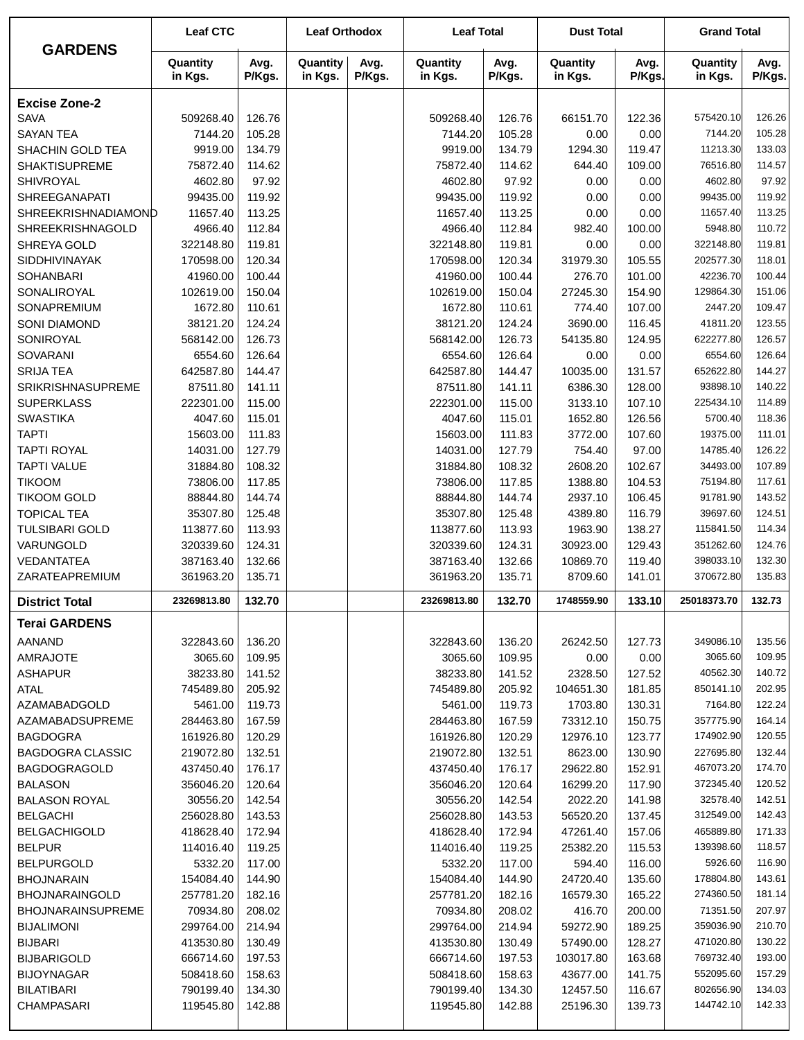| <b>GARDENS</b>                               | <b>Leaf CTC</b>        |                  | <b>Leaf Orthodox</b> |                | <b>Leaf Total</b>      |                  | <b>Dust Total</b>    |                  | <b>Grand Total</b>     |                  |
|----------------------------------------------|------------------------|------------------|----------------------|----------------|------------------------|------------------|----------------------|------------------|------------------------|------------------|
|                                              | Quantity<br>in Kgs.    | Avg.<br>P/Kgs.   | Quantity<br>in Kgs.  | Avg.<br>P/Kgs. | Quantity<br>in Kgs.    | Avg.<br>P/Kgs.   | Quantity<br>in Kgs.  | Avg.<br>P/Kgs.   | Quantity<br>in Kgs.    | Avg.<br>P/Kgs.   |
| <b>Excise Zone-2</b>                         |                        |                  |                      |                |                        |                  |                      |                  |                        |                  |
| <b>SAVA</b>                                  | 509268.40              | 126.76           |                      |                | 509268.40              | 126.76           | 66151.70             | 122.36           | 575420.10              | 126.26           |
| <b>SAYAN TEA</b>                             | 7144.20                | 105.28           |                      |                | 7144.20                | 105.28           | 0.00                 | 0.00             | 7144.20                | 105.28           |
| SHACHIN GOLD TEA                             | 9919.00                | 134.79           |                      |                | 9919.00                | 134.79           | 1294.30              | 119.47           | 11213.30               | 133.03           |
| <b>SHAKTISUPREME</b>                         | 75872.40               | 114.62           |                      |                | 75872.40               | 114.62           | 644.40               | 109.00           | 76516.80               | 114.57           |
| SHIVROYAL                                    | 4602.80                | 97.92            |                      |                | 4602.80                | 97.92            | 0.00                 | 0.00             | 4602.80                | 97.92            |
| <b>SHREEGANAPATI</b>                         | 99435.00               | 119.92           |                      |                | 99435.00               | 119.92           | 0.00                 | 0.00             | 99435.00               | 119.92           |
| SHREEKRISHNADIAMOND                          | 11657.40               | 113.25           |                      |                | 11657.40               | 113.25           | 0.00                 | 0.00             | 11657.40               | 113.25           |
| <b>SHREEKRISHNAGOLD</b>                      | 4966.40                | 112.84           |                      |                | 4966.40                | 112.84           | 982.40               | 100.00           | 5948.80                | 110.72           |
| SHREYA GOLD                                  | 322148.80              | 119.81           |                      |                | 322148.80              | 119.81           | 0.00                 | 0.00             | 322148.80              | 119.81           |
| SIDDHIVINAYAK                                | 170598.00              | 120.34           |                      |                | 170598.00              | 120.34           | 31979.30             | 105.55           | 202577.30              | 118.01           |
| SOHANBARI                                    | 41960.00               | 100.44           |                      |                | 41960.00               | 100.44           | 276.70               | 101.00           | 42236.70               | 100.44           |
| SONALIROYAL                                  | 102619.00              | 150.04           |                      |                | 102619.00              | 150.04           | 27245.30             | 154.90           | 129864.30              | 151.06           |
| SONAPREMIUM                                  | 1672.80                | 110.61           |                      |                | 1672.80                | 110.61           | 774.40               | 107.00           | 2447.20                | 109.47           |
| SONI DIAMOND                                 | 38121.20               | 124.24           |                      |                | 38121.20               | 124.24           | 3690.00              | 116.45           | 41811.20               | 123.55           |
| SONIROYAL                                    | 568142.00              | 126.73           |                      |                | 568142.00              | 126.73           | 54135.80             | 124.95           | 622277.80              | 126.57           |
| SOVARANI                                     | 6554.60                | 126.64           |                      |                | 6554.60                | 126.64           | 0.00                 | 0.00<br>131.57   | 6554.60<br>652622.80   | 126.64<br>144.27 |
| <b>SRIJA TEA</b><br><b>SRIKRISHNASUPREME</b> | 642587.80<br>87511.80  | 144.47<br>141.11 |                      |                | 642587.80<br>87511.80  | 144.47<br>141.11 | 10035.00<br>6386.30  | 128.00           | 93898.10               | 140.22           |
| <b>SUPERKLASS</b>                            | 222301.00              | 115.00           |                      |                | 222301.00              | 115.00           | 3133.10              | 107.10           | 225434.10              | 114.89           |
| <b>SWASTIKA</b>                              | 4047.60                | 115.01           |                      |                | 4047.60                | 115.01           | 1652.80              | 126.56           | 5700.40                | 118.36           |
| <b>TAPTI</b>                                 | 15603.00               | 111.83           |                      |                | 15603.00               | 111.83           | 3772.00              | 107.60           | 19375.00               | 111.01           |
| <b>TAPTI ROYAL</b>                           | 14031.00               | 127.79           |                      |                | 14031.00               | 127.79           | 754.40               | 97.00            | 14785.40               | 126.22           |
| <b>TAPTI VALUE</b>                           | 31884.80               | 108.32           |                      |                | 31884.80               | 108.32           | 2608.20              | 102.67           | 34493.00               | 107.89           |
| <b>TIKOOM</b>                                | 73806.00               | 117.85           |                      |                | 73806.00               | 117.85           | 1388.80              | 104.53           | 75194.80               | 117.61           |
| <b>TIKOOM GOLD</b>                           | 88844.80               | 144.74           |                      |                | 88844.80               | 144.74           | 2937.10              | 106.45           | 91781.90               | 143.52           |
| <b>TOPICAL TEA</b>                           | 35307.80               | 125.48           |                      |                | 35307.80               | 125.48           | 4389.80              | 116.79           | 39697.60               | 124.51           |
| <b>TULSIBARI GOLD</b>                        | 113877.60              | 113.93           |                      |                | 113877.60              | 113.93           | 1963.90              | 138.27           | 115841.50              | 114.34           |
| VARUNGOLD                                    | 320339.60              | 124.31           |                      |                | 320339.60              | 124.31           | 30923.00             | 129.43           | 351262.60              | 124.76           |
| VEDANTATEA                                   | 387163.40              | 132.66           |                      |                | 387163.40              | 132.66           | 10869.70             | 119.40           | 398033.10              | 132.30           |
| ZARATEAPREMIUM                               | 361963.20              | 135.71           |                      |                | 361963.20              | 135.71           | 8709.60              | 141.01           | 370672.80              | 135.83           |
| <b>District Total</b>                        | 23269813.80            | 132.70           |                      |                | 23269813.80            | 132.70           | 1748559.90           | 133.10           | 25018373.70            | 132.73           |
| <b>Terai GARDENS</b>                         |                        |                  |                      |                |                        |                  |                      |                  |                        |                  |
| <b>AANAND</b>                                | 322843.60              | 136.20           |                      |                | 322843.60              | 136.20           | 26242.50             | 127.73           | 349086.10              | 135.56           |
| <b>AMRAJOTE</b>                              | 3065.60                | 109.95           |                      |                | 3065.60                | 109.95           | 0.00                 | 0.00             | 3065.60                | 109.95           |
| <b>ASHAPUR</b>                               | 38233.80               | 141.52           |                      |                | 38233.80               | 141.52           | 2328.50              | 127.52           | 40562.30               | 140.72           |
| <b>ATAL</b>                                  | 745489.80              | 205.92           |                      |                | 745489.80              | 205.92           | 104651.30            | 181.85           | 850141.10              | 202.95           |
| <b>AZAMABADGOLD</b>                          | 5461.00                | 119.73           |                      |                | 5461.00                | 119.73           | 1703.80              | 130.31           | 7164.80                | 122.24           |
| AZAMABADSUPREME                              | 284463.80              | 167.59           |                      |                | 284463.80              | 167.59           | 73312.10             | 150.75           | 357775.90              | 164.14           |
| <b>BAGDOGRA</b>                              | 161926.80              | 120.29           |                      |                | 161926.80              | 120.29           | 12976.10             | 123.77           | 174902.90              | 120.55           |
| <b>BAGDOGRA CLASSIC</b>                      | 219072.80              | 132.51           |                      |                | 219072.80              | 132.51           | 8623.00              | 130.90           | 227695.80              | 132.44           |
| <b>BAGDOGRAGOLD</b>                          | 437450.40              | 176.17           |                      |                | 437450.40              | 176.17           | 29622.80             | 152.91           | 467073.20              | 174.70           |
| <b>BALASON</b>                               | 356046.20              | 120.64           |                      |                | 356046.20              | 120.64           | 16299.20             | 117.90           | 372345.40              | 120.52           |
| <b>BALASON ROYAL</b>                         | 30556.20               | 142.54           |                      |                | 30556.20               | 142.54           | 2022.20              | 141.98           | 32578.40               | 142.51<br>142.43 |
| <b>BELGACHI</b><br><b>BELGACHIGOLD</b>       | 256028.80              | 143.53           |                      |                | 256028.80<br>418628.40 | 143.53           | 56520.20<br>47261.40 | 137.45           | 312549.00<br>465889.80 | 171.33           |
| <b>BELPUR</b>                                | 418628.40<br>114016.40 | 172.94<br>119.25 |                      |                | 114016.40              | 172.94<br>119.25 | 25382.20             | 157.06<br>115.53 | 139398.60              | 118.57           |
| <b>BELPURGOLD</b>                            | 5332.20                | 117.00           |                      |                | 5332.20                | 117.00           | 594.40               | 116.00           | 5926.60                | 116.90           |
| <b>BHOJNARAIN</b>                            | 154084.40              | 144.90           |                      |                | 154084.40              | 144.90           | 24720.40             | 135.60           | 178804.80              | 143.61           |
| <b>BHOJNARAINGOLD</b>                        | 257781.20              | 182.16           |                      |                | 257781.20              | 182.16           | 16579.30             | 165.22           | 274360.50              | 181.14           |
| <b>BHOJNARAINSUPREME</b>                     | 70934.80               | 208.02           |                      |                | 70934.80               | 208.02           | 416.70               | 200.00           | 71351.50               | 207.97           |
| <b>BIJALIMONI</b>                            | 299764.00              | 214.94           |                      |                | 299764.00              | 214.94           | 59272.90             | 189.25           | 359036.90              | 210.70           |
| <b>BIJBARI</b>                               | 413530.80              | 130.49           |                      |                | 413530.80              | 130.49           | 57490.00             | 128.27           | 471020.80              | 130.22           |
| <b>BIJBARIGOLD</b>                           | 666714.60              | 197.53           |                      |                | 666714.60              | 197.53           | 103017.80            | 163.68           | 769732.40              | 193.00           |
| <b>BIJOYNAGAR</b>                            | 508418.60              | 158.63           |                      |                | 508418.60              | 158.63           | 43677.00             | 141.75           | 552095.60              | 157.29           |
| <b>BILATIBARI</b>                            | 790199.40              | 134.30           |                      |                | 790199.40              | 134.30           | 12457.50             | 116.67           | 802656.90              | 134.03           |
| <b>CHAMPASARI</b>                            | 119545.80              | 142.88           |                      |                | 119545.80              | 142.88           | 25196.30             | 139.73           | 144742.10              | 142.33           |
|                                              |                        |                  |                      |                |                        |                  |                      |                  |                        |                  |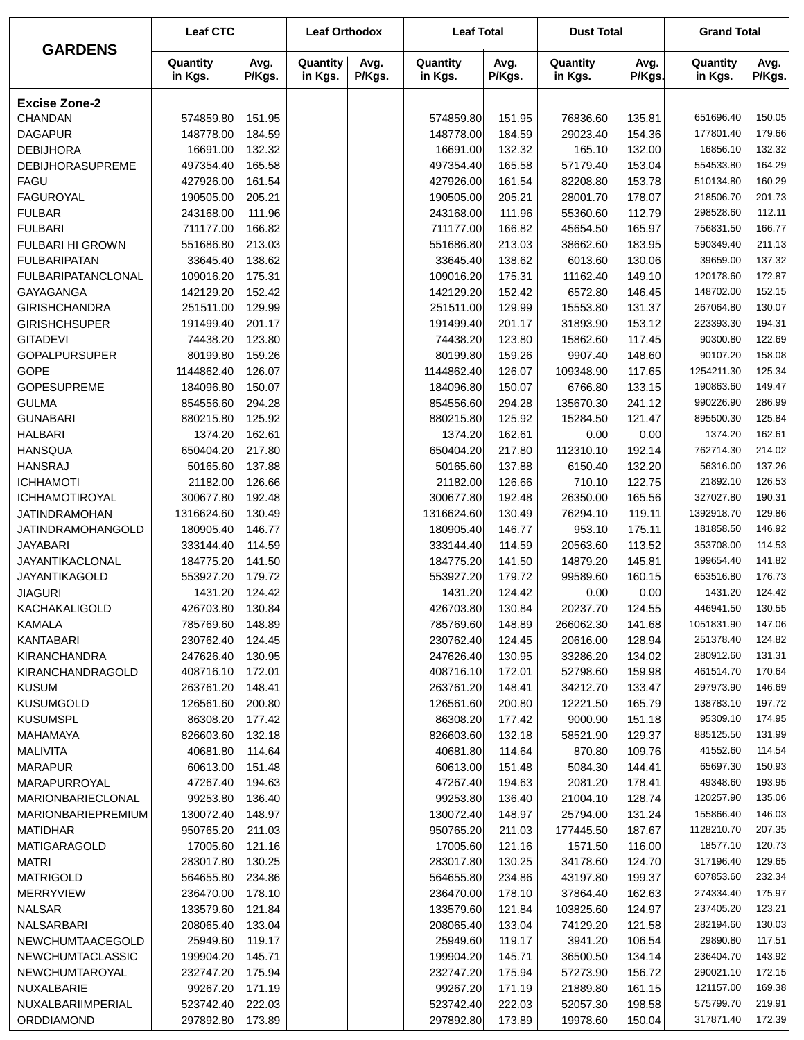|                                 | <b>Leaf CTC</b>      |                  | <b>Leaf Orthodox</b> |                | <b>Leaf Total</b>      |                  | <b>Dust Total</b>   |                | <b>Grand Total</b>     |                  |
|---------------------------------|----------------------|------------------|----------------------|----------------|------------------------|------------------|---------------------|----------------|------------------------|------------------|
| <b>GARDENS</b>                  | Quantity<br>in Kgs.  | Avg.<br>P/Kgs.   | Quantity<br>in Kgs.  | Avg.<br>P/Kgs. | Quantity<br>in Kgs.    | Avg.<br>P/Kgs.   | Quantity<br>in Kgs. | Avg.<br>P/Kgs. | Quantity<br>in Kgs.    | Avg.<br>P/Kgs.   |
| <b>Excise Zone-2</b>            |                      |                  |                      |                |                        |                  |                     |                |                        |                  |
| CHANDAN                         | 574859.80            | 151.95           |                      |                | 574859.80              | 151.95           | 76836.60            | 135.81         | 651696.40              | 150.05           |
| <b>DAGAPUR</b>                  | 148778.00            | 184.59           |                      |                | 148778.00              | 184.59           | 29023.40            | 154.36         | 177801.40              | 179.66           |
| <b>DEBIJHORA</b>                | 16691.00             | 132.32           |                      |                | 16691.00               | 132.32           | 165.10              | 132.00         | 16856.10               | 132.32           |
| <b>DEBIJHORASUPREME</b>         | 497354.40            | 165.58           |                      |                | 497354.40              | 165.58           | 57179.40            | 153.04         | 554533.80              | 164.29           |
| <b>FAGU</b>                     | 427926.00            | 161.54           |                      |                | 427926.00              | 161.54           | 82208.80            | 153.78         | 510134.80              | 160.29           |
| <b>FAGUROYAL</b>                | 190505.00            | 205.21           |                      |                | 190505.00              | 205.21           | 28001.70            | 178.07         | 218506.70              | 201.73           |
| <b>FULBAR</b>                   | 243168.00            | 111.96           |                      |                | 243168.00              | 111.96           | 55360.60            | 112.79         | 298528.60              | 112.11           |
| <b>FULBARI</b>                  | 711177.00            | 166.82           |                      |                | 711177.00              | 166.82           | 45654.50            | 165.97         | 756831.50              | 166.77           |
| <b>FULBARI HI GROWN</b>         | 551686.80            | 213.03           |                      |                | 551686.80              | 213.03           | 38662.60            | 183.95         | 590349.40              | 211.13           |
| <b>FULBARIPATAN</b>             | 33645.40             | 138.62           |                      |                | 33645.40               | 138.62           | 6013.60             | 130.06         | 39659.00               | 137.32           |
| <b>FULBARIPATANCLONAL</b>       | 109016.20            | 175.31           |                      |                | 109016.20              | 175.31           | 11162.40            | 149.10         | 120178.60              | 172.87           |
| <b>GAYAGANGA</b>                | 142129.20            | 152.42           |                      |                | 142129.20              | 152.42           | 6572.80             | 146.45         | 148702.00              | 152.15           |
| <b>GIRISHCHANDRA</b>            | 251511.00            | 129.99           |                      |                | 251511.00              | 129.99           | 15553.80            | 131.37         | 267064.80              | 130.07           |
| <b>GIRISHCHSUPER</b>            | 191499.40            | 201.17           |                      |                | 191499.40              | 201.17           | 31893.90            | 153.12         | 223393.30              | 194.31           |
| <b>GITADEVI</b>                 | 74438.20             | 123.80           |                      |                | 74438.20               | 123.80           | 15862.60            | 117.45         | 90300.80               | 122.69           |
| <b>GOPALPURSUPER</b>            | 80199.80             | 159.26           |                      |                | 80199.80               | 159.26           | 9907.40             | 148.60         | 90107.20               | 158.08           |
| <b>GOPE</b>                     | 1144862.40           | 126.07           |                      |                | 1144862.40             | 126.07           | 109348.90           | 117.65         | 1254211.30             | 125.34           |
| <b>GOPESUPREME</b>              | 184096.80            | 150.07           |                      |                | 184096.80              | 150.07           | 6766.80             | 133.15         | 190863.60              | 149.47           |
| <b>GULMA</b>                    | 854556.60            | 294.28           |                      |                | 854556.60              | 294.28           | 135670.30           | 241.12         | 990226.90              | 286.99           |
| <b>GUNABARI</b>                 | 880215.80            | 125.92           |                      |                | 880215.80              | 125.92           | 15284.50            | 121.47         | 895500.30              | 125.84           |
| <b>HALBARI</b>                  | 1374.20              | 162.61           |                      |                | 1374.20                | 162.61           | 0.00                | 0.00           | 1374.20                | 162.61           |
| <b>HANSQUA</b>                  | 650404.20            | 217.80           |                      |                | 650404.20              | 217.80           | 112310.10           | 192.14         | 762714.30              | 214.02           |
| <b>HANSRAJ</b>                  | 50165.60             | 137.88           |                      |                | 50165.60               | 137.88           | 6150.40             | 132.20         | 56316.00               | 137.26           |
| <b>ICHHAMOTI</b>                | 21182.00             | 126.66           |                      |                | 21182.00               | 126.66           | 710.10              | 122.75         | 21892.10               | 126.53           |
| <b>ICHHAMOTIROYAL</b>           | 300677.80            | 192.48           |                      |                | 300677.80              | 192.48           | 26350.00            | 165.56         | 327027.80              | 190.31           |
| <b>JATINDRAMOHAN</b>            | 1316624.60           | 130.49           |                      |                | 1316624.60             | 130.49           | 76294.10            | 119.11         | 1392918.70             | 129.86           |
| JATINDRAMOHANGOLD               | 180905.40            | 146.77           |                      |                | 180905.40              | 146.77           | 953.10              | 175.11         | 181858.50              | 146.92           |
| <b>JAYABARI</b>                 | 333144.40            | 114.59           |                      |                | 333144.40              | 114.59           | 20563.60            | 113.52         | 353708.00              | 114.53           |
| JAYANTIKACLONAL                 | 184775.20            | 141.50           |                      |                | 184775.20<br>553927.20 | 141.50           | 14879.20            | 145.81         | 199654.40<br>653516.80 | 141.82<br>176.73 |
| JAYANTIKAGOLD                   | 553927.20<br>1431.20 | 179.72<br>124.42 |                      |                |                        | 179.72<br>124.42 | 99589.60            | 160.15         | 1431.20                | 124.42           |
| <b>JIAGURI</b><br>KACHAKALIGOLD | 426703.80            | 130.84           |                      |                | 1431.20<br>426703.80   | 130.84           | 0.00<br>20237.70    | 0.00<br>124.55 | 446941.50              | 130.55           |
| KAMALA                          | 785769.60            | 148.89           |                      |                | 785769.60              | 148.89           | 266062.30           | 141.68         | 1051831.90             | 147.06           |
| <b>KANTABARI</b>                | 230762.40            | 124.45           |                      |                | 230762.40              | 124.45           | 20616.00            | 128.94         | 251378.40              | 124.82           |
| <b>KIRANCHANDRA</b>             | 247626.40            | 130.95           |                      |                | 247626.40              | 130.95           | 33286.20            | 134.02         | 280912.60              | 131.31           |
| KIRANCHANDRAGOLD                | 408716.10            | 172.01           |                      |                | 408716.10              | 172.01           | 52798.60            | 159.98         | 461514.70              | 170.64           |
| <b>KUSUM</b>                    | 263761.20            | 148.41           |                      |                | 263761.20              | 148.41           | 34212.70            | 133.47         | 297973.90              | 146.69           |
| <b>KUSUMGOLD</b>                | 126561.60            | 200.80           |                      |                | 126561.60              | 200.80           | 12221.50            | 165.79         | 138783.10              | 197.72           |
| <b>KUSUMSPL</b>                 | 86308.20             | 177.42           |                      |                | 86308.20               | 177.42           | 9000.90             | 151.18         | 95309.10               | 174.95           |
| MAHAMAYA                        | 826603.60            | 132.18           |                      |                | 826603.60              | 132.18           | 58521.90            | 129.37         | 885125.50              | 131.99           |
| MALIVITA                        | 40681.80             | 114.64           |                      |                | 40681.80               | 114.64           | 870.80              | 109.76         | 41552.60               | 114.54           |
| <b>MARAPUR</b>                  | 60613.00             | 151.48           |                      |                | 60613.00               | 151.48           | 5084.30             | 144.41         | 65697.30               | 150.93           |
| MARAPURROYAL                    | 47267.40             | 194.63           |                      |                | 47267.40               | 194.63           | 2081.20             | 178.41         | 49348.60               | 193.95           |
| <b>MARIONBARIECLONAL</b>        | 99253.80             | 136.40           |                      |                | 99253.80               | 136.40           | 21004.10            | 128.74         | 120257.90              | 135.06           |
| <b>MARIONBARIEPREMIUM</b>       | 130072.40            | 148.97           |                      |                | 130072.40              | 148.97           | 25794.00            | 131.24         | 155866.40              | 146.03           |
| <b>MATIDHAR</b>                 | 950765.20            | 211.03           |                      |                | 950765.20              | 211.03           | 177445.50           | 187.67         | 1128210.70             | 207.35           |
| MATIGARAGOLD                    | 17005.60             | 121.16           |                      |                | 17005.60               | 121.16           | 1571.50             | 116.00         | 18577.10               | 120.73           |
| <b>MATRI</b>                    | 283017.80            | 130.25           |                      |                | 283017.80              | 130.25           | 34178.60            | 124.70         | 317196.40              | 129.65           |
| <b>MATRIGOLD</b>                | 564655.80            | 234.86           |                      |                | 564655.80              | 234.86           | 43197.80            | 199.37         | 607853.60              | 232.34           |
| <b>MERRYVIEW</b>                | 236470.00            | 178.10           |                      |                | 236470.00              | 178.10           | 37864.40            | 162.63         | 274334.40              | 175.97           |
| <b>NALSAR</b>                   | 133579.60            | 121.84           |                      |                | 133579.60              | 121.84           | 103825.60           | 124.97         | 237405.20              | 123.21           |
| NALSARBARI                      | 208065.40            | 133.04           |                      |                | 208065.40              | 133.04           | 74129.20            | 121.58         | 282194.60              | 130.03           |
| NEWCHUMTAACEGOLD                | 25949.60             | 119.17           |                      |                | 25949.60               | 119.17           | 3941.20             | 106.54         | 29890.80               | 117.51           |
| NEWCHUMTACLASSIC                | 199904.20            | 145.71           |                      |                | 199904.20              | 145.71           | 36500.50            | 134.14         | 236404.70              | 143.92           |
| NEWCHUMTAROYAL                  | 232747.20            | 175.94           |                      |                | 232747.20              | 175.94           | 57273.90            | 156.72         | 290021.10              | 172.15           |
| NUXALBARIE                      | 99267.20             | 171.19           |                      |                | 99267.20               | 171.19           | 21889.80            | 161.15         | 121157.00              | 169.38           |
| NUXALBARIIMPERIAL               | 523742.40            | 222.03           |                      |                | 523742.40              | 222.03           | 52057.30            | 198.58         | 575799.70              | 219.91           |
| ORDDIAMOND                      | 297892.80            | 173.89           |                      |                | 297892.80              | 173.89           | 19978.60            | 150.04         | 317871.40              | 172.39           |